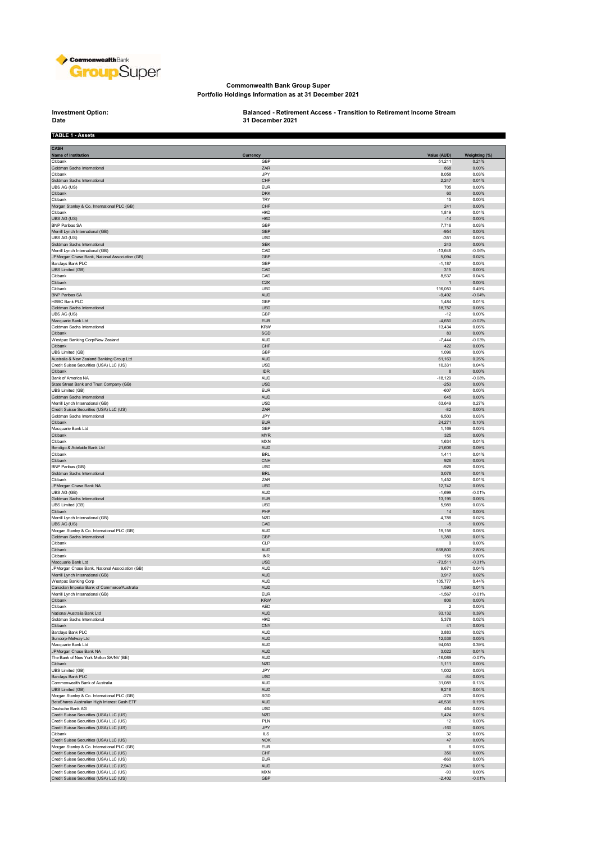

## **Commonwealth Bank Group Super Portfolio Holdings Information as at 31 December 2021**

## **Date**

**Investment Option: Balanced - Retirement Access - Transition to Retirement Income Stream 31 December 2021**

| <b>TABLE 1 - Assets</b>                                                              |                          |                         |                        |
|--------------------------------------------------------------------------------------|--------------------------|-------------------------|------------------------|
| <b>CASH</b>                                                                          |                          |                         |                        |
| <b>Name of Institution</b><br>Citibank                                               | <b>Currency</b><br>GBP   | Value (AUD)<br>51,211   | Weighting (%)<br>0.21% |
| Goldman Sachs International                                                          | ZAR                      | 868                     | 0.00%                  |
| Citibank<br>Goldman Sachs International                                              | JPY<br>CHF               | 8,058<br>2,247          | 0.03%<br>0.01%         |
| UBS AG (US)                                                                          | <b>EUR</b>               | 705                     | 0.00%                  |
| Citibank                                                                             | <b>DKK</b>               | 60                      | 0.00%                  |
| Citibank<br>Morgan Stanley & Co. International PLC (GB)                              | TRY<br>CHF               | 15<br>241               | 0.00%<br>0.00%         |
| Citibank                                                                             | <b>HKD</b>               | 1,819                   | 0.01%                  |
| UBS AG (US)<br><b>BNP Paribas SA</b>                                                 | <b>HKD</b><br>GBP        | $-14$<br>7,716          | 0.00%<br>0.03%         |
| Merrill Lynch International (GB)                                                     | GBP                      | $-954$                  | 0.00%                  |
| UBS AG (US)                                                                          | <b>USD</b>               | $-351$                  | 0.00%                  |
| Goldman Sachs International<br>Merrill Lynch International (GB)                      | <b>SEK</b><br>CAD        | 243<br>$-13,646$        | 0.00%<br>$-0.06%$      |
| JPMorgan Chase Bank, National Association (GB)                                       | GBP                      | 5,094                   | 0.02%                  |
| Barclays Bank PLC<br><b>UBS Limited (GB)</b>                                         | GBP<br>CAD               | $-1,187$<br>315         | 0.00%<br>0.00%         |
| Citibank                                                                             | CAD                      | 8,537                   | 0.04%                  |
| Citibank                                                                             | CZK                      | 1                       | 0.00%                  |
| Citibank<br><b>BNP Paribas SA</b>                                                    | <b>USD</b><br><b>AUD</b> | 116,053<br>$-9,492$     | 0.49%<br>$-0.04%$      |
| HSBC Bank PLC                                                                        | GBP                      | 1,484                   | 0.01%                  |
| Goldman Sachs International<br>UBS AG (US)                                           | USD<br>GBP               | 18,757<br>$-12$         | 0.08%<br>0.00%         |
| Macquarie Bank Ltd                                                                   | <b>EUR</b>               | $-4,650$                | $-0.02%$               |
| Goldman Sachs International                                                          | <b>KRW</b>               | 13,434                  | 0.06%                  |
| Citibank<br>Westpac Banking Corp/New Zealand                                         | SGD<br>AUD               | 83<br>$-7,444$          | 0.00%<br>$-0.03%$      |
| Citibank                                                                             | CHF                      | 422                     | 0.00%                  |
| <b>UBS Limited (GB)</b>                                                              | GBP                      | 1,096                   | 0.00%                  |
| Australia & New Zealand Banking Group Ltd<br>Credit Suisse Securities (USA) LLC (US) | AUD<br>USD               | 61,163<br>10,331        | 0.26%<br>0.04%         |
| Citibank                                                                             | <b>IDR</b>               | 8                       | 0.00%                  |
| Bank of America NA<br>State Street Bank and Trust Company (GB)                       | AUD<br>USD               | $-18,129$<br>$-253$     | $-0.08%$<br>0.00%      |
| UBS Limited (GB)                                                                     | <b>EUR</b>               | $-607$                  | 0.00%                  |
| Goldman Sachs International                                                          | <b>AUD</b>               | 645                     | 0.00%                  |
| Merrill Lynch International (GB)<br>Credit Suisse Securities (USA) LLC (US)          | <b>USD</b><br>ZAR        | 63,649<br>$-82$         | 0.27%<br>0.00%         |
| Goldman Sachs International                                                          | JPY                      | 6,503                   | 0.03%                  |
| Citibank                                                                             | <b>EUR</b>               | 24,271                  | 0.10%                  |
| Macquarie Bank Ltd<br>Citibank                                                       | GBP<br><b>MYR</b>        | 1,169<br>325            | 0.00%<br>0.00%         |
| Citibank                                                                             | <b>MXN</b>               | 1,634                   | 0.01%                  |
| Bendigo & Adelaide Bank Ltd                                                          | <b>AUD</b>               | 21,606                  | 0.09%                  |
| Citibank<br>Citibank                                                                 | <b>BRL</b><br><b>CNH</b> | 1,411<br>926            | 0.01%<br>0.00%         |
| <b>BNP Paribas (GB)</b>                                                              | USD                      | $-928$                  | 0.00%                  |
| Goldman Sachs International<br>Citibank                                              | <b>BRL</b><br>ZAR        | 3,078<br>1,452          | 0.01%<br>0.01%         |
| JPMorgan Chase Bank NA                                                               | USD                      | 12,742                  | 0.05%                  |
| UBS AG (GB)                                                                          | AUD                      | $-1,699$                | $-0.01%$               |
| Goldman Sachs International<br>UBS Limited (GB)                                      | <b>EUR</b><br><b>USD</b> | 13,195<br>5,989         | 0.06%<br>0.03%         |
| Citibank                                                                             | PHP                      | 14                      | 0.00%                  |
| Merrill Lynch International (GB)                                                     | <b>NZD</b>               | 4,788                   | 0.02%                  |
| UBS AG (US)<br>Morgan Stanley & Co. International PLC (GB)                           | CAD<br><b>AUD</b>        | $-5$<br>19,158          | 0.00%<br>0.08%         |
| Goldman Sachs International                                                          | GBP                      | 1,380                   | 0.01%                  |
| Citibank<br>Citibank                                                                 | CLP<br>AUD               | 0<br>668,800            | 0.00%<br>2.80%         |
| Citibank                                                                             | INR                      | 156                     | 0.00%                  |
| Macquarie Bank Ltd                                                                   | <b>USD</b>               | $-73,511$               | $-0.31%$               |
| JPMorgan Chase Bank, National Association (GB)<br>Merrill Lynch International (GB)   | <b>AUD</b><br><b>AUD</b> | 9,671<br>3,917          | 0.04%<br>0.02%         |
| Westpac Banking Corp                                                                 | AUD                      | 105,777                 | 0.44%                  |
| Canadian Imperial Bank of Commerce/Australia<br>Merrill Lynch International (GB)     | AUD<br><b>EUR</b>        | 1,593                   | 0.01%<br>$-0.01%$      |
| Citibank                                                                             | <b>KRW</b>               | $-1,567$<br>806         | $0.00\%$               |
| Citibank                                                                             | AED                      | $\overline{\mathbf{2}}$ | 0.00%                  |
| National Australia Bank Ltd<br>Goldman Sachs International                           | AUD<br>HKD               | 93,132<br>5,378         | 0.39%<br>0.02%         |
| Citibank                                                                             | CNY                      | 41                      | 0.00%                  |
| Barclays Bank PLC                                                                    | AUD                      | 3,883                   | 0.02%                  |
| Suncorp-Metway Ltd<br>Macquarie Bank Ltd                                             | AUD<br>AUD               | 12,538<br>94,053        | 0.05%<br>0.39%         |
| JPMorgan Chase Bank NA                                                               | AUD                      | 3,022                   | 0.01%                  |
| The Bank of New York Mellon SA/NV (BE)<br>Citibank                                   | AUD<br><b>NZD</b>        | $-16,089$               | $-0.07%$<br>0.00%      |
| UBS Limited (GB)                                                                     | JPY                      | 1,111<br>1,002          | 0.00%                  |
| Barclays Bank PLC                                                                    | USD                      | $-84$                   | 0.00%                  |
| Commonwealth Bank of Australia<br>UBS Limited (GB)                                   | AUD<br><b>AUD</b>        | 31,089<br>9,218         | 0.13%<br>0.04%         |
| Morgan Stanley & Co. International PLC (GB)                                          | SGD                      | $-278$                  | 0.00%                  |
| BetaShares Australian High Interest Cash ETF                                         | AUD                      | 46,536                  | 0.19%                  |
| Deutsche Bank AG<br>Credit Suisse Securities (USA) LLC (US)                          | <b>USD</b><br><b>NZD</b> | 464<br>1,424            | 0.00%<br>0.01%         |
| Credit Suisse Securities (USA) LLC (US)                                              | PLN                      | 12                      | 0.00%                  |
| Credit Suisse Securities (USA) LLC (US)                                              | JPY                      | $-160$                  | 0.00%                  |
| Citibank<br>Credit Suisse Securities (USA) LLC (US)                                  | <b>ILS</b><br><b>NOK</b> | 32<br>47                | 0.00%<br>0.00%         |
| Morgan Stanley & Co. International PLC (GB)                                          | <b>EUR</b>               | 6                       | 0.00%                  |
| Credit Suisse Securities (USA) LLC (US)                                              | $\mathsf{CHF}$           | 356                     | 0.00%                  |
| Credit Suisse Securities (USA) LLC (US)<br>Credit Suisse Securities (USA) LLC (US)   | <b>EUR</b><br><b>AUD</b> | $-860$<br>2,943         | 0.00%<br>0.01%         |
| Credit Suisse Securities (USA) LLC (US)                                              | <b>MXN</b>               | $-93$                   | 0.00%                  |
| Credit Suisse Securities (USA) LLC (US)                                              | GBP                      | $-2,402$                | $-0.01%$               |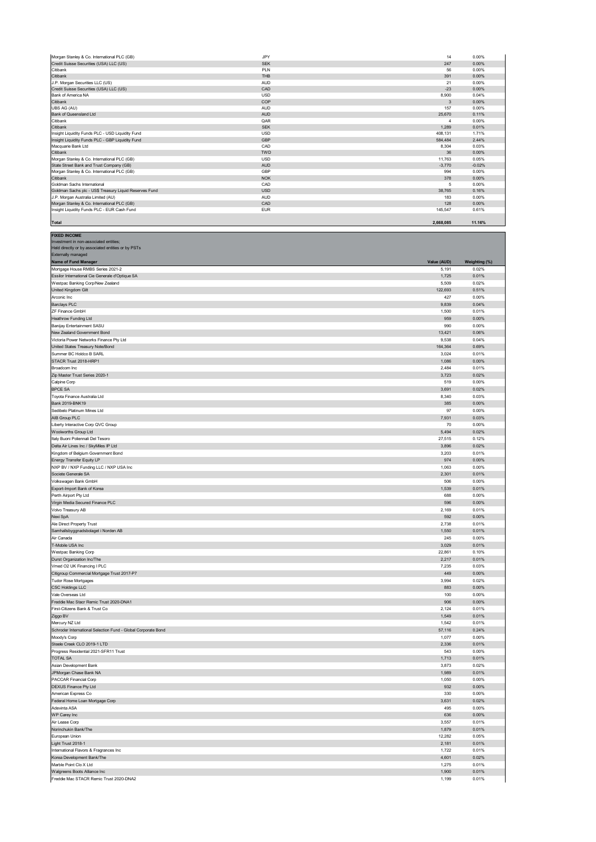| Morgan Stanley & Co. International PLC (GB)            | JPY        | 14        | 0.00%    |
|--------------------------------------------------------|------------|-----------|----------|
| Credit Suisse Securities (USA) LLC (US)                | <b>SEK</b> | 247       | 0.00%    |
| Citibank                                               | PLN        | 56        | 0.00%    |
| Citibank                                               | <b>THB</b> | 391       | 0.00%    |
| J.P. Morgan Securities LLC (US)                        | <b>AUD</b> | 21        | 0.00%    |
| Credit Suisse Securities (USA) LLC (US)                | CAD        | $-23$     | 0.00%    |
| Bank of America NA                                     | <b>USD</b> | 8,900     | 0.04%    |
| Citibank                                               | COP        | 3         | 0.00%    |
| UBS AG (AU)                                            | <b>AUD</b> | 157       | 0.00%    |
| Bank of Queensland Ltd                                 | <b>AUD</b> | 25,670    | 0.11%    |
| Citibank                                               | QAR        |           | 0.00%    |
| Citibank                                               | <b>SEK</b> | 1.289     | 0.01%    |
| Insight Liquidity Funds PLC - USD Liquidity Fund       | <b>USD</b> | 408.131   | 1.71%    |
| Insight Liquidity Funds PLC - GBP Liquidity Fund       | GBP        | 584.484   | 2.44%    |
| Macquarie Bank Ltd                                     | CAD        | 8.304     | 0.03%    |
| Citibank                                               | <b>TWD</b> | 36        | 0.00%    |
| Morgan Stanley & Co. International PLC (GB)            | <b>USD</b> | 11.763    | 0.05%    |
| State Street Bank and Trust Company (GB)               | <b>AUD</b> | $-3,770$  | $-0.02%$ |
| Morgan Stanley & Co. International PLC (GB)            | GBP        | 994       | 0.00%    |
| Citibank                                               | <b>NOK</b> | 378       | 0.00%    |
| Goldman Sachs International                            | CAD        | 5         | 0.00%    |
| Goldman Sachs plc - US\$ Treasury Liquid Reserves Fund | <b>USD</b> | 38,765    | 0.16%    |
| J.P. Morgan Australia Limited (AU)                     | <b>AUD</b> | 183       | 0.00%    |
| Morgan Stanley & Co. International PLC (GB)            | CAD        | 128       | 0.00%    |
| Insight Liquidity Funds PLC - EUR Cash Fund            | <b>EUR</b> | 145,547   | 0.61%    |
|                                                        |            |           |          |
| <b>Total</b>                                           |            | 2.668.085 | 11.16%   |

**FIXED INCOME**

| Investment in non-associated entities;<br>Held directly or by associated entities or by PSTs |                |                |
|----------------------------------------------------------------------------------------------|----------------|----------------|
| Externally managed                                                                           |                |                |
| Name of Fund Manager                                                                         | Value (AUD)    | Weighting (%)  |
| Mortgage House RMBS Series 2021-2                                                            | 5,191          | 0.02%          |
| Essilor International Cie Generale d'Optique SA                                              | 1,725          | 0.01%          |
| Westpac Banking Corp/New Zealand                                                             | 5,509          | 0.02%          |
| United Kingdom Gilt                                                                          | 122,693        | 0.51%          |
| Arconic Inc                                                                                  | 427            | 0.00%          |
| <b>Barclays PLC</b>                                                                          | 9,839          | 0.04%          |
| ZF Finance GmbH                                                                              | 1,500          | 0.01%          |
| Heathrow Funding Ltd                                                                         | 959            | 0.00%          |
| Banijay Entertainment SASU                                                                   | 990            | 0.00%          |
| New Zealand Government Bond                                                                  | 13,421         | 0.06%          |
| Victoria Power Networks Finance Pty Ltd                                                      | 9,538          | 0.04%          |
| United States Treasury Note/Bond                                                             | 164,364        | 0.69%          |
| Summer BC Holdco B SARL<br>STACR Trust 2018-HRP1                                             | 3,024          | 0.01%<br>0.00% |
| Broadcom Inc                                                                                 | 1,086<br>2,484 | 0.01%          |
| Zip Master Trust Series 2020-1                                                               | 3,723          | 0.02%          |
| Calpine Corp                                                                                 | 519            | 0.00%          |
| <b>BPCE SA</b>                                                                               | 3,691          | 0.02%          |
| Toyota Finance Australia Ltd                                                                 | 8,340          | 0.03%          |
| Bank 2019-BNK19                                                                              | 385            | 0.00%          |
| Sedibelo Platinum Mines Ltd                                                                  | 97             | 0.00%          |
| AIB Group PLC                                                                                | 7,931          | 0.03%          |
| Liberty Interactive Corp QVC Group                                                           | 70             | 0.00%          |
| Woolworths Group Ltd                                                                         | 5,494          | 0.02%          |
| Italy Buoni Poliennali Del Tesoro                                                            | 27,515         | 0.12%          |
| Delta Air Lines Inc / SkyMiles IP Ltd                                                        | 3,896          | 0.02%          |
| Kingdom of Belgium Government Bond                                                           | 3,203          | 0.01%          |
| Energy Transfer Equity LP                                                                    | 974            | 0.00%          |
| NXP BV / NXP Funding LLC / NXP USA Inc                                                       | 1,063          | 0.00%          |
| Societe Generale SA                                                                          | 2,301          | 0.01%          |
| Volkswagen Bank GmbH                                                                         | 506            | 0.00%          |
| Export-Import Bank of Korea                                                                  | 1,539          | 0.01%          |
| Perth Airport Pty Ltd                                                                        | 688            | 0.00%          |
| Virgin Media Secured Finance PLC                                                             | 596            | 0.00%          |
| Volvo Treasury AB                                                                            | 2,169          | 0.01%<br>0.00% |
| Nexi SpA<br>Ale Direct Property Trust                                                        | 592<br>2,738   | 0.01%          |
| Samhallsbyggnadsbolaget i Norden AB                                                          | 1,550          | 0.01%          |
| Air Canada                                                                                   | 245            | 0.00%          |
| T-Mobile USA Inc                                                                             | 3,029          | 0.01%          |
| Westpac Banking Corp                                                                         | 22,861         | 0.10%          |
| Durst Organization Inc/The                                                                   | 2,217          | 0.01%          |
| Vmed O2 UK Financing I PLC                                                                   | 7,235          | 0.03%          |
| Citigroup Commercial Mortgage Trust 2017-P7                                                  | 449            | 0.00%          |
| <b>Tudor Rose Mortgages</b>                                                                  | 3,994          | 0.02%          |
| <b>CSC Holdings LLC</b>                                                                      | 883            | 0.00%          |
| Vale Overseas Ltd                                                                            | 100            | 0.00%          |
| Freddie Mac Stacr Remic Trust 2020-DNA1                                                      | 906            | 0.00%          |
| First-Citizens Bank & Trust Co                                                               | 2,124          | 0.01%          |
| Ziggo BV                                                                                     | 1,549          | 0.01%          |
| Mercury NZ Ltd                                                                               | 1,542          | 0.01%          |
| Schroder International Selection Fund - Global Corporate Bond                                | 57,116         | 0.24%          |
| Moody's Corp                                                                                 | 1,077          | 0.00%          |
| Steele Creek CLO 2019-1 LTD                                                                  | 2,336          | 0.01%          |
| Progress Residential 2021-SFR11 Trust                                                        | 543            | 0.00%          |
| <b>TOTAL SA</b>                                                                              | 1,713          | 0.01%          |
| Asian Development Bank                                                                       | 3,873          | 0.02%<br>0.01% |
| JPMorgan Chase Bank NA<br>PACCAR Financial Corp                                              | 1,989<br>1,050 | 0.00%          |
| DEXUS Finance Pty Ltd                                                                        | 932            | 0.00%          |
| American Express Co                                                                          | 330            | 0.00%          |
| Federal Home Loan Mortgage Corp                                                              | 3,631          | 0.02%          |
| Adevinta ASA                                                                                 | 495            | 0.00%          |
| WP Carey Inc                                                                                 | 636            | 0.00%          |
| Air Lease Corp                                                                               | 3,557          | 0.01%          |
| Norinchukin Bank/The                                                                         | 1,879          | 0.01%          |
| European Union                                                                               | 12,282         | 0.05%          |
| Light Trust 2018-1                                                                           | 2,181          | 0.01%          |
| International Flavors & Fragrances Inc                                                       | 1,722          | 0.01%          |
| Korea Development Bank/The                                                                   | 4,601          | 0.02%          |
| Marble Point Clo X Ltd                                                                       | 1,275          | 0.01%          |
| Walgreens Boots Alliance Inc                                                                 | 1,900          | 0.01%          |
| Freddie Mac STACR Remic Trust 2020-DNA2                                                      | 1,199          | 0.01%          |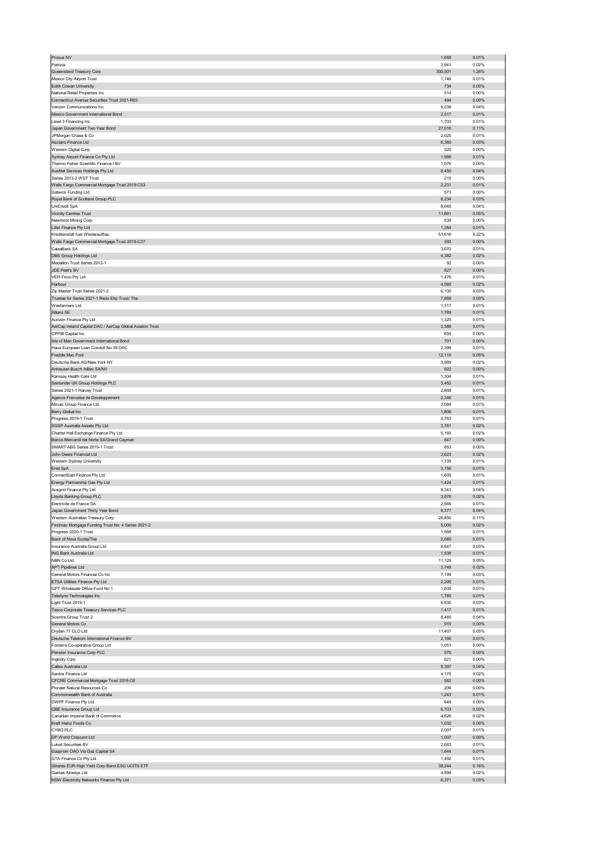| Prosus NV                                                        | 1,658           | 0.01%          |
|------------------------------------------------------------------|-----------------|----------------|
| Patrizia                                                         | 3,941           | 0.02%          |
| Queensland Treasury Corp                                         | 300,501         | 1.26%          |
| Mexico City Airport Trust                                        | 1,746           | 0.01%          |
| Edith Cowan University                                           | 734             | 0.00%          |
| National Retail Properties Inc                                   | 514             | 0.00%          |
| Connecticut Avenue Securities Trust 2021-R03                     | 494             | 0.00%          |
| Verizon Communications Inc                                       | 9,038           | 0.04%          |
| Mexico Government International Bond                             | 2,517           | 0.01%          |
| Level 3 Financing Inc                                            | 1,703           | 0.01%          |
| Japan Government Two Year Bond                                   | 27,016          | 0.11%          |
| JPMorgan Chase & Co                                              | 2,025           | 0.01%          |
| Asciano Finance Ltd                                              | 6,380           | 0.03%          |
| Western Digital Corp                                             | 320             | 0.00%          |
| Sydney Airport Finance Co Pty Ltd                                | 1,986           | 0.01%          |
| Thermo Fisher Scientific Finance I BV                            | 1,076           | 0.00%          |
| AusNet Services Holdings Pty Ltd                                 | 8,450           | 0.04%          |
| Series 2013-2 WST Trust                                          | 215             | 0.00%          |
| Wells Fargo Commercial Mortgage Trust 2019-C53                   | 2,231           | 0.01%          |
| Gatwick Funding Ltd                                              | 573             | 0.00%          |
| Royal Bank of Scotland Group PLC                                 | 8,234           | 0.03%          |
| UniCredit SpA                                                    | 8,645           | 0.04%          |
| <b>Vicinity Centres Trust</b>                                    | 11,891          | 0.05%          |
| Newmont Mining Corp                                              | 530             | 0.00%          |
| Llitst Finance Pty Ltd                                           | 1,284           | 0.01%          |
| Kreditanstalt fuer Wiederaufbau                                  | 51,616          | 0.22%          |
| Wells Fargo Commercial Mortgage Trust 2016-C37                   | 393             | 0.00%          |
| CaixaBank SA                                                     | 3,070           | 0.01%          |
| <b>DBS Group Holdings Ltd</b>                                    | 4,382           | 0.02%          |
| Medallion Trust Series 2012-1                                    | 92              | 0.00%          |
| JDE Peet's BV                                                    | 627             | 0.00%          |
| VER Finco Pty Ltd                                                | 1,476           | 0.01%          |
| Harbour                                                          | 4,560           | 0.02%          |
| Zip Master Trust Series 2021-2                                   | 6,100           | 0.03%          |
| Trustee for Series 2021-1 Reds Ehp Trust/ The                    | 7,888           | 0.03%          |
| Wesfarmers Ltd                                                   | 1,317           | 0.01%          |
| Allianz SE                                                       | 1,789           | 0.01%          |
| Aurizon Finance Pty Ltd                                          | 1,325           | 0.01%          |
| AerCap Ireland Capital DAC / AerCap Global Aviation Trust        | 3,388           | 0.01%          |
| CPPIB Capital Inc.                                               | 655             | 0.00%          |
| Isle of Man Government International Bond                        | 701             | 0.00%          |
| Haus European Loan Conduit No 39 DAC                             | 2,398           | 0.01%          |
| Freddie Mac Pool                                                 | 12,115          | 0.05%          |
| Deutsche Bank AG/New York NY                                     | 3,989           | 0.02%          |
| Anheuser-Busch InBev SA/NV                                       | 922             | 0.00%          |
| Ramsay Health Care Ltd                                           | 1,304           | 0.01%          |
| Santander UK Group Holdings PLC                                  | 3,452           | 0.01%          |
| Series 2021-1 Harvey Trust                                       | 2,858           | 0.01%          |
| Agence Francaise de Developpement                                | 2,346           | 0.01%          |
| Mirvac Group Finance Ltd                                         | 2,089           | 0.01%          |
| Berry Global Inc                                                 | 1,806           | 0.01%          |
| Progress 2019-1 Trust                                            | 2,763           | 0.01%          |
| SGSP Australia Assets Pty Ltd                                    | 3,781           | 0.02%          |
| Charter Hall Exchange Finance Pty Ltd                            | 5,165           | 0.02%          |
| Banco Mercantil del Norte SA/Grand Cayman                        | 847             | 0.00%          |
| SMART ABS Series 2019-1 Trust                                    | 853             | 0.00%          |
| John Deere Financial Ltd                                         | 3,623           | 0.02%          |
| Western Sydney University                                        | 1,739           | 0.01%          |
| Enel SpA                                                         | 3,156           | 0.01%          |
| ConnectEast Finance Pty Ltd                                      | 1,605           | 0.01%          |
| Energy Partnership Gas Pty Ltd                                   | 1,424           | 0.01%          |
| Ausgrid Finance Pty Ltd                                          | 9,341           | 0.04%          |
| Lloyds Banking Group PLC                                         | 3,878           | 0.02%          |
| Electricite de France SA                                         | 2,568           | 0.01%          |
| Japan Government Thirty Year Bond                                | 9,377           | 0.04%          |
| Western Australian Treasury Corp                                 | 26,850          | 0.11%          |
| Firstmac Mortgage Funding Trust No. 4 Series 2021-2              | 5,000           | 0.02%          |
| Progress 2020-1 Trust                                            | 1,568           | 0.01%          |
| Bank of Nova Scotia/The                                          | 2,685           | 0.01%          |
| Insurance Australia Group Ltd<br>ING Bank Australia Ltd          | 6,647<br>1,538  | 0.03%<br>0.01% |
|                                                                  |                 |                |
| NBN Co Ltd<br><b>APT Pipelines Ltd</b>                           | 11,129<br>3,748 | 0.05%<br>0.02% |
| General Motors Financial Co Inc                                  | 7,199           | 0.03%          |
|                                                                  |                 |                |
| ETSA Utilities Finance Pty Ltd<br>GPT Wholesale Office Fund No 1 | 2,295<br>1,600  | 0.01%<br>0.01% |
| Teledyne Technologies Inc                                        | 1,780           | 0.01%          |
| Light Trust 2019-1                                               | 6,635           | 0.03%          |
| Tesco Corporate Treasury Services PLC                            | 1,417           | 0.01%          |
| Scentre Group Trust 2                                            | 8,485           | 0.04%          |
| General Motors Co                                                | 915             | 0.00%          |
| Dryden 77 CLO Ltd                                                | 11,407          | 0.05%          |
| Deutsche Telekom International Finance BV                        | 2,166           | 0.01%          |
| Fonterra Co-operative Group Ltd                                  | 1,051           | 0.00%          |
| Pension Insurance Corp PLC                                       |                 | 0.00%          |
| Ingevity Corp                                                    |                 |                |
| Caltex Australia Ltd                                             | 970             |                |
|                                                                  | 621<br>8,397    | 0.00%<br>0.04% |
| Santos Finance Ltd                                               | 4,175           | 0.02%          |
| CFCRE Commercial Mortgage Trust 2016-C6                          | 582             | 0.00%          |
| Pioneer Natural Resources Co                                     | 206             | 0.00%          |
| Commonwealth Bank of Australia                                   | 1,243           | 0.01%          |
| DWPF Finance Pty Ltd                                             | 649             | 0.00%          |
| QBE Insurance Group Ltd                                          | 6,703           | 0.03%          |
| Canadian Imperial Bank of Commerce                               | 4,626           | 0.02%          |
| Kraft Heinz Foods Co                                             | 1,032           | 0.00%          |
| CYBG PLC                                                         | 2,007           | 0.01%          |
| DP World Crescent Ltd                                            | 1,007           | $0.00\%$       |
| <b>Lukoil Securities BV</b>                                      | 2,683           | 0.01%          |
| Gazprom OAO Via Gaz Capital SA                                   | 1,644           | 0.01%          |
| GTA Finance Co Pty Ltd                                           | 1,492           | 0.01%          |
| iShares EUR High Yield Corp Bond ESG UCITS ETF                   | 38,244          | 0.16%          |
| Qantas Airways Ltd<br>NSW Electricity Networks Finance Pty Ltd   | 4,899<br>6,371  | 0.02%<br>0.03% |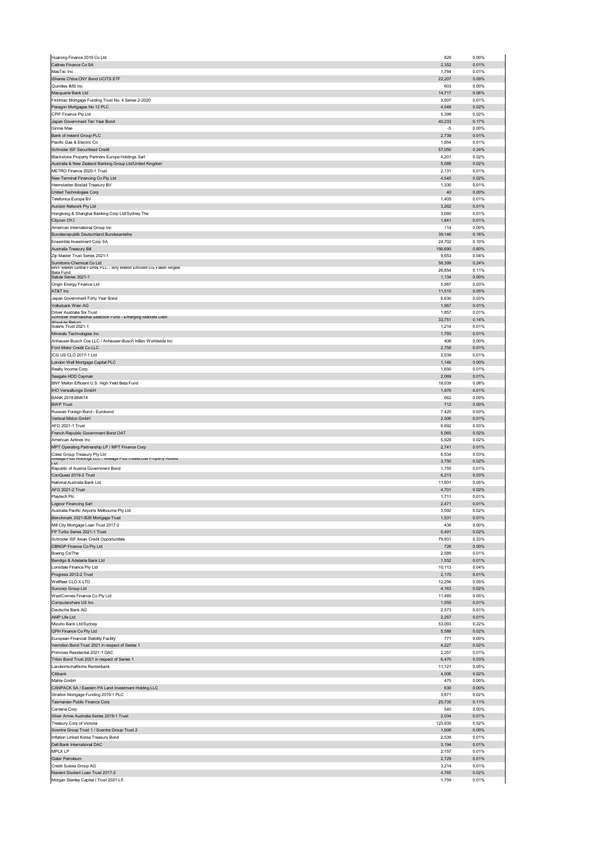| Huarong Finance 2019 Co Ltd                                                                     | 829             | 0.00%          |
|-------------------------------------------------------------------------------------------------|-----------------|----------------|
| Cellnex Finance Co SA                                                                           | 2,352           | 0.01%          |
| MasTec Inc<br>iShares China CNY Bond UCITS ETF                                                  | 1,784<br>22,207 | 0.01%<br>0.09% |
| Quintiles IMS Inc                                                                               | 603             | 0.00%          |
| Macquarie Bank Ltd                                                                              | 14,717          | 0.06%          |
| Firstmac Mortgage Funding Trust No. 4 Series 2-2020                                             | 3,507           | 0.01%          |
| Paragon Mortgages No 12 PLC                                                                     | 4,548           | 0.02%          |
| CPIF Finance Pty Ltd                                                                            | 5,399           | 0.02%          |
| Japan Government Ten Year Bond                                                                  | 40,233          | 0.17%          |
| Ginnie Mae                                                                                      | $-5$            | 0.00%          |
| Bank of Ireland Group PLC                                                                       | 2,739           | 0.01%          |
| Pacific Gas & Electric Co<br>Schroder ISF Securitised Credit                                    | 1,854<br>57,050 | 0.01%<br>0.24% |
| Blackstone Property Partners Europe Holdings Sarl                                               | 4,201           | 0.02%          |
| Australia & New Zealand Banking Group Ltd/United Kingdom                                        | 5,088           | 0.02%          |
| METRO Finance 2020-1 Trust                                                                      | 2,131           | 0.01%          |
| New Terminal Financing Co Pty Ltd                                                               | 4,545           | 0.02%          |
| Heimstaden Bostad Treasury BV                                                                   | 1,330           | 0.01%          |
| United Technologies Corp                                                                        | 40              | 0.00%          |
| Telefonica Europe BV                                                                            | 1,405           | 0.01%          |
| Aurizon Network Pty Ltd                                                                         | 3,262           | 0.01%          |
| Hongkong & Shanghai Banking Corp Ltd/Sydney The<br>Citycon OYJ                                  | 3,060<br>1,841  | 0.01%<br>0.01% |
| American International Group Inc                                                                | 114             | 0.00%          |
| Bundesrepublik Deutschland Bundesanleihe                                                        | 39,146          | 0.16%          |
| Ensemble Investment Corp SA                                                                     | 24,702          | 0.10%          |
| Australia Treasury Bill                                                                         | 190,690         | 0.80%          |
| Zip Master Trust Series 2021-1                                                                  | 9.653           | 0.04%          |
| Sumitomo Chemical Co Ltd<br>BNY Mellon Global Funds PLC - Bny Mellon Efficient US Fallen Angels | 58,399          | 0.24%          |
| Reta Fund                                                                                       | 26,854          | 0.11%          |
| Salute Series 2021-1                                                                            | 1,134           | 0.00%          |
| Origin Energy Finance Ltd<br>AT&T Inc                                                           | 5,987           | 0.03%          |
|                                                                                                 | 11,515          | 0.05%<br>0.03% |
| Japan Government Forty Year Bond<br>Volksbank Wien AG                                           | 6,630<br>1,957  | 0.01%          |
| Driver Australia Six Trust                                                                      | 1,857           | 0.01%          |
| Schroder International Selection Hund - Emerging Markets Debt                                   | 33,751          | 0.14%          |
| Ahenlute Return<br>Solaris Trust 2021-1                                                         | 1,214           | 0.01%          |
| Minerals Technologies Inc                                                                       | 1,793           | 0.01%          |
| Anheuser-Busch Cos LLC / Anheuser-Busch InBev Worldwide Inc                                     | 408             | 0.00%          |
| Ford Motor Credit Co LLC                                                                        | 2,758           | 0.01%          |
| ICG US CLO 2017-1 Ltd                                                                           | 2,539           | 0.01%          |
| London Wall Mortgage Capital PLC                                                                | 1,146           | 0.00%          |
| Realty Income Corp                                                                              | 1,650           | 0.01%          |
| Seagate HDD Cayman                                                                              | 2,069           | 0.01%          |
| BNY Mellon Efficient U.S. High Yield Beta Fund                                                  | 18,039          | 0.08%          |
| <b>HO Verwaltungs GmbH</b>                                                                      | 1,976           | 0.01%          |
| <b>BANK 2018-BNK14</b><br><b>BWP Trust</b>                                                      | 662<br>712      | 0.00%<br>0.00% |
|                                                                                                 | 7,420           |                |
|                                                                                                 |                 |                |
| Russian Foreign Bond - Eurobond                                                                 |                 | 0.03%          |
| Vertical Midco GmbH                                                                             | 2,506           | 0.01%<br>0.03% |
| AFG 2021-1 Trust<br>French Republic Government Bond OAT                                         | 6,692<br>5,065  | 0.02%          |
| American Airlines Inc                                                                           | 5,928           | 0.02%          |
| MPT Operating Partnership LP / MPT Finance Corp                                                 | 2,741           | 0.01%          |
| Coles Group Treasury Pty Ltd                                                                    | 6,534           | 0.03%          |
| Mileage Plus Holdings LLC / Mileage Plus Intellectual Property Assets<br>ht I                   | 3,750           | 0.02%          |
| Republic of Austria Government Bond                                                             | 1,755           | 0.01%          |
| ConQuest 2019-2 Trust                                                                           | 6,213           | 0.03%          |
| National Australia Bank Ltd                                                                     | 11,501          | 0.05%          |
| AFG 2021-2 Trust                                                                                | 4,701           | 0.02%          |
| Playtech Plc                                                                                    | 1,711           | 0.01%<br>0.01% |
| ogicor Financing Sarl                                                                           | 2,471           |                |
| Australia Pacific Airports Melbourne Pty Ltd<br>Benchmark 2021-B26 Mortgage Trust               | 3,592<br>1,531  | 0.02%<br>0.01% |
| Mill City Mortgage Loan Trust 2017-2                                                            | 436             | 0.00%          |
| FP Turbo Series 2021-1 Trust                                                                    | 5,491           | 0.02%          |
| Schroder ISF Asian Credit Opportunities                                                         | 79,931          | 0.33%          |
| DBNGP Finance Co Pty Ltd                                                                        | 726             | 0.00%          |
| Boeing Co/The                                                                                   | 2,589           | 0.01%          |
| Bendigo & Adelaide Bank Ltd                                                                     | 1,552           | 0.01%          |
| Lonsdale Finance Pty Ltd                                                                        | 10,113          | 0.04%          |
| Progress 2012-2 Trust                                                                           | 2,170           | 0.01%          |
| Wellfleet CLO X LTD                                                                             | 12,256          | 0.05%          |
| Suncorp Group Ltd                                                                               | 4,163           | 0.02%          |
| WestConnex Finance Co Pty Ltd<br>Computershare US Inc                                           | 11,485<br>1,555 | 0.05%<br>0.01% |
| Deutsche Bank AG                                                                                | 2,573           | 0.01%          |
| AMP Life Ltd                                                                                    | 2,257           | 0.01%          |
| Mizuho Bank Ltd/Sydney                                                                          | 53,093          | 0.22%          |
| QPH Finance Co Pty Ltd                                                                          | 5,588           | 0.02%          |
| European Financial Stability Facility                                                           | 771             | 0.00%          |
| Vermilion Bond Trust 2021 in respect of Series 1                                                | 4,227           | 0.02%          |
| Primrose Residential 2021-1 DAC                                                                 | 2,257           | 0.01%          |
| Triton Bond Trust 2021 in respect of Series 1                                                   | 6,470           | 0.03%          |
| Landwirtschaftliche Rentenbank                                                                  | 11,121          | 0.05%          |
| Citibank<br>Mahle GmbH                                                                          | 4,006<br>475    | 0.02%<br>0.00% |
| CANPACK SA / Eastern PA Land Investment Holding LLC                                             | 630             | 0.00%          |
| Stratton Mortgage Funding 2019-1 PLC                                                            | 3,871           | 0.02%          |
| Tasmanian Public Finance Corp                                                                   | 25,735          | 0.11%          |
| Centene Corp                                                                                    | 540             | 0.00%          |
| Silver Arrow Australia Series 2019-1 Trust                                                      | 2,034           | 0.01%          |
| Treasury Corp of Victoria                                                                       | 123,935         | 0.52%          |
| Scentre Group Trust 1 / Scentre Group Trust 2                                                   | 1,008           | 0.00%          |
| Inflation Linked Korea Treasury Bond                                                            | 2,539           | 0.01%          |
| Dell Bank International DAC                                                                     | 3,194           | 0.01%          |
| MPLX LP                                                                                         | 2,157           | 0.01%          |
| Qatar Petroleum                                                                                 | 2,729           | 0.01%          |
| Credit Suisse Group AG                                                                          | 3,214           | 0.01%          |
| Navient Student Loan Trust 2017-2<br>Morgan Stanley Capital I Trust 2021-L5                     | 4,765<br>1,759  | 0.02%<br>0.01% |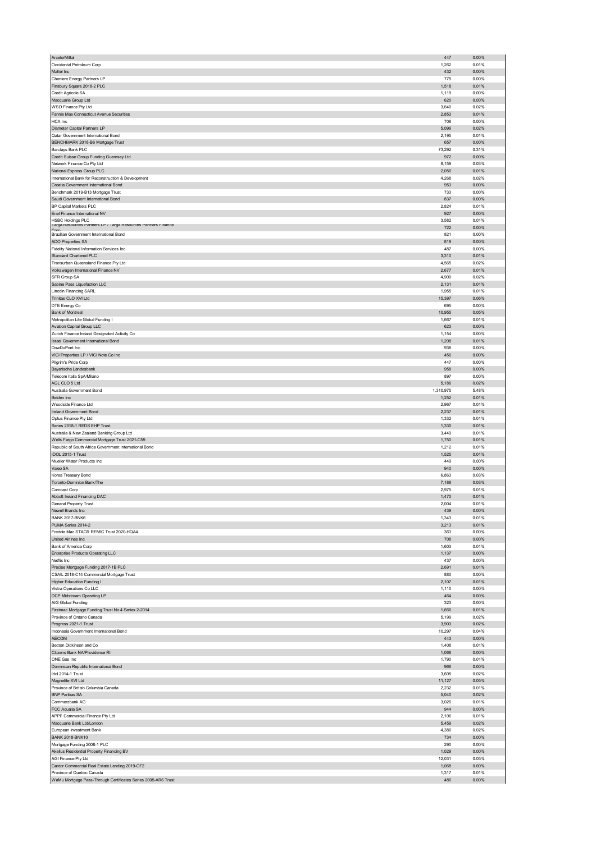| ArcelorMittal                                                                              | 447            | 0.00%             |
|--------------------------------------------------------------------------------------------|----------------|-------------------|
| Occidental Petroleum Corp                                                                  | 1,262          | 0.01%             |
| Mattel Inc                                                                                 | 432            | 0.00%             |
| Cheniere Energy Partners LP                                                                | 775            | 0.00%             |
| Finsbury Square 2018-2 PLC                                                                 | 1,518          | 0.01%             |
| Credit Agricole SA                                                                         | 1,119          | 0.00%             |
| Macquarie Group Ltd                                                                        | 620            | 0.00%             |
| WSO Finance Pty Ltd                                                                        | 3,640          | 0.02%             |
| Fannie Mae Connecticut Avenue Securities                                                   | 2,853          | 0.01%             |
| <b>HCA</b> Inc                                                                             | 708            | 0.00%             |
| Diameter Capital Partners LP                                                               | 5,096          | 0.02%             |
| Qatar Government International Bond                                                        | 2,195          | 0.01%             |
| BENCHMARK 2018-B6 Mortgage Trust                                                           | 657            | 0.00%             |
| Barclays Bank PLC                                                                          | 73,292         | 0.31%             |
| Credit Suisse Group Funding Guernsey Ltd                                                   | 972            | 0.00%             |
| Network Finance Co Pty Ltd                                                                 | 8,159          | 0.03%             |
| National Express Group PLC                                                                 | 2,056          | 0.01%             |
| International Bank for Reconstruction & Development                                        | 4,268          | 0.02%             |
| Croatia Government International Bond                                                      | 953            | 0.00%             |
| Benchmark 2019-B13 Mortgage Trust                                                          | 733            | 0.00%             |
| Saudi Government International Bond                                                        | 837            | 0.00%             |
| BP Capital Markets PLC                                                                     | 2,824          | 0.01%             |
| Enel Finance International NV                                                              | 927            | 0.00%             |
| <b>HSBC Holdings PLC</b><br>Targa Resources Partners LP / Targa Resources Partners Finance | 3,582          | 0.01%             |
| Corr                                                                                       | 722            | 0.00%             |
| Brazilian Government International Bond                                                    | 821            | 0.00%             |
| <b>ADO Properties SA</b>                                                                   | 819            | 0.00%             |
| Fidelity National Information Services Inc.                                                | 487            | 0.00%             |
| Standard Chartered PLC                                                                     | 3,310          | 0.01%             |
| Transurban Queensland Finance Pty Ltd                                                      | 4,565          | 0.02%             |
| Volkswagen International Finance NV                                                        | 2,677          | 0.01%             |
| SFR Group SA                                                                               | 4,900          | 0.02%             |
| Sabine Pass Liquefaction LLC                                                               | 2,131          | 0.01%             |
| <b>Lincoln Financing SARL</b>                                                              | 1,955          | 0.01%             |
| Trinitas CLO XVI Ltd                                                                       | 15,397         | 0.06%             |
| DTE Energy Co                                                                              | 695            | 0.00%             |
| Bank of Montreal                                                                           | 10,955         | 0.05%             |
| Metropolitan Life Global Funding I                                                         | 1,667          | 0.01%             |
| Aviation Capital Group LLC                                                                 | 623            | 0.00%             |
| Zurich Finance Ireland Designated Activity Co                                              | 1,154          | 0.00%             |
| Israel Government International Bond                                                       | 1,208          | 0.01%             |
| DowDuPont Inc                                                                              | 938            | 0.00%             |
| VICI Properties LP / VICI Note Co Inc                                                      | 456            | 0.00%             |
| Pilgrim's Pride Corp                                                                       | 447            | 0.00%             |
| Bayerische Landesbank                                                                      | 958            | 0.00%             |
| Telecom Italia SpA/Milano                                                                  | 897            | 0.00%             |
| AGL CLO 5 Ltd                                                                              | 5,186          | 0.02%             |
| Australia Government Bond                                                                  | 1,310,975      | 5.48%             |
| Belden Inc                                                                                 | 1,252          | 0.01%             |
| Woodside Finance Ltd                                                                       | 2,967          | 0.01%             |
| Ireland Government Bond                                                                    | 2,237<br>1,332 | 0.01%<br>0.01%    |
| Optus Finance Pty Ltd                                                                      | 1,330          |                   |
|                                                                                            |                |                   |
| Series 2018-1 REDS EHP Trust                                                               |                | 0.01%             |
| Australia & New Zealand Banking Group Ltd                                                  | 3,449          | 0.01%             |
| Wells Fargo Commercial Mortgage Trust 2021-C59                                             | 1,750          | 0.01%             |
| Republic of South Africa Government International Bond                                     | 1,212          | 0.01%             |
| IDOL 2015-1 Trust                                                                          | 1,525          | 0.01%             |
| Mueller Water Products Inc                                                                 | 449            | 0.00%             |
| Valeo SA                                                                                   | 940            | 0.00%             |
| Korea Treasury Bond                                                                        | 6,863          | 0.03%             |
| Toronto-Dominion Bank/The                                                                  | 7,188          | 0.03%             |
| Comcast Corp                                                                               | 2,975          | 0.01%             |
| Abbott Ireland Financing DAC                                                               | 1,470          | 0.01%             |
| General Property Trust                                                                     | <b>2,004</b>   | <b>U.U1%</b>      |
| Newell Brands Inc<br><b>BANK 2017-BNK6</b>                                                 | 439            | 0.00%<br>0.01%    |
|                                                                                            | 1,343          | 0.01%             |
| PUMA Series 2014-2<br>Freddie Mac STACR REMIC Trust 2020-HQA4                              | 3,213<br>363   | 0.00%             |
|                                                                                            |                |                   |
| United Airlines Inc<br>Bank of America Corp                                                | 708<br>1,603   | $0.00\%$<br>0.01% |
| Enterprise Products Operating LLC                                                          | 1,137          | $0.00\%$          |
| Netflix Inc                                                                                | 437            | 0.00%             |
| Precise Mortgage Funding 2017-1B PLC                                                       | 2,691          | 0.01%             |
| CSAIL 2018-C14 Commercial Mortgage Trust                                                   | 880            | 0.00%             |
| Higher Education Funding I                                                                 | 2,107          | 0.01%             |
| Vistra Operations Co LLC                                                                   | 1,110          | 0.00%             |
| DCP Midstream Operating LP                                                                 | 464            | 0.00%             |
| AIG Global Funding                                                                         | 323            | 0.00%             |
| Firstmac Mortgage Funding Trust No 4 Series 2-2014                                         | 1,666          | 0.01%             |
| Province of Ontario Canada                                                                 | 5,199          | 0.02%             |
| Progress 2021-1 Trust                                                                      | 3,903          | 0.02%             |
| Indonesia Government International Bond                                                    | 10,297         | 0.04%             |
| <b>AECOM</b>                                                                               | 443            | 0.00%             |
| Becton Dickinson and Co                                                                    | 1,408          | 0.01%             |
| Citizens Bank NA/Providence RI                                                             | 1,068          | 0.00%             |
| ONE Gas Inc                                                                                | 1,790          | 0.01%             |
| Dominican Republic International Bond                                                      | 966            | $0.00\%$          |
| Idol 2014-1 Trust                                                                          | 3,605          | 0.02%             |
| Magnetite XVI Ltd                                                                          | 11,127         | 0.05%             |
| Province of British Columbia Canada                                                        | 2,232          | 0.01%             |
| <b>BNP Paribas SA</b>                                                                      | 5,040          | 0.02%             |
| Commerzbank AG                                                                             | 3,026          | 0.01%             |
| FCC Aqualia SA                                                                             | 944            | $0.00\%$          |
| APPF Commercial Finance Pty Ltd                                                            | 2,106          | 0.01%             |
| Macquarie Bank Ltd/London                                                                  | 5,459          | 0.02%             |
| European Investment Bank                                                                   | 4,386          | 0.02%             |
| <b>BANK 2018-BNK10</b>                                                                     | 734            | 0.00%             |
| Mortgage Funding 2008-1 PLC                                                                | 290            | 0.00%             |
| Akelius Residential Property Financing BV                                                  | 1,029          | 0.00%             |
| AGI Finance Pty Ltd                                                                        | 12,031         | 0.05%             |
| Cantor Commercial Real Estate Lending 2019-CF2                                             | 1,068          | 0.00%             |
| Province of Quebec Canada<br>WaMu Mortgage Pass-Through Certificates Series 2005-AR6 Trust | 1,317<br>486   | 0.01%<br>0.00%    |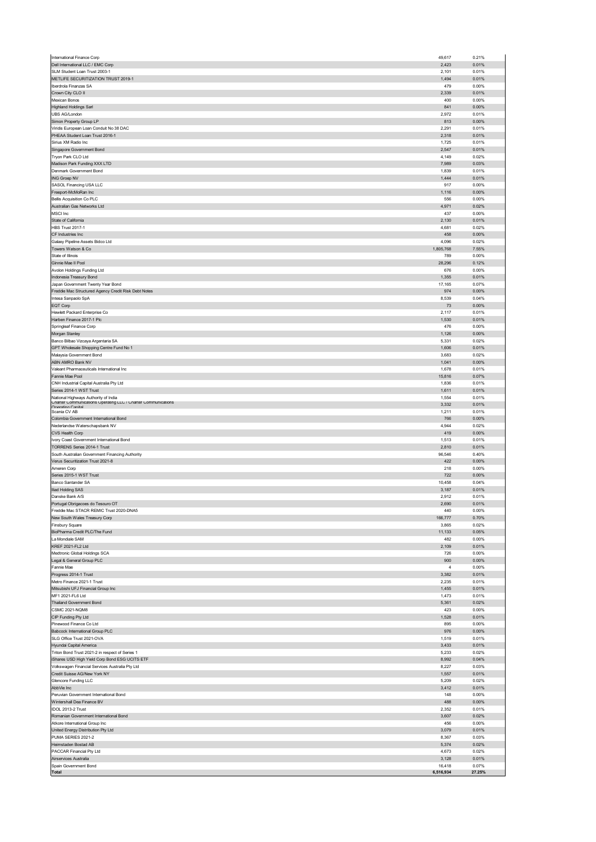|                                                               | 49,617              | 0.21%           |
|---------------------------------------------------------------|---------------------|-----------------|
| Dell International LLC / EMC Corp                             | 2,423               | 0.01%           |
| SLM Student Loan Trust 2003-1                                 | 2,101               | 0.01%           |
| METLIFE SECURITIZATION TRUST 2019-1                           | 1,494               | 0.01%           |
| Iberdrola Finanzas SA                                         | 479                 | 0.00%           |
| Crown City CLO II                                             | 2,339               | 0.01%           |
| Mexican Bonos                                                 | 400                 | 0.00%           |
| <b>Highland Holdings Sarl</b>                                 | 841                 | 0.00%           |
| UBS AG/London                                                 | 2,972               | 0.01%           |
| Simon Property Group LP                                       | 813                 | 0.00%           |
| Viridis European Loan Conduit No 38 DAC                       | 2,291               | 0.01%           |
| PHEAA Student Loan Trust 2016-1                               | 2,318               | 0.01%           |
| Sirius XM Radio Inc                                           | 1,725               | 0.01%           |
| Singapore Government Bond                                     | 2,547               | 0.01%           |
| Tryon Park CLO Ltd                                            | 4,149               | 0.02%           |
| Madison Park Funding XXX LTD                                  | 7,989               | 0.03%           |
| Denmark Government Bond                                       | 1,839               | 0.01%           |
|                                                               | 1,444               | 0.01%           |
| ING Groep NV                                                  | 917                 | 0.00%           |
| SASOL Financing USA LLC                                       |                     |                 |
| Freeport-McMoRan Inc                                          | 1,116               | $0.00\%$        |
| <b>Bellis Acquisition Co PLC</b>                              | 556                 | 0.00%           |
| Australian Gas Networks Ltd                                   | 4,971               | 0.02%           |
| MSCI Inc                                                      | 437                 | 0.00%           |
| State of California                                           | 2,130               | 0.01%           |
| <b>HBS Trust 2017-1</b>                                       | 4,681               | 0.02%           |
| CF Industries Inc                                             | 458                 | 0.00%           |
| Galaxy Pipeline Assets Bidco Ltd                              | 4,096               | 0.02%           |
| Towers Watson & Co                                            | 1,805,768           | 7.55%           |
| State of Illinois                                             | 789                 | 0.00%           |
| Ginnie Mae II Pool                                            | 28,296              | 0.12%           |
| Avolon Holdings Funding Ltd                                   | 676                 | 0.00%           |
| Indonesia Treasury Bond                                       | 1,355               | 0.01%           |
| Japan Government Twenty Year Bond                             | 17,165              | 0.07%           |
| Freddie Mac Structured Agency Credit Risk Debt Notes          | 974                 | $0.00\%$        |
| Intesa Sanpaolo SpA                                           | 8,539               | 0.04%           |
|                                                               |                     |                 |
| EQT Corp<br>Hewlett Packard Enterprise Co                     | 73                  | 0.00%           |
|                                                               | 2,117               | 0.01%           |
| Harben Finance 2017-1 Plc                                     | 1,530               | 0.01%           |
| Springleaf Finance Corp                                       | 476                 | 0.00%           |
| Morgan Stanley                                                | 1,126               | 0.00%           |
| Banco Bilbao Vizcaya Argentaria SA                            | 5,331               | 0.02%           |
| GPT Wholesale Shopping Centre Fund No 1                       | 1,606               | 0.01%           |
| Malaysia Government Bond                                      | 3,683               | 0.02%           |
| ABN AMRO Bank NV                                              | 1,041               | 0.00%           |
| Valeant Pharmaceuticals International Inc                     | 1,678               | 0.01%           |
| Fannie Mae Pool                                               | 15,816              | 0.07%           |
| CNH Industrial Capital Australia Pty Ltd                      | 1,836               | 0.01%           |
| Series 2014-1 WST Trust                                       | 1,611               | 0.01%           |
| National Highways Authority of India                          | 1,554               | 0.01%           |
| Charter Communications Operating LLC / Charter Communications | 3,332               | 0.01%           |
| Onerating Canital                                             | 1,211               | 0.01%           |
| Scania CV AB                                                  |                     |                 |
| Colombia Government International Bond                        | 766                 | $0.00\%$        |
| Nederlandse Waterschapsbank NV                                | 4,944               | 0.02%           |
| CVS Health Corp                                               | 419                 | 0.00%           |
| Ivory Coast Government International Bond                     | 1,513               | 0.01%           |
| TORRENS Series 2014-1 Trust                                   | 2,810               | 0.01%           |
|                                                               |                     |                 |
| South Australian Government Financing Authority               | 96,546              | 0.40%           |
| Verus Securitization Trust 2021-8                             | 422                 | 0.00%           |
| Ameren Corp                                                   | 218                 | 0.00%           |
| Series 2015-1 WST Trust                                       | 722                 | 0.00%           |
| Banco Santander SA                                            | 10,458              | 0.04%           |
|                                                               | 3,187               | 0.01%           |
| Iliad Holding SAS                                             |                     |                 |
| Danske Bank A/S                                               | 2,912               | 0.01%           |
| ortugal Obrigacoes do Tesouro OT                              |                     | 0.01%           |
| Freddie Mac STACR REMIC Trust 2020-DNA5                       | 440                 | 0.00%           |
| New South Wales Treasury Corp                                 | 166,777             | 0.70%           |
| Finsbury Square                                               | 3,865               | 0.02%           |
| BioPharma Credit PLC/The Fund                                 | 11,133              | 0.05%           |
| La Mondiale SAM                                               | 482                 | 0.00%           |
| KREF 2021-FL2 Ltd                                             | 2,109               | 0.01%           |
| Medtronic Global Holdings SCA                                 | 726                 | 0.00%           |
| Legal & General Group PLC                                     | 900                 | $0.00\%$        |
| Fannie Mae                                                    | $\overline{4}$      | 0.00%           |
| Progress 2014-1 Trust                                         | 3,382               | 0.01%           |
| Metro Finance 2021-1 Trust                                    | 2,235               | 0.01%           |
| Mitsubishi UFJ Financial Group Inc                            | 1,455               | 0.01%           |
| MF1 2021-FL6 Ltd                                              | 1,473               | 0.01%           |
| Thailand Government Bond                                      | 5,361               | 0.02%           |
| CSMC 2021-NQM8                                                | 423                 | 0.00%           |
| CIP Funding Pty Ltd                                           | 1,528               | 0.01%           |
| Pinewood Finance Co Ltd                                       | 895                 | 0.00%           |
| <b>Babcock International Group PLC</b>                        | 976                 | $0.00\%$        |
| SLG Office Trust 2021-OVA                                     | 1,519               | 0.01%           |
| Hyundai Capital America                                       | 3,433               | 0.01%           |
| Triton Bond Trust 2021-2 in respect of Series 1               | 5,233               | 0.02%           |
|                                                               | 8,992               | 0.04%           |
| iShares USD High Yield Corp Bond ESG UCITS ETF                |                     |                 |
| Volkswagen Financial Services Australia Pty Ltd               | 8,227               | 0.03%           |
| Credit Suisse AG/New York NY                                  | 1,557               | 0.01%           |
| Glencore Funding LLC                                          | 5,209               | 0.02%           |
| AbbVie Inc                                                    | 3,412               | 0.01%           |
| Peruvian Government International Bond                        | 148                 | 0.00%           |
| Wintershall Dea Finance BV                                    | 488                 | $0.00\%$        |
| IDOL 2013-2 Trust                                             | 2,352               | 0.01%           |
| Romanian Government International Bond                        | 3,607               | 0.02%           |
| Atkore International Group Inc                                | 456                 | 0.00%           |
| United Energy Distribution Pty Ltd                            | 3,079               | 0.01%           |
| PUMA SERIES 2021-2                                            | 8,367               | 0.03%           |
| Heimstaden Bostad AB                                          | 5,374               | 0.02%           |
| PACCAR Financial Pty Ltd                                      | 4,673               | 0.02%           |
| Airservices Australia                                         | 3,128               | 0.01%           |
| Spain Government Bond                                         | 16,418<br>6,516,934 | 0.07%<br>27.25% |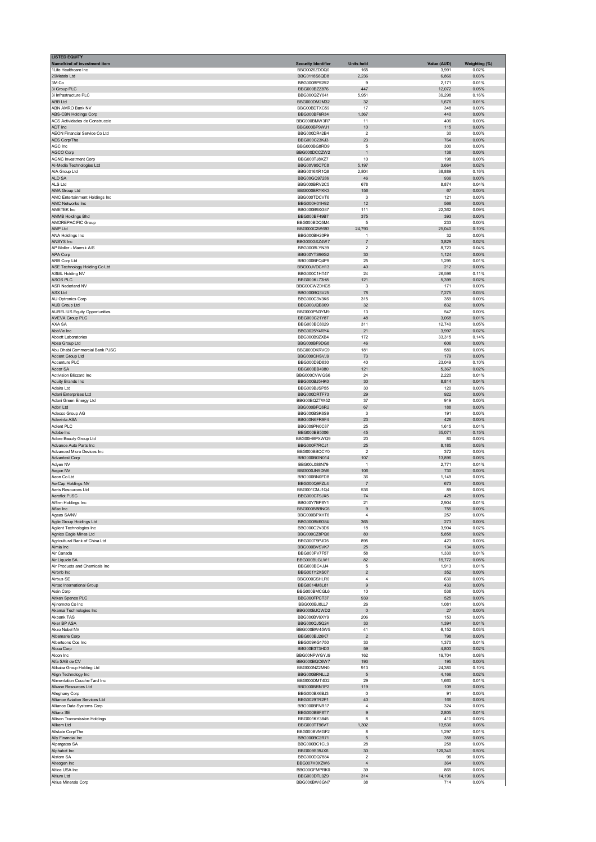| <b>LISTED EQUITY</b><br>Name/kind of investment item | <b>Security Identifier</b>   | <b>Units held</b>    | Value (AUD)    | Weighting (%)  |
|------------------------------------------------------|------------------------------|----------------------|----------------|----------------|
| 1Life Healthcare Inc                                 | BBG0026ZDDQ0                 | 165                  | 3,991          | 0.02%          |
| 29Metals Ltd                                         | BBG0118S6QD8                 | 2,236                | 6,866          | 0.03%          |
| 3M Co                                                | BBG000BP52R2                 | 9                    | 2,171          | 0.01%          |
| 3i Group PLC                                         | BBG000BZZ876                 | 447                  | 12,072         | 0.05%          |
| 3i Infrastructure PLC                                | BBG000QZY041                 | 5,951                | 39,298         | 0.16%          |
| <b>ABB Ltd</b>                                       | BBG000DM2M32                 | 32                   | 1,676          | 0.01%          |
| ABN AMRO Bank NV                                     | BBG00BDTXC59                 | 17                   | 348            | 0.00%          |
| <b>ABS-CBN Holdings Corp</b>                         | BBG000BF6R34                 | 1,367                | 440            | 0.00%          |
| ACS Actividades de Construccio                       | BBG000BMW3R7                 | 11                   | 406            | 0.00%          |
| ADT Inc                                              | BBG000BP9WJ1                 | 10                   | 115            | 0.00%          |
| AEON Financial Service Co Ltd                        | BBG000DR42B4                 | $\overline{2}$       | 30             | 0.00%          |
| AES Corp/The                                         | BBG000C23KJ3                 | 23                   | 764            | 0.00%          |
| AGC Inc                                              | BBG000BG8RD9                 | 5                    | 300            | 0.00%          |
| AGCO Corp                                            | BBG000DCCZW2                 | $\overline{1}$       | 138            | 0.00%          |
| <b>AGNC Investment Corp</b>                          | BBG000TJ8XZ7<br>BBG00V95C7C8 | 10                   | 198            | 0.00%          |
| Al-Media Technologies Ltd                            | BBG0016XR1Q8                 | 5,197                | 3,664          | 0.02%          |
| AIA Group Ltd                                        |                              | 2,804                | 38,889         | 0.16%          |
| ALD SA                                               | BBG00GQ97286                 | 46                   | 936            | 0.00%          |
| ALS Ltd                                              | BBG000BRV2C5                 | 678                  | 8,874          | 0.04%          |
| AMA Group Ltd                                        | BBG000BRYKK3                 | 156                  | 67             | 0.00%          |
| AMC Entertainment Holdings Inc                       | BBG000TDCVT6                 | 3                    | 121            | 0.00%          |
| AMC Networks Inc                                     | BBG000H01H92                 | 12                   | 566            | 0.00%          |
| <b>AMETEK Inc</b>                                    | BBG000B9XG87                 | 111                  | 22,362         | 0.09%          |
| AMMB Holdings Bhd                                    | BBG000BF49B7                 | 375                  | 393            | 0.00%          |
| AMOREPACIFIC Group                                   | BBG000BDQ5M4                 | 5                    | 233            | 0.00%          |
| AMP Ltd                                              | BBG000C2W693                 | 24,793               | 25,040         | 0.10%          |
| ANA Holdings Inc                                     | BBG000BH20P9                 | $\overline{1}$       | 32             | 0.00%          |
| ANSYS Inc                                            | BBG000GXZ4W7                 | 7                    | 3,829          | 0.02%          |
| AP Moller - Maersk A/S                               | BBG000BLYN39                 | $\overline{2}$       | 8,723          | 0.04%          |
| APA Corp                                             | BBG00YTS96G2                 | 30                   | 1,124          | 0.00%          |
| ARB Corp Ltd                                         | BBG000BFQ4P9                 | 25                   | 1,295          | 0.01%          |
| ASE Technology Holding Co Ltd                        | BBG00JVDCH13                 | 40                   | 212            | 0.00%          |
| ASML Holding NV                                      | BBG000C1HT47                 | 24                   | 26,598         | 0.11%          |
| ASOS PLC                                             | BBG000KL73H8                 | 121                  | 5,399          | 0.02%          |
| <b>ASR Nederland NV</b>                              | BBG00CWZ0HG5                 | 3                    | 171            | 0.00%          |
| ASX Ltd                                              | BBG000BQ3V25                 | 78                   | 7,275          | 0.03%          |
| AU Optronics Corp                                    | BBG000C3V3K6                 | 315                  | 359            | 0.00%          |
| <b>AUB Group Ltd</b>                                 | BBG000JQB909                 | 32                   | 832            | 0.00%          |
| <b>AURELIUS Equity Opportunities</b>                 | BBG000PN3YM9                 | 13                   | 547            | 0.00%          |
| <b>AVEVA Group PLC</b>                               | BBG000C21Y87                 | 48                   | 3,068          | 0.01%          |
| AXA SA                                               | BBG000BC8029                 | 311                  | 12,740         | 0.05%          |
| AbbVie Inc                                           | BBG0025Y4RY4                 | 21                   | 3,997          | 0.02%          |
| Abbott Laboratories                                  | BBG000B9ZXB4                 | 172                  | 33,315         | 0.14%          |
| Absa Group Ltd                                       | BBG000BF9DG8                 | 46                   | 606            | 0.00%          |
| Abu Dhabi Commercial Bank PJSC                       | BBG000DKRVC9                 | 181                  | 580            | 0.00%          |
| Accent Group Ltd                                     | BBG000CHSVJ9                 | 73                   | 179            | 0.00%          |
| Accenture PLC                                        | BBG000D9D830                 | 40                   | 23,049         | 0.10%<br>0.02% |
| Accor SA                                             | BBG000BB4980                 | 121                  | 5,367          | 0.01%          |
| Activision Blizzard Inc                              | BBG000CVWGS6                 | 24                   | 2,220          |                |
| Acuity Brands Inc                                    | BBG000BJ5HK0                 | 30                   | 8,814          | 0.04%          |
| Adairs Ltd                                           | BBG009BJSP55                 | 30                   | 120            | 0.00%          |
| Adani Enterprises Ltd                                | BBG000DRTF73                 | 29                   | 922            | 0.00%          |
| Adani Green Energy Ltd                               | BBG00BQZTW52                 | 37                   | 919            | 0.00%          |
| Adbri Ltd                                            | BBG000BFQ6R2                 | 67                   | 188            | 0.00%          |
| Adecco Group AG                                      | BBG000BSK6S9                 | 3                    | 191            | 0.00%          |
| Adevinta ASA                                         | BBG00N6FR9F4                 | 23                   | 428            | 0.00%          |
| Adient PLC                                           | BBG009PN0C87                 | 25                   | 1,615          | 0.01%          |
| Adobe Inc                                            | BBG000BB5006                 | 45                   | 35,071         | 0.15%          |
| Adore Beauty Group Ltd                               | BBG00HBPXWQ9                 | 20                   | 80             | 0.00%          |
| Advance Auto Parts Inc.                              | BBG000F7RCJ1                 | 25                   | 8,185          | 0.03%          |
| Advanced Micro Devices Inc                           | BBG000BBQCY0                 | $\overline{2}$       | 372            | 0.00%          |
| <b>Advantest Corp</b>                                | BBG000BGN014                 | 107                  | 13,896         | 0.06%          |
| Adyen NV                                             | BBG00L088N79                 | $\overline{1}$       | 2,771          | 0.01%          |
| Aegon NV                                             | BBG000JN9DM6                 | 106                  | 730            | 0.00%          |
| Aeon Co Ltd                                          | BBG000BN0FD8                 | 36                   | 1,149          | 0.00%          |
| AerCap Holdings NV                                   | BBG000Q9FZL4                 | $\overline{7}$       | 673            | 0.00%          |
| Aeris Resources Ltd                                  | BBG001CMJ1Q4                 | 536                  | 89             | 0.00%          |
| Aeroflot PJSC                                        | BBG000CT9JX5                 | 74                   | 425            | 0.00%          |
| Affirm Holdings Inc                                  | <b>BRC00V7BD8V1</b>          | 21                   | anz            | 0.01%          |
| Aflac Inc                                            | BBG000BBBNC6                 | 9                    | 755            | 0.00%          |
| Ageas SA/NV                                          | BBG000BPXHT6                 | 4                    | 257            | 0.00%          |
| Agile Group Holdings Ltd                             | BBG000BM9384                 | 365                  | 273            | 0.00%          |
| Agilent Technologies Inc                             | BBG000C2V3D6                 | 18                   | 3,904          | 0.02%          |
| Agnico Eagle Mines Ltd                               | BBG000CZ8PQ6                 | 80                   | 5,858          | 0.02%          |
| Agricultural Bank of China Ltd                       | BBG000T9PJD5                 | 895                  | 423            | 0.00%          |
| Aimia Inc                                            | BBG000BVSVK7                 | 25                   | 134            | 0.00%          |
| Air Canada                                           | BBG000PV7F57                 | 58                   | 1,330          | 0.01%          |
| Air Liquide SA                                       | BBG000BLGLW1                 | 82                   | 19,772         | 0.08%          |
| Air Products and Chemicals Inc                       | BBG000BC4JJ4                 | $\mathbf 5$          | 1,913          | 0.01%          |
| Airbnb Inc                                           | BBG001Y2XS07                 | $\overline{2}$       | 352            | 0.00%          |
| Airbus SE                                            | BBG000CSHLR0                 | $\overline{4}$       | 630            | 0.00%          |
| Airtac International Group                           | BBG0014M8L81                 | 9                    | 433            | 0.00%          |
| Aisin Corp                                           | BBG000BMCGL6                 | 10                   | 538            | 0.00%          |
| Aitken Spence PLC                                    | BBG000FPCT37                 | 939                  | 525            | 0.00%          |
| Ajinomoto Co Inc                                     | BBG000BJ8LL7                 | 26                   | 1,081          | 0.00%          |
| Akamai Technologies Inc                              | BBG000BJQWD2                 | $\pmb{0}$            | 27             | 0.00%          |
| Akbank TAS                                           | BBG000BV9XY9                 | 206                  | 153            | 0.00%          |
| Aker BP ASA                                          | BBG000QJ5Q24                 | 33                   | 1,394          | 0.01%          |
| Akzo Nobel NV                                        | BBG000BW45W5                 | 41                   | 6,152          | 0.03%          |
| Albemarle Corp                                       | BBG000BJ26K7<br>BBG009KG1750 | $\overline{c}$<br>33 | 798            | 0.00%<br>0.01% |
| Albertsons Cos Inc<br>Alcoa Corp                     | BBG00B3T3HD3                 | 59                   | 1,370<br>4,803 | 0.02%          |
| Alcon Inc                                            | BBG00NPWGYJ9                 | 162                  | 19,704         | 0.08%          |
| Alfa SAB de CV                                       | BBG000BQC6W7                 | 193                  | 195            | 0.00%          |
| Alibaba Group Holding Ltd                            | BBG000NZ2MN0                 | 913                  | 24,380         | 0.10%          |
| Align Technology Inc                                 | BBG000BRNLL2                 | 5                    | 4,166          | 0.02%          |
| Alimentation Couche-Tard Inc                         | BBG000DMT4D2                 | 29                   | 1,660          | 0.01%          |
| Alkane Resources Ltd                                 | BBG000BRN1P2                 | 119                  | 109            | 0.00%          |
| Alleghany Corp                                       | BBG000BX6BJ3                 | 0                    | 91             | 0.00%          |
| Alliance Aviation Services Ltd                       | BBG0029TR2P1                 | 40                   | 166            | 0.00%          |
| Alliance Data Systems Corp                           | BBG000BFNR17                 | $\overline{4}$       | 324            | 0.00%          |
| Allianz SE                                           | BBG000BBF8T7                 | 9                    | 2,805          | 0.01%          |
| Allison Transmission Holdings                        | BBG001KY3845                 | 8                    | 410            | 0.00%          |
| Allkem Ltd                                           | BBG000TT96V7                 | 1,302                | 13,536         | 0.06%          |
| Allstate Corp/The                                    | BBG000BVMGF2                 | 8                    | 1,297          | 0.01%          |
| Ally Financial Inc                                   | BBG000BC2R71                 | 5                    | 358            | 0.00%          |
| Alpargatas SA                                        | BBG000BC1CL9                 | 28                   | 258            | 0.00%          |
| Alphabet Inc                                         | BBG009S39JX6                 | 30                   | 120,340        | 0.50%          |
| Alstom SA                                            | BBG000DQ7884                 | $\overline{2}$       | 96             | 0.00%          |
| Alteogen Inc                                         | BBG007H0XZW6                 | $\overline{4}$       | 364            | 0.00%          |
| Altice USA Inc                                       | BBG00GFMPRK0                 | 39                   | 865            | 0.00%          |
| Altium Ltd                                           | BBG000DTL0Z9                 | 314                  | 14,196         | 0.06%          |
| Altius Minerals Corp                                 | BBG000BW8GN7                 | 38                   | 714            | 0.00%          |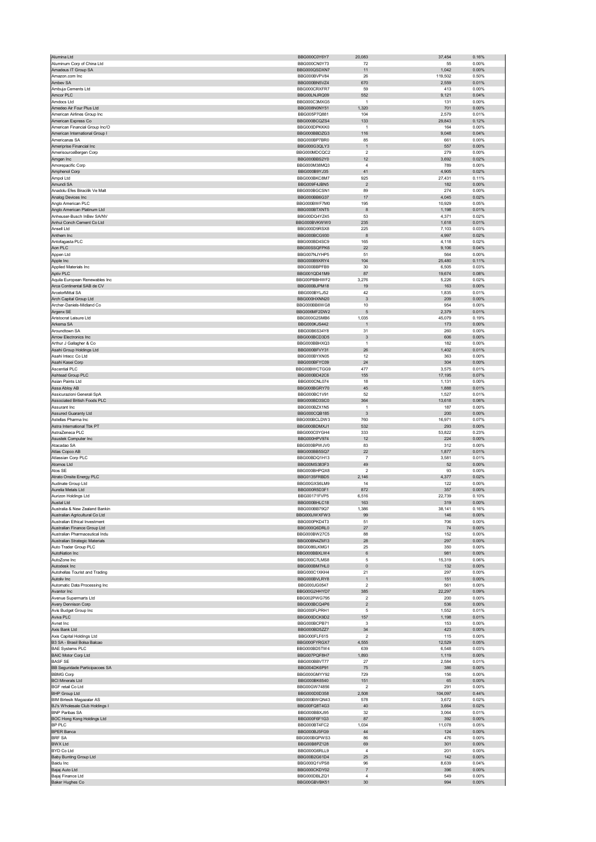| Alumina Ltd                                                        | BBG000C0Y6Y7                 | 20,083                    | 37,454           | 0.16%          |
|--------------------------------------------------------------------|------------------------------|---------------------------|------------------|----------------|
| Aluminum Corp of China Ltd                                         | BBG000CN0Y73                 | 72                        | 55               | 0.00%          |
| Amadeus IT Group SA                                                | BBG000QSDXN7                 | 11                        | 1,042            | 0.00%          |
| Amazon.com Inc.                                                    | BBG000BVPV84                 | 26                        | 119,502          | 0.50%          |
| Ambev SA                                                           | BBG000BN5VZ4                 | 670                       | 2,559            | 0.01%          |
| Ambuja Cements Ltd<br>Amcor PLC                                    | BBG000CRXFR7<br>BBG00LNJRQ09 | 59<br>552                 | 413<br>9,121     | 0.00%<br>0.04% |
| Amdocs Ltd                                                         | BBG000C3MXG5                 | $\mathbf{1}$              | 131              | 0.00%          |
| Amedeo Air Four Plus Ltd                                           | BBG008N0NY51                 | 1,320                     | 701              | 0.00%          |
| American Airlines Group Inc                                        | BBG005P7Q881                 | 104                       | 2,579            | 0.01%          |
| American Express Co                                                | BBG000BCQZS4                 | 133                       | 29,843           | 0.12%          |
| American Financial Group Inc/O                                     | BBG000DPKKK0                 | $\mathbf{1}$              | 164              | 0.00%          |
| American International Group I                                     | BBG000BBDZG3                 | 116                       | 9,048            | 0.04%          |
| Americanas SA                                                      | BBG000BP7BR0                 | 85                        | 661              | 0.00%          |
| Ameriprise Financial Inc                                           | BBG000G3QLY3                 | $\mathbf{1}$              | 557              | 0.00%          |
| AmerisourceBergen Corp                                             | BBG000MDCQC2<br>BBG000BBS2Y0 | $\overline{2}$<br>12      | 279<br>3,692     | 0.00%<br>0.02% |
| Amgen Inc<br>Amorepacific Corp                                     | BBG000M38MQ3                 | $\sqrt{4}$                | 789              | 0.00%          |
| Amphenol Corp                                                      | BBG000B9YJ35                 | 41                        | 4,905            | 0.02%          |
| Ampol Ltd                                                          | BBG000BKC8M7                 | 925                       | 27,431           | 0.11%          |
| Amundi SA                                                          | BBG009F4JBN5                 | $\sqrt{2}$                | 182              | 0.00%          |
| Anadolu Efes Biracilik Ve Malt                                     | BBG000BGCSN1                 | 89                        | 274              | 0.00%          |
| Analog Devices Inc                                                 | BBG000BB6G37                 | 17                        | 4,045            | 0.02%          |
| Anglo American PLC                                                 | BBG000BWF7M0                 | 195                       | 10,929           | 0.05%          |
| Anglo American Platinum Ltd                                        | BBG000BTXNT5                 | 8                         | 1,198            | 0.01%          |
| Anheuser-Busch InBev SA/NV<br>Anhui Conch Cement Co Ltd            | BBG00DQ4YZ45<br>BBG000BVKWW0 | 53<br>235                 | 4,371<br>1,618   | 0.02%<br>0.01% |
| Ansell Ltd                                                         | BBG000D9RSX8                 | 225                       | 7,103            | 0.03%          |
| Anthem Inc                                                         | BBG000BCG930                 | 8                         | 4,997            | 0.02%          |
| Antofagasta PLC                                                    | BBG000BD4SC9                 | 165                       | 4,118            | 0.02%          |
| Aon PLC                                                            | BBG00SSQFPK6                 | 22                        | 9,106            | 0.04%          |
| Appen Ltd                                                          | BBG007NJYHP5                 | 51                        | 564              | 0.00%          |
| Apple Inc                                                          | BBG000B9XRY4                 | 104                       | 25,480           | 0.11%          |
| Applied Materials Inc                                              | BBG000BBPFB9                 | 30                        | 6,505            | 0.03%          |
| Aptiv PLC<br>Aquila European Renewables Inc                        | BBG001QD41M9<br>BBG00PBBHWF2 | 87<br>3,276               | 19,674<br>5,226  | 0.08%<br>0.02% |
| Arca Continental SAB de CV                                         | BBG000BJPM18                 | 19                        | 163              | 0.00%          |
| ArcelorMittal SA                                                   | BBG000BYLJ52                 | 42                        | 1,835            | 0.01%          |
| Arch Capital Group Ltd                                             | BBG000HXNN20                 | $\ensuremath{\mathsf{3}}$ | 209              | $0.00\%$       |
| Archer-Daniels-Midland Co                                          | BBG000BB6WG8                 | 10                        | 954              | 0.00%          |
| Argenx SE                                                          | BBG006MF2DW2                 | 5                         | 2,379            | 0.01%          |
| Aristocrat Leisure Ltd                                             | BBG000G2SMB6                 | 1,035                     | 45,079           | 0.19%          |
| Arkema SA                                                          | BBG000KJS442                 | $\mathbf{1}$              | 173              | 0.00%          |
| Aroundtown SA                                                      | BBG00B6S34Y8                 | 31                        | 260              | 0.00%          |
| Arrow Electronics Inc                                              | BBG000BCD3D5                 | 3                         | 606              | 0.00%          |
| Arthur J Gallagher & Co                                            | BBG000BBHXQ3                 | $\mathbf{1}$              | 182              | 0.00%          |
| Asahi Group Holdings Ltd<br>Asahi Intecc Co Ltd                    | BBG000BFVY31<br>BBG000BYXN05 | 26<br>12                  | 1,402<br>363     | 0.01%<br>0.00% |
| Asahi Kasei Corp                                                   | BBG000BFYC09                 | 24                        | 304              | 0.00%          |
| <b>Ascential PLC</b>                                               | BBG00BWCTGG9                 | 477                       | 3,575            | 0.01%          |
| Ashtead Group PLC                                                  | BBG000BD42C6                 | 155                       | 17,195           | 0.07%          |
| Asian Paints Ltd                                                   | BBG000CNL074                 | 18                        | 1,131            | 0.00%          |
| Assa Abloy AB                                                      | BBG000BGRY70                 | 45                        | 1,888            | 0.01%          |
| Assicurazioni Generali SpA                                         | BBG000BC1V91                 | 52                        | 1,527            | 0.01%          |
| Associated British Foods PLC                                       | BBG000BD3SC0                 | 364<br>1                  | 13,618           | 0.06%          |
| Assurant Inc<br>Assured Guaranty Ltd                               | BBG000BZX1N5<br>BBG000CQB185 | $\mathbf{3}$              | 187<br>200       | 0.00%<br>0.00% |
|                                                                    |                              |                           | 16,971           | 0.07%          |
| Astellas Pharma Inc                                                |                              | 760                       |                  |                |
|                                                                    | BBG000BCLDW3                 |                           |                  |                |
| Astra International Tbk PT<br>AstraZeneca PLC                      | BBG000BDMXJ1<br>BBG000C0YGH4 | 532<br>333                | 293<br>53,822    | 0.00%<br>0.23% |
| Asustek Computer Inc                                               | BBG000HPV974                 | 12                        | 224              | 0.00%          |
| Atacadao SA                                                        | BBG000BPWJV0                 | 83                        | 312              | 0.00%          |
| Atlas Copco AB                                                     | BBG000BB5SQ7                 | 22                        | 1,877            | 0.01%          |
| Atlassian Corp PLC                                                 | BBG00BDQ1H13                 | $\overline{7}$            | 3,581            | 0.01%          |
| Atomos Ltd                                                         | BBG00MS383E3                 | 49                        | 52               | 0.00%          |
| Atos SE                                                            | BBG000BHPQX8                 | $\overline{2}$            | 93               | 0.00%          |
| Atrato Onsite Energy PLC                                           | BBG0135FRBD5                 | 2,146                     | 4,377            | 0.02%          |
| Audinate Group Ltd<br>Aurelia Metals Ltd                           | BBG00GXS6LM9<br>BBG000R5D3F1 | 14<br>872                 | 122<br>357       | 0.00%<br>0.00% |
| Aurizon Holdings Ltd                                               | BBG00171FVP5                 | 6,516                     | 22,739           | 0.10%          |
|                                                                    | BBG000BHLC18                 | 163                       | 319              | 0.00%          |
| Australia & New Zealand Bankin                                     | BBG000BB79Q7                 | 1,386                     | 38,141           | 0.16%          |
| Australian Agricultural Co Ltd                                     | BBG000JWXFW3                 | 99                        | 146              | 0.00%          |
| Australian Ethical Investment                                      | BBG000PKD4T3                 | 51                        | 706              | 0.00%          |
| Australian Finance Group Ltd<br>Australian Pharmaceutical Indu     | BBG000Q6DRL0<br>BBG000BW27C5 | 27                        | 74               | 0.00%          |
| Australian Strategic Materials                                     | BBG00BN4ZM13                 | 88<br>28                  | 152<br>297       | 0.00%<br>0.00% |
| Auto Trader Group PLC                                              | BBG0086LKMG1                 | 25                        | 350              | 0.00%          |
| AutoNation Inc                                                     | BBG000BBXLW4                 | 6                         | 981              | 0.00%          |
| AutoZone Inc                                                       | BBG000C7LMS8                 | 5                         | 15,319           | 0.06%          |
| Autodesk Inc                                                       | BBG000BM7HL0                 | $\pmb{0}$                 | 132              | 0.00%          |
| Autohellas Tourist and Trading                                     | BBG000C1XKH4                 | 21                        | 297              | 0.00%          |
| Autoliv Inc                                                        | BBG000BVLRY8<br>BBG000JG0547 | $\mathbf{1}$<br>2         | 151<br>561       | 0.00%<br>0.00% |
| Automatic Data Processing Inc<br>Avantor Inc                       | BBG00G2HHYD7                 | 385                       | 22,297           | 0.09%          |
| Avenue Supermarts Ltd                                              | BBG002PWG795                 | $\mathbf 2$               | 200              | 0.00%          |
| Avery Dennison Corp                                                | BBG000BCQ4P6                 | $\overline{\mathbf{c}}$   | 536              | $0.00\%$       |
| Avis Budget Group Inc                                              | BBG000FLPRH1                 | 5                         | 1,552            | 0.01%          |
| Aviva PLC                                                          | BBG000DCK9D2                 | 157                       | 1,198            | 0.01%          |
| Avnet Inc                                                          | BBG000BCPB71                 | 3                         | 153              | 0.00%          |
| Axis Bank Ltd                                                      | BBG000BD5ZZ7                 | 34                        | 423              | 0.00%          |
| Axis Capital Holdings Ltd<br>B3 SA - Brasil Bolsa Balcao           | BBG000FLF615<br>BBG000FYRGX7 | 2<br>4,555                | 115<br>12,529    | 0.00%<br>0.05% |
| <b>BAE Systems PLC</b>                                             | BBG000BD5TW4                 | 639                       | 6,548            | 0.03%          |
| <b>BAIC Motor Corp Ltd</b>                                         | BBG007PQF8H7                 | 1,893                     | 1,119            | 0.00%          |
| <b>BASF SE</b>                                                     | BBG000BBVT77                 | 27                        | 2,584            | 0.01%          |
| BB Seguridade Participacoes SA                                     | BBG004DK6P91                 | 75                        | 386              | $0.00\%$       |
| <b>BBMG Corp</b>                                                   | BBG000GMYY92                 | 729                       | 156              | 0.00%          |
| <b>BCI Minerals Ltd</b>                                            | BBG000BK6540                 | 151                       | 65               | 0.00%          |
| <b>BGF</b> retail Co Ltd                                           | BBG00GW74856                 | 2                         | 291              | 0.00%          |
| <b>BHP Group Ltd</b>                                               | BBG000D0D358<br>BBG000BWQN43 | 2,508<br>578              | 104,097<br>3,672 | 0.44%<br>0.02% |
| <b>BIM Birlesik Magazalar AS</b><br>BJ's Wholesale Club Holdings I | BBG00FQ8T4G3                 | 40                        | 3,664            | 0.02%          |
| <b>BNP Paribas SA</b>                                              | BBG000BBXJ95                 | 32                        | 3,064            | 0.01%          |
| BOC Hong Kong Holdings Ltd                                         | BBG000F6F1G3                 | 87                        | 392              | $0.00\%$       |
| BP PLC                                                             | BBG000BT4FC2                 | 1,034                     | 11,078           | 0.05%          |
| <b>BPER Banca</b>                                                  | BBG000BJ5FG9                 | 44                        | 124              | 0.00%          |
| <b>BRF SA</b>                                                      | BBG000BGPWS3                 | 86                        | 476              | 0.00%          |
| <b>BWX Ltd</b>                                                     | BBG00B8PZ128                 | 69                        | 301              | 0.00%          |
| <b>BYD Co Ltd</b><br>Baby Bunting Group Ltd                        | BBG000G6RLL9<br>BBG00B2G61D4 | $\sqrt{4}$<br>25          | 201<br>142       | 0.00%<br>0.00% |
| Baidu Inc                                                          | BBG000Q1VPS8                 | 96                        | 8,639            | 0.04%          |
| Bajaj Auto Ltd                                                     | BBG000CKDY02                 | $\overline{7}$            | 396              | $0.00\%$       |
| Bajaj Finance Ltd<br>Baker Hughes Co                               | BBG000DBLZQ1<br>BBG00GBVBK51 | 4<br>30                   | 549<br>994       | 0.00%<br>0.00% |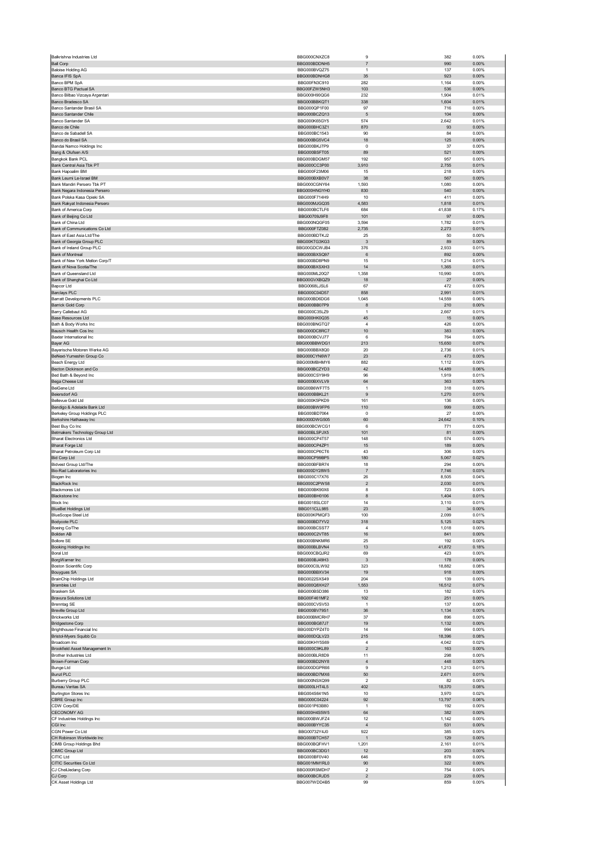| Balkrishna Industries Ltd                                  | BBG000CNXZC8                 | 9                    | 382             | 0.00%             |
|------------------------------------------------------------|------------------------------|----------------------|-----------------|-------------------|
| <b>Ball Corp</b>                                           | BBG000BDDNH5                 | $\overline{7}$       | 990             | 0.00%             |
| <b>Baloise Holding AG</b>                                  | BBG000BVQZ75                 | $\mathbf{1}$         | 137             | 0.00%             |
| Banca IFIS SpA                                             | BBG000BDNHG8                 | 35                   | 923             | 0.00%             |
| Banco BPM SpA                                              | BBG00FN3C910                 | 282                  | 1,164           | 0.00%             |
| Banco BTG Pactual SA                                       | BBG00FZW5NH3                 | 103                  | 536             | $0.00\%$          |
| Banco Bilbao Vizcaya Argentari<br>Banco Bradesco SA        | BBG000H90QG6<br>BBG000BBKQT1 | 232<br>338           | 1,904<br>1,604  | 0.01%<br>0.01%    |
| Banco Santander Brasil SA                                  | BBG000QP1F00                 | 97                   | 716             | 0.00%             |
| Banco Santander Chile                                      | BBG000BCZQ13                 | $\sqrt{5}$           | 104             | 0.00%             |
| Banco Santander SA                                         | BBG000K65GY5                 | 574                  | 2,642           | 0.01%             |
| Banco de Chile                                             | BBG000BHC3Z1                 | 870                  | 93              | 0.00%             |
| Banco de Sabadell SA                                       | BBG000BC1543                 | 90                   | 84              | 0.00%             |
| Banco do Brasil SA                                         | BBG000BG5VC4                 | 18                   | 125             | 0.00%             |
| Bandai Namco Holdings Inc                                  | BBG000BKJ7P9                 | $\mathbf 0$          | 37              | 0.00%             |
| Bang & Olufsen A/S                                         | BBG000BSFT05                 | 89                   | 521             | 0.00%             |
| Bangkok Bank PCL                                           | BBG000BDGM57                 | 192                  | 957             | 0.00%             |
| Bank Central Asia Tbk PT                                   | BBG000CC3P00                 | 3,910                | 2,755           | 0.01%             |
| Bank Hapoalim BM                                           | BBG000F23M06                 | 15                   | 218             | 0.00%             |
| Bank Leumi Le-Israel BM                                    | BBG000BXB0V7                 | 38                   | 567             | 0.00%             |
| Bank Mandiri Persero Tbk PT                                | BBG000CGNY64                 | 1,593                | 1,080           | 0.00%             |
| Bank Negara Indonesia Persero                              | BBG000HNGYH0                 | 830                  | 540             | $0.00\%$          |
| Bank Polska Kasa Opieki SA                                 | BBG000F714H9                 | 10                   | 411             | 0.00%             |
| Bank Rakyat Indonesia Persero                              | BBG000MJGQ35                 | 4,583                | 1,818           | 0.01%             |
| Bank of America Corp                                       | BBG000BCTLF6                 | 684                  | 41,838          | 0.17%             |
| Bank of Beijing Co Ltd<br>Bank of China Ltd                | BBG00709J9F8<br>BBG000NQGF05 | 101<br>3,594         | 97              | 0.00%<br>0.01%    |
|                                                            | BBG000FTZ082                 | 2,735                | 1,782<br>2,273  | 0.01%             |
| Bank of Communications Co Ltd<br>Bank of East Asia Ltd/The | BBG000BDTKJ2                 | 25                   | 50              | 0.00%             |
| Bank of Georgia Group PLC                                  | BBG00KTG3KG3                 | $\mathbf{3}$         | 89              | $0.00\%$          |
| Bank of Ireland Group PLC                                  | BBG00GDCWJB4                 | 376                  | 2,933           | 0.01%             |
| Bank of Montreal                                           | BBG000BXSQ97                 | 6                    | 892             | 0.00%             |
| Bank of New York Mellon Corp/T                             | BBG000BD8PN9                 | 15                   | 1,214           | 0.01%             |
| Bank of Nova Scotia/The                                    | BBG000BXSXH3                 | 14                   | 1,365           | 0.01%             |
| Bank of Queensland Ltd                                     | BBG000ML20Q7                 | 1,358                | 10,990          | 0.05%             |
| Bank of Shanghai Co Ltd                                    | BBG00GVXBQZ9                 | 18                   | 27              | 0.00%             |
| Bapcor Ltd                                                 | BBG0068LJSL6                 | 67                   | 472             | 0.00%             |
| <b>Barclays PLC</b>                                        | BBG000C04D57                 | 858                  | 2,991           | 0.01%             |
| <b>Barratt Developments PLC</b>                            | BBG000BD6DG6                 | 1,045                | 14,559          | 0.06%             |
| Barrick Gold Corp                                          | BBG000BB07P9                 | 8                    | 210             | 0.00%             |
| Barry Callebaut AG                                         | BBG000C35LZ9                 | $\overline{1}$       | 2,667           | 0.01%             |
| <b>Base Resources Ltd</b><br>Bath & Body Works Inc.        | BBG000HK0Q35<br>BBG000BNGTO7 | 45                   | 15              | 0.00%             |
|                                                            |                              | $\overline{4}$       | 426             | 0.00%             |
| Bausch Health Cos Inc                                      | BBG000DC8RC7                 | 10                   | 383             | 0.00%             |
| Baxter International Inc                                   | BBG000BCVJ77<br>BBG000BBWDG1 | 6<br>213             | 764<br>15,650   | 0.00%<br>0.07%    |
| <b>Bayer AG</b><br>Bayerische Motoren Werke AG             | BBG000BBX8Q0                 | 20                   | 2,736           | 0.01%             |
| BeNext-Yumeshin Group Co                                   | BBG000CYN6W7                 | 23                   | 473             | 0.00%             |
| Beach Energy Ltd                                           | BBG000MBHMY6                 | 882                  | 1,112           | 0.00%             |
| Becton Dickinson and Co                                    | BBG000BCZYD3                 | 42                   | 14,489          | 0.06%             |
| Bed Bath & Beyond Inc                                      | BBG000CSY9H9                 | 96                   | 1,919           | 0.01%             |
| Bega Cheese Ltd                                            | BBG000BXVLV9                 | 64                   | 363             | 0.00%             |
| BeiGene Ltd                                                | BBG00B6WF7T5                 | $\mathbf{1}$         | 318             | 0.00%             |
| <b>Beiersdorf AG</b>                                       | BBG000BBKL21                 | 9                    | 1,270           | 0.01%             |
| Bellevue Gold Ltd                                          | BBG000K5PKD9                 | 161                  | 136             | 0.00%             |
| Bendigo & Adelaide Bank Ltd                                | BBG000BW9FP6                 | 110                  | 999             | $0.00\%$          |
| Berkeley Group Holdings PLC                                | BBG000BD7064                 | $^{\circ}$           | 27              | 0.00%             |
| Berkshire Hathaway Inc                                     | BBG000DWG505                 | 60                   | 24,642          | 0.10%             |
| Best Buy Co Inc                                            | BBG000BCWCG1                 | 6                    | 771             | 0.00%             |
| Betmakers Technology Group Ltd                             | BBG00BLSPJX5                 | 101                  | 81              | 0.00%             |
| <b>Bharat Electronics Ltd</b>                              | BBG000CP4T57                 | 148                  | 574             | 0.00%             |
| <b>Bharat Forge Ltd</b>                                    | BBG000CP4ZP1                 | 15                   | 189             | 0.00%             |
| Bharat Petroleum Corp Ltd                                  | BBG000CP6CT6                 | 43                   | 306             | 0.00%             |
| <b>Bid Corp Ltd</b>                                        | BBG00CP99BP5                 | 180                  | 5,067           | 0.02%             |
| Bidvest Group Ltd/The                                      | BBG000BFBR74                 | 18                   | 294             | 0.00%             |
| Bio-Rad Laboratories Inc<br>Biogen Inc                     | BBG000DY28W5                 | $\sqrt{7}$<br>26     | 7,746<br>8,505  | 0.03%<br>0.04%    |
| <b>BlackRock Inc</b>                                       | BBG000C17X76<br>BBG000C2PW58 | $\overline{2}$       | 2,030           | 0.01%             |
| <b>Blackmores Ltd</b>                                      | BBG000BK90X6                 | 8                    | 723             | 0.00%             |
| Blackstone Inc                                             | BBG000BH0106                 | 8                    | 1,404           | 0.01%             |
| <b>Block Inc.</b>                                          | BBG0018SLC07                 | 14                   | 3.110           | 0.01%             |
| <b>BlueBet Holdings Ltd</b>                                | <b>BBG011CLL985</b>          | 23                   | 34              | 0.00%             |
| <b>BlueScope Steel Ltd</b>                                 | BBG000KPMQF3                 | 100                  | 2,099           | 0.01%             |
| Bodycote PLC                                               | BBG000BD7YV2                 | 318                  | 5,125           | 0.02%             |
| Boeing Co/The                                              | BBG000BCSST7                 | $\overline{4}$       | 1,018           | 0.00%             |
| <b>Boliden AB</b>                                          | BBG000C2VT85                 | 16                   | 841             | 0.00%             |
| <b>Bollore SE</b>                                          | BBG000BNKMR6                 | 25                   | 192             | 0.00%             |
| Booking Holdings Inc                                       | BBG000BLBVN4                 | 13                   | 41,872          | 0.18%             |
| Boral Ltd                                                  | BBG000CBQJR2                 | 69                   | 423             | 0.00%             |
| BorgWarner Inc                                             | BBG000BJ49H3                 | 3                    | 178             | 0.00%             |
| Boston Scientific Corp                                     | BBG000C0LW92                 | 323                  | 18,882          | 0.08%             |
| <b>Bouygues SA</b><br>BrainChip Holdings Ltd               | BBG000BBXV34                 |                      | 918             | 0.00%             |
| <b>Brambles Ltd</b>                                        |                              | 19                   |                 |                   |
|                                                            | BBG0022SXS49                 | 204                  | 139             | 0.00%             |
| <b>Braskem SA</b>                                          | BBG000Q8XH27<br>BBG000BSD386 | 1,553<br>13          | 16,512<br>182   | 0.07%<br>0.00%    |
| <b>Bravura Solutions Ltd</b>                               | BBG00F461MF2                 | 102                  | 251             | $0.00\%$          |
| <b>Brenntag SE</b>                                         | BBG000CVSV53                 | $\mathbf{1}$         | 137             | 0.00%             |
| <b>Breville Group Ltd</b>                                  | BBG000BV79S1                 | 36                   | 1,134           | $0.00\%$          |
| <b>Brickworks Ltd</b>                                      | BBG000BMCRH7                 | 37                   | 896             | 0.00%             |
| <b>Bridgestone Corp</b>                                    | BBG000BG87J7                 | 19                   | 1,132           | $0.00\%$          |
| Brighthouse Financial Inc                                  | BBG00DYPZ4T0                 | 14                   | 994             | 0.00%             |
| Bristol-Myers Squibb Co                                    | BBG000DQLV23                 | 215                  | 18,396          | 0.08%             |
| Broadcom Inc                                               | BBG00KHY5S69                 | $\overline{4}$       | 4,042           | 0.02%             |
| Brookfield Asset Management In                             | BBG000C9KL89                 | $\sqrt{2}$           | 163             | $0.00\%$          |
| Brother Industries Ltd                                     | BBG000BLR8D9                 | 11                   | 298             | 0.00%             |
| Brown-Forman Corp                                          | BBG000BD2NY8                 | $\overline{4}$       | 448             | $0.00\%$          |
| <b>Bunge Ltd</b>                                           | BBG000DGPR66                 | $\boldsymbol{9}$     | 1,213           | 0.01%             |
| <b>Bunzl PLC</b>                                           | BBG000BD7MX6                 | 50                   | 2,671           | 0.01%             |
| <b>Burberry Group PLC</b>                                  | BBG000NSXQ99                 | $\overline{2}$       | 82              | 0.00%             |
| Bureau Veritas SA                                          | BBG000LHT4L5<br>BBG004S641N5 | 402<br>10            | 18,370<br>3,970 | 0.08%<br>0.02%    |
| <b>Burlington Stores Inc.</b>                              |                              |                      |                 |                   |
| CBRE Group Inc<br>CDW Corp/DE                              | BBG000C04224<br>BBG001P63B80 | 92<br>$\mathbf{1}$   | 13,797<br>192   | 0.06%<br>0.00%    |
| <b>CECONOMY AG</b>                                         | BBG000H4S5W5                 | 64                   | 382             | $0.00\%$          |
| CF Industries Holdings Inc                                 | BBG000BWJFZ4                 | 12                   | 1,142           | 0.00%             |
| CGI Inc                                                    | BBG000BYYC35                 | $\overline{4}$       | 531             | 0.00%             |
| CGN Power Co Ltd                                           | BBG00732Y4J0                 | 922                  | 385             | 0.00%             |
| CH Robinson Worldwide Inc                                  | BBG000BTCH57                 | 1                    | 129             | 0.00%             |
| CIMB Group Holdings Bhd                                    | BBG000BQFHV1                 | 1,201                | 2,161           | 0.01%             |
| CIMIC Group Ltd                                            | BBG000BC3DG1                 | 12                   | 203             | 0.00%             |
| CITIC Ltd                                                  | BBG000BF0V40                 | 646                  | 878             | 0.00%             |
| CITIC Securities Co Ltd                                    | BBG001MM1RL0                 | 90                   | 322             | 0.00%             |
| CJ CheilJedang Corp                                        | BBG000RSMDH7                 | $\overline{2}$       | 754             | 0.00%             |
| CJ Corp<br>CK Asset Holdings Ltd                           | BBG000BCRJD5<br>BBG007WDD4B5 | $\overline{2}$<br>99 | 229<br>859      | $0.00\%$<br>0.00% |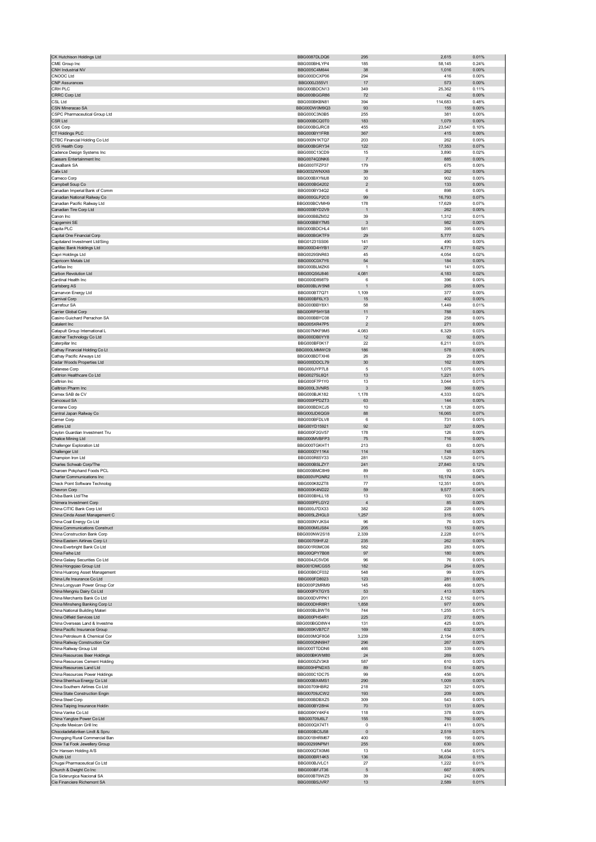| CK Hutchison Holdings Ltd                                     | BBG0087DLDQ6                 | 295                     | 2,615           | 0.01%          |
|---------------------------------------------------------------|------------------------------|-------------------------|-----------------|----------------|
| CME Group Inc                                                 | BBG000BHLYP4                 | 185                     | 58,145          | 0.24%          |
| CNH Industrial NV                                             | BBG005C4M644                 | 38                      | 1,016           | 0.00%          |
| CNOOC Ltd                                                     | BBG000DCXP06                 | 294                     | 416             | 0.00%          |
| <b>CNP Assurances</b>                                         | BBG000J355V1                 | 17                      | 573             | 0.00%          |
| CRH PLC                                                       | BBG000BDCN13                 | 349                     | 25,362          | 0.11%          |
| CRRC Corp Ltd                                                 | BBG000BGGR86                 | 72                      | 42              | 0.00%          |
| CSL Ltd                                                       | BBG000BKBN81<br>BBG00DW0M9Q3 | 394<br>93               | 114,683<br>155  | 0.48%<br>0.00% |
| CSN Mineracao SA                                              | BBG000C3N3B5                 | 255                     | 381             | 0.00%          |
| CSPC Pharmaceutical Group Ltd<br>CSR Ltd                      | BBG000BCQ0T0                 | 183                     | 1,079           | 0.00%          |
| CSX Corp                                                      | BBG000BGJRC8                 | 455                     | 23,547          | 0.10%          |
| CT Holdings PLC                                               | BBG000BY1FR8                 | 367                     | 415             | 0.00%          |
| CTBC Financial Holding Co Ltd                                 | BBG000N1KTQ7                 | 203                     | 262             | 0.00%          |
| CVS Health Corp                                               | BBG000BGRY34                 | 122                     | 17,353          | 0.07%          |
| Cadence Design Systems Inc                                    | BBG000C13CD9                 | 15                      | 3,890           | 0.02%          |
| Caesars Entertainment Inc                                     | BBG0074Q3NK6                 | $\overline{7}$          | 885             | 0.00%          |
| CaixaBank SA                                                  | BBG000TFZP37                 | 179                     | 675             | 0.00%          |
| Calix Ltd                                                     | BBG0032WNXX6                 | 39                      | 262             | 0.00%          |
| Cameco Corp                                                   | BBG000BXYMJ8                 | 30                      | 902             | 0.00%          |
| Campbell Soup Co                                              | BBG000BG4202                 | $\overline{2}$          | 133             | 0.00%          |
| Canadian Imperial Bank of Comm                                | BBG000BY34Q2                 | 6                       | 898             | 0.00%          |
| Canadian National Railway Co                                  | BBG000GLP2C0                 | 99                      | 16,793          | 0.07%          |
| Canadian Pacific Railway Ltd                                  | BBG000BCVMH9                 | 178                     | 17,629          | 0.07%          |
| Canadian Tire Corp Ltd                                        | BBG000BYD2V9                 | $\overline{1}$          | 262             | $0.00\%$       |
| Canon Inc                                                     | BBG000BBZM32                 | 39                      | 1,312           | 0.01%          |
| Capgemini SE                                                  | BBG000BBY7M5                 | 3                       | 982             | 0.00%          |
| Capita PLC                                                    | BBG000BDCHL4                 | 581                     | 395             | 0.00%          |
| Capital One Financial Corp                                    | BBG000BGKTF9                 | 29                      | 5,777           | 0.02%          |
| Capitaland Investment Ltd/Sing                                | BBG01231SS06                 | 141                     | 490             | 0.00%          |
| Capitec Bank Holdings Ltd                                     | BBG000D4HYB1                 | 27                      | 4,771           | 0.02%          |
| Capri Holdings Ltd                                            | BBG0029SNR63                 | 45                      | 4,054           | 0.02%          |
| Capricorn Metals Ltd                                          | BBG000C0X7Y6                 | 54                      | 184             | 0.00%          |
| CarMax Inc                                                    | BBG000BLMZK6                 | $\mathbf{1}$            | 141             | 0.00%          |
| Carbon Revolution Ltd                                         | BBG00QS6J846                 | 4,081                   | 4,183           | 0.02%          |
| Cardinal Health Inc                                           | BBG000D898T9                 | 6                       | 396             | 0.00%          |
| Carlsberg AS<br>Carnarvon Energy Ltd                          | BBG000BLW5N8<br>BBG000BT7Q71 | $\overline{1}$<br>1,109 | 265<br>377      | 0.00%<br>0.00% |
| Carnival Corp                                                 | BBG000BF6LY3                 | 15                      | 402             | 0.00%          |
| Carrefour SA                                                  | BBG000BBY8X1                 | 58                      | 1,449           | 0.01%          |
| Carrier Global Corp                                           | BBG00RP5HYS8                 | 11                      | 788             | $0.00\%$       |
| Casino Guichard Perrachon SA                                  | BBG000BBYC08                 | 7                       | 258             | 0.00%          |
| Catalent Inc                                                  | BBG005XR47P5                 | $\overline{2}$          | 271             | 0.00%          |
| Catapult Group International L                                | BBG007MKF9M5                 | 4,083                   | 6,329           | 0.03%          |
| Catcher Technology Co Ltd                                     | BBG000DB0YY8                 | 12                      | 92              | 0.00%          |
| Caterpillar Inc                                               | BBG000BF0K17                 | 22                      | 6,211           | 0.03%          |
| Cathay Financial Holding Co Lt                                | BBG000LMMWC9                 | 186                     | 578             | 0.00%          |
| Cathay Pacific Airways Ltd                                    | BBG000BDTXH6                 | 26                      | 29              | 0.00%          |
| Cedar Woods Properties Ltd                                    | BBG000DDCL79                 | 30                      | 162             | 0.00%          |
| Celanese Corp                                                 | BBG000JYP7L8                 | 5                       | 1,075           | 0.00%          |
| Celltrion Healthcare Co Ltd                                   | BBG0027SL6Q1                 | 13                      | 1,221           | 0.01%          |
| Celltrion Inc                                                 | BBG000F7P1Y0                 | 13                      | 3,044           | 0.01%          |
| Celltrion Pharm Inc                                           | BBG000L3VNR5                 | $\mathbf{3}$            | 366             | 0.00%          |
| Cemex SAB de CV                                               | BBG000BJK182                 | 1,178                   | 4,333           | 0.02%          |
| Cencosud SA                                                   | BBG000PPDZT3                 | 63                      | 144             | $0.00\%$       |
| Centene Corp                                                  | BBG000BDXCJ5                 | 10                      | 1,126           | 0.00%          |
|                                                               |                              |                         |                 | 0.07%          |
| Central Japan Railway Co                                      | BBG000JD6QG9                 | 88                      | 16,065          |                |
| Cerner Corp                                                   | BBG000BFDLV8                 | 6                       | 731             | 0.00%          |
| Cettire Ltd                                                   | BBG00YD15921                 | 92                      | 327             | 0.00%          |
| Ceylon Guardian Investment Tru                                | BBG000F2GV57                 | 178                     | 126             | 0.00%          |
| Chalice Mining Ltd                                            | BBG000MVBFP3                 | 75                      | 716             | 0.00%          |
| Challenger Exploration Ltd                                    | BBG000TGKHT1                 | 213                     | 63              | 0.00%          |
| Challenger Ltd                                                | BBG000DY11K4                 | 114                     | 748             | 0.00%          |
| Champion Iron Ltd                                             | BBG000R65Y33                 | 281                     | 1,529           | 0.01%          |
| Charles Schwab Corp/The                                       | BBG000BSLZY7                 | 241                     | 27,840          | 0.12%          |
| Charoen Pokphand Foods PCL                                    | BBG000BMC8H9<br>BBG000VPGNR2 | 89                      | 93              | 0.00%<br>0.04% |
| Charter Communications Inc<br>Check Point Software Technolog  | BBG000K82ZT8                 | 11<br>77                | 10,174          | 0.05%          |
|                                                               | BBG000K4ND22                 | 59                      | 12,351<br>9,577 | 0.04%          |
| Chevron Corp<br>Chiba Bank Ltd/The                            | BBG000BHLL18                 | 13                      | 103             | 0.00%          |
| Chimera Investment Corp                                       | BBG000PFLGY2                 |                         | 85              | 0.00%          |
| China CITIC Bank Corp Ltd                                     | BBG000J7DX33                 | 382                     | 228             | 0.00%          |
| China Cinda Asset Management C                                | BBG005LZHGL0                 | 1,257                   | 315             | 0.00%          |
| China Coal Energy Co Ltd                                      | BBG000NYJKS4                 | 96                      | 76              | 0.00%          |
| China Communications Construct                                | BBG000M0JS84                 | 205                     | 153             | 0.00%          |
| China Construction Bank Corp                                  | BBG000NW2S18                 | 2,339                   | 2,228           | 0.01%          |
| China Eastern Airlines Corp Lt                                | BBG00709HFJ2                 | 235                     | 262             | 0.00%          |
| China Everbright Bank Co Ltd                                  | BBG001R0MC06                 | 582                     | 283             | 0.00%          |
| China Feihe Ltd                                               | BBG00QPY7B08                 | 97                      | 180             | 0.00%          |
| China Galaxy Securities Co Ltd                                | BBG004JC5VD6                 | 96                      | 76              | 0.00%          |
| China Hongqiao Group Ltd                                      | BBG001DMCGS5                 | 182                     | 264             | 0.00%          |
| China Huarong Asset Management                                | BBG00B6CF032<br>BBG000FD8023 | 548<br>123              | 99<br>281       | 0.00%<br>0.00% |
| China Life Insurance Co Ltd<br>China Longyuan Power Group Cor | BBG000P2MRM9                 | 145                     | 466             | 0.00%          |
| China Mengniu Dairy Co Ltd                                    | BBG000PXTGY5                 | 53                      | 413             | 0.00%          |
| China Merchants Bank Co Ltd                                   | BBG000DVPPK1                 | 201                     | 2,152           | 0.01%          |
| China Minsheng Banking Corp Lt                                | BBG000DHR8R1                 | 1,858                   | 977             | 0.00%          |
| China National Building Materi                                | BBG000BLBWT6                 | 744                     | 1,255           | 0.01%          |
| China Oilfield Services Ltd                                   | BBG000PH54R1                 | 225                     | 272             | $0.00\%$       |
| China Overseas Land & Investme                                | BBG000BGD8W4                 | 131                     | 425             | 0.00%          |
| China Pacific Insurance Group                                 | BBG000KVB7C7                 | 169                     | 632             | $0.00\%$       |
| China Petroleum & Chemical Cor                                | BBG000MQF8G6                 | 3,239                   | 2,154           | 0.01%          |
| China Railway Construction Cor                                | BBG000QNN9H7                 | 296                     | 267             | 0.00%          |
| China Railway Group Ltd                                       | BBG000TTDDN6                 | 466                     | 339             | 0.00%          |
| China Resources Beer Holdings                                 | BBG000BKWM80                 | 24                      | 269             | $0.00\%$       |
| China Resources Cement Holding                                | BBG000SZV3K8                 | 587                     | 610             | 0.00%          |
| China Resources Land Ltd                                      | BBG000HPNDX5                 | 89                      | 514             | 0.00%          |
| China Resources Power Holdings                                | BBG000C1DC75                 | 99                      | 456             | 0.00%          |
| China Shenhua Energy Co Ltd                                   | BBG000BX4MS1                 | 290                     | 1,009           | 0.00%          |
| China Southern Airlines Co Ltd                                | BBG00709HBR2                 | 218                     | 321             | 0.00%          |
| China State Construction Engin                                | BBG00709JCW2                 | 193                     | 209             | 0.00%          |
| China Steel Corp                                              | BBG000BDBXZ5                 | 309                     | 543             | 0.00%          |
| China Taiping Insurance Holdin<br>China Vanke Co Ltd          | BBG000BY28H4<br>BBG006KY4KF4 | 70<br>118               | 131<br>378      | 0.00%<br>0.00% |
| China Yangtze Power Co Ltd                                    | BBG00709J6L7                 | 155                     | 760             | 0.00%          |
| Chipotle Mexican Grill Inc                                    | BBG000QX74T1                 | 0                       | 411             | 0.00%          |
| Chocoladefabriken Lindt & Spru                                | BBG000BC5J58                 | $\mathbf 0$             | 2,519           | 0.01%          |
| Chongqing Rural Commercial Ban                                | <b>BBG0018HRM67</b>          | 400                     | 195             | 0.00%          |
| Chow Tai Fook Jewellery Group                                 | BBG00299NPM1                 | 255                     | 630             | 0.00%          |
| Chr Hansen Holding A/S                                        | BBG000QTX0M6                 | 13                      | 1,454           | 0.01%          |
| Chubb Ltd                                                     | BBG000BR14K5                 | 136                     | 36,034          | 0.15%          |
| Chugai Pharmaceutical Co Ltd                                  | BBG000BJVLC1                 | 27                      | 1,222           | 0.01%          |
| Church & Dwight Co Inc                                        | BBG000BFJT36                 | 5                       | 667             | 0.00%          |
| Cia Siderurgica Nacional SA<br>Cie Financiere Richemont SA    | BBG000BT9WZ5<br>BBG000BSJVR7 | 39<br>13                | 242<br>2,589    | 0.00%<br>0.01% |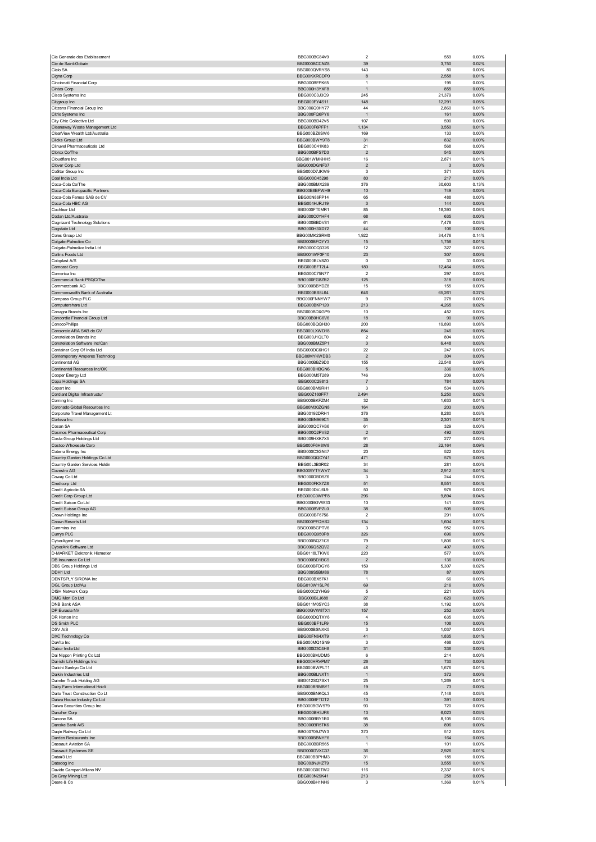| Cie Generale des Etablissement                      | BBG000BC84V9                 | $\overline{\mathbf{c}}$          | 559            | 0.00%             |
|-----------------------------------------------------|------------------------------|----------------------------------|----------------|-------------------|
| Cie de Saint-Gobain                                 | BBG000BCCNZ8                 | 39                               | 3,750          | 0.02%             |
| Cielo SA                                            | BBG000QVRYS8                 | 143                              | 80             | 0.00%             |
| Cigna Corp                                          | BBG00KXRCDP0                 | 8                                | 2,558          | 0.01%             |
| Cincinnati Financial Corp                           | BBG000BFPK65<br>BBG000H3YXF8 | $\overline{1}$<br>$\overline{1}$ | 195<br>855     | 0.00%<br>0.00%    |
| Cintas Corp<br>Cisco Systems Inc                    | BBG000C3J3C9                 | 245                              | 21,379         | 0.09%             |
| Citigroup Inc                                       | BBG000FY4S11                 | 148                              | 12,291         | 0.05%             |
| Citizens Financial Group Inc                        | BBG006Q0HY77                 | 44                               | 2,860          | 0.01%             |
| Citrix Systems Inc                                  | BBG000FQ6PY6                 | $\overline{1}$                   | 161            | 0.00%             |
| City Chic Collective Ltd                            | BBG000BD42V5                 | 107                              | 590            | 0.00%             |
| Cleanaway Waste Management Ltd                      | BBG000F6PFP1                 | 1,134                            | 3,550          | 0.01%             |
| ClearView Wealth Ltd/Australia                      | BBG000BZ6SW6                 | 169                              | 133            | 0.00%             |
| Clicks Group Ltd                                    | BBG000BWY9T8                 | 31                               | 832            | 0.00%             |
| Clinuvel Pharmaceuticals Ltd<br>Clorox Co/The       | BBG000C41K83<br>BBG000BFS7D3 | 21<br>$\overline{\mathbf{c}}$    | 568<br>545     | 0.00%<br>0.00%    |
| Cloudflare Inc                                      | BBG001WMKHH5                 | 16                               | 2,871          | 0.01%             |
| Clover Corp Ltd                                     | BBG000DGNF37                 | $\overline{2}$                   | 3              | 0.00%             |
| CoStar Group Inc                                    | BBG000D7JKW9                 | 3                                | 371            | 0.00%             |
| Coal India Ltd                                      | BBG000C45298                 | 80                               | 217            | 0.00%             |
| Coca-Cola Co/The                                    | BBG000BMX289                 | 376                              | 30,603         | 0.13%             |
| Coca-Cola Europacific Partners                      | BBG00B6BFWH9                 | 10                               | 749            | 0.00%             |
| Coca-Cola Femsa SAB de CV<br>Coca-Cola HBC AG       | BBG00N86FP14                 | 65                               | 488<br>144     | 0.00%<br>$0.00\%$ |
| Cochlear Ltd                                        | BBG004HJRJ19<br>BBG000FT0MR1 | 3<br>85                          | 18,393         | 0.08%             |
| Codan Ltd/Australia                                 | BBG000C0YHF4                 | 68                               | 635            | 0.00%             |
| Cognizant Technology Solutions                      | BBG000BBDV81                 | 61                               | 7,478          | 0.03%             |
| Cogstate Ltd                                        | BBG000H3XD72                 | 44                               | 106            | 0.00%             |
| Coles Group Ltd                                     | BBG00MK2SRM0                 | 1,922                            | 34,476         | 0.14%             |
| Colgate-Palmolive Co                                | BBG000BFQYY3                 | 15                               | 1,758          | 0.01%             |
| Colgate-Palmolive India Ltd                         | BBG000CQ3326                 | 12                               | 327            | 0.00%             |
| Collins Foods Ltd                                   | BBG001WF3F10                 | 23                               | 307            | 0.00%             |
| Coloplast A/S<br>Comcast Corp                       | BBG000BLV8Z0<br>BBG000BFT2L4 | 0<br>180                         | 33<br>12,464   | 0.00%<br>0.05%    |
| Comerica Inc                                        | BBG000C75N77                 | $\overline{\mathbf{2}}$          | 297            | 0.00%             |
| Commercial Bank PSQC/The                            | BBG000FG8ZR2                 | 125                              | 318            | 0.00%             |
| Commerzbank AG                                      | BBG000BBYDZ8                 | 15                               | 155            | 0.00%             |
| Commonwealth Bank of Australia                      | BBG000BS8L64                 | 646                              | 65,261         | 0.27%             |
| Compass Group PLC                                   | BBG000FNNYW7                 | 9                                | 278            | 0.00%             |
| Computershare Ltd                                   | BBG000BKP120                 | 213                              | 4,265          | 0.02%             |
| Conagra Brands Inc                                  | BBG000BDXGP9<br>BBG00B0HC6V6 | 10<br>18                         | 452<br>90      | 0.00%<br>0.00%    |
| Concordia Financial Group Ltd<br>ConocoPhillips     | BBG000BQQH30                 | 200                              | 19,890         | 0.08%             |
| Consorcio ARA SAB de CV                             | BBG000LXWD18                 | 854                              | 246            | 0.00%             |
| <b>Constellation Brands Inc</b>                     | BBG000J1QLT0                 | $\overline{\mathbf{c}}$          | 804            | 0.00%             |
| Constellation Software Inc/Can                      | BBG000BMZ5P1                 | $\mathbf{3}$                     | 6,448          | 0.03%             |
| Container Corp Of India Ltd                         | BBG000DC6HC1                 | 22                               | 247            | 0.00%             |
| Contemporary Amperex Technolog                      | BBG00MYKWDB3                 | $\overline{\mathbf{c}}$          | 304            | 0.00%             |
| Continental AG                                      | BBG000BBZ9D0                 | 155                              | 22,548         | 0.09%             |
| Continental Resources Inc/OK<br>Cooper Energy Ltd   | BBG000BHBGN6<br>BBG000M5T289 | 5<br>746                         | 336<br>209     | $0.00\%$<br>0.00% |
| Copa Holdings SA                                    | BBG000C29813                 | 7                                | 784            | 0.00%             |
| Copart Inc                                          | BBG000BM9RH1                 | 3                                | 534            | 0.00%             |
| Cordiant Digital Infrastructur                      | BBG00Z160FF7                 | 2,494                            | 5,250          | 0.02%             |
| Corning Inc                                         | BBG000BKFZM4                 | 32                               | 1,633          | 0.01%             |
| Coronado Global Resources Inc                       | BBG00M30ZGN8                 | 164                              | 203            | $0.00\%$          |
| Corporate Travel Management Lt                      | BBG00192DRH1                 | 376                              | 8,280          | 0.03%             |
| Corteva Inc<br>Cosan SA                             | BBG00BN969C1<br>BBG000QC7H36 | 35<br>61                         | 2,301<br>329   | 0.01%<br>0.00%    |
| Cosmos Pharmaceutical Corp                          | BBG000Q2PV82                 | $\overline{2}$                   | 492            | 0.00%             |
| Costa Group Holdings Ltd                            | BBG009HXK7X5                 | 91                               | 277            | 0.00%             |
| Costco Wholesale Corp                               | BBG000F6H8W8                 | 28                               | 22,164         | 0.09%             |
| Coterra Energy Inc                                  | BBG000C3GN47                 | 20                               | 522            | 0.00%             |
| Country Garden Holdings Co Ltd                      | BBG000QQCY41                 | 471                              | 575            | 0.00%             |
| Country Garden Services Holdin                      | BBG00L3B3R02                 | 34                               | 281            | 0.00%             |
| Covestro AG<br>Coway Co Ltd                         | BBG009YTYWV7                 | 34<br>3                          | 2,912<br>244   | 0.01%<br>0.00%    |
| Credicorp Ltd                                       | BBG000DBD5Z6<br>BBG000FKX7Z8 | 51                               | 8,551          | 0.04%             |
| Credit Agricole SA                                  | BBG000DVJ6L9                 | 50                               | 978            | 0.00%             |
| Credit Corp Group Ltd                               | BBG000C0WPF8                 | 296                              | 9,894          | 0.04%             |
| Credit Saison Co Ltd                                | BBG000BGVW33                 | 10                               | 141            | 0.00%             |
| Credit Suisse Group AG                              | BBG000BVPZL0                 | 38                               | 505            | 0.00%             |
| Crown Holdings Inc                                  | BBG000BF6756                 | $\overline{2}$                   | 291            | 0.00%             |
| Crown Resorts Ltd<br>Cummins Inc                    | BBG000PFQHS2<br>BBG000BGPTV6 | 134<br>3                         | 1,604<br>952   | 0.01%<br>0.00%    |
| Currys PLC                                          | BBG000Q950P8                 | 326                              | 696            | 0.00%             |
| CyberAgent Inc                                      | BBG000BQZ1C5                 | 79                               | 1,806          | 0.01%             |
| CyberArk Software Ltd                               | BBG006Q52QV2                 | $\overline{\mathbf{c}}$          | 407            | 0.00%             |
| D-MARKET Elektronik Hizmetler                       | BBG0118LTKW0                 |                                  | 577            |                   |
| DB Insurance Co Ltd                                 |                              | 220                              |                | 0.00%             |
|                                                     | BBG000BD1BC9                 | $\overline{2}$                   | 136            | 0.00%             |
| DBS Group Holdings Ltd                              | BBG000BFDGY6                 | 159                              | 5,307          | 0.02%             |
| DDH1 Ltd<br>DENTSPLY SIRONA Inc                     | BBG009S5BM89<br>BBG000BX57K1 | 78<br>$\overline{1}$             | 87<br>66       | 0.00%<br>0.00%    |
| DGL Group Ltd/Au                                    | BBG010W1SLP6                 | 69                               | 216            | $0.00\%$          |
| <b>DISH Network Corp</b>                            | BBG000C2YHG9                 | 5                                | 221            | 0.00%             |
| DMG Mori Co Ltd                                     | BBG000BLJ688                 | 27                               | 629            | $0.00\%$          |
| <b>DNB Bank ASA</b>                                 | BBG011M0SYC3                 | 38                               | 1,192          | 0.00%             |
| DP Eurasia NV                                       | BBG00GVW8TX1                 | 157                              | 252            | 0.00%             |
| DR Horton Inc<br>DS Smith PLC                       | BBG000DQTXY6                 | $\sqrt{4}$                       | 635            | 0.00%<br>0.00%    |
| <b>DSV A/S</b>                                      | BBG000BF1LF9<br>BBG000BSNXK5 | 15<br>3                          | 108<br>1,037   | 0.00%             |
| DXC Technology Co                                   | BBG00FN64XT9                 | 41                               | 1,835          | 0.01%             |
| DaVita Inc                                          | BBG000MQ1SN9                 | 3                                | 468            | 0.00%             |
| Dabur India Ltd                                     | BBG000D3C4H8                 | 31                               | 336            | 0.00%             |
| Dai Nippon Printing Co Ltd                          | BBG000BMJDM5                 | 6                                | 214            | 0.00%             |
| Dai-ichi Life Holdings Inc<br>Daiichi Sankyo Co Ltd | BBG000HRVPM7<br>BBG000BWPLT1 | 26<br>48                         | 730<br>1,676   | $0.00\%$<br>0.01% |
| Daikin Industries Ltd                               | BBG000BLNXT1                 | $\overline{1}$                   | 372            | 0.00%             |
| Daimler Truck Holding AG                            | BBG012SQ7SX1                 | 25                               | 1,269          | 0.01%             |
| Dairy Farm International Holdi                      | BBG000BRMBY1                 | 19                               | 73             | $0.00\%$          |
| Daito Trust Construction Co Lt                      | BBG000BNKQL3                 | 45                               | 7,148          | 0.03%             |
| Daiwa House Industry Co Ltd                         | BBG000BFTDT2                 | 10                               | 391            | 0.00%             |
| Daiwa Securities Group Inc                          | BBG000BGW979                 | 93                               | 720            | 0.00%             |
| Danaher Corp<br>Danone SA                           | BBG000BH3JF8<br>BBG000BBY1B0 | 13<br>95                         | 6,023<br>8,105 | 0.03%<br>0.03%    |
| Danske Bank A/S                                     | BBG000BR5TK6                 | 38                               | 896            | 0.00%             |
| Daqin Railway Co Ltd                                | BBG00709J7W3                 | 370                              | 512            | 0.00%             |
| Darden Restaurants Inc                              | BBG000BBNYF6                 | $\mathbf{1}$                     | 164            | 0.00%             |
| Dassault Aviation SA                                | BBG000BBR565                 | $\overline{1}$                   | 101            | 0.00%             |
| Dassault Systemes SE                                | BBG000GVXC37                 | 36                               | 2,926          | 0.01%             |
| Data#3 Ltd<br>Datadog Inc                           | BBG000BBPHM3<br>BBG003NJHZT9 | 31<br>15                         | 185<br>3,555   | 0.00%<br>0.01%    |
| Davide Campari-Milano NV                            | BBG000G00TW2                 | 116                              | 2,337          | 0.01%             |
| De Grey Mining Ltd<br>Deere & Co                    | BBG000N29K41<br>BBG000BH1NH9 | 213<br>3                         | 258<br>1,369   | $0.00\%$<br>0.01% |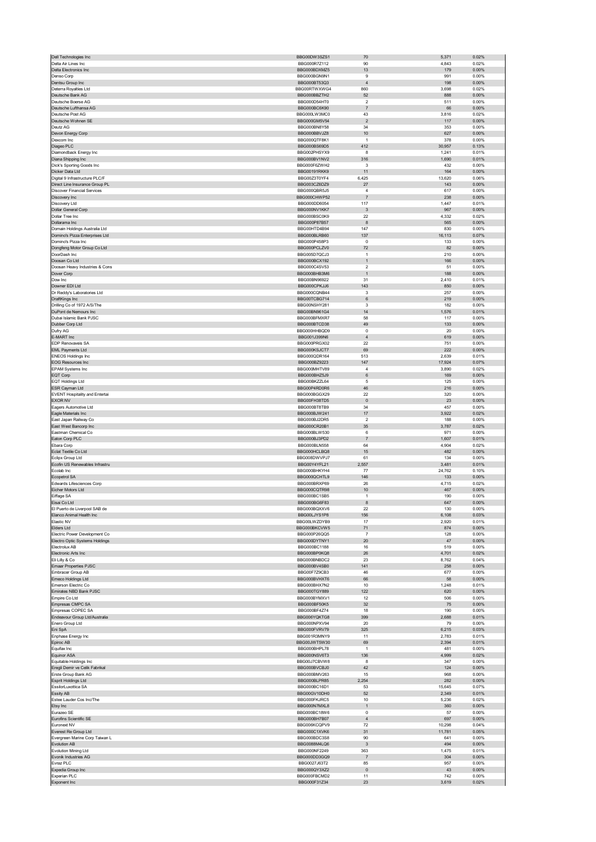| Dell Technologies Inc                                  | BBG00DW3SZS1                                 | 70                            | 5,371              | 0.02%                   |
|--------------------------------------------------------|----------------------------------------------|-------------------------------|--------------------|-------------------------|
| Delta Air Lines Inc<br>Delta Electronics Inc           | BBG000R7Z112<br>BBG000BDXMZ5                 | 90<br>13                      | 4,843<br>179       | 0.02%<br>0.00%          |
| Denso Corp                                             | BBG000BGN9N1                                 | 9                             | 991                | 0.00%                   |
| Dentsu Group Inc                                       | BBG000BT53Q3                                 | $\overline{4}$                | 198                | 0.00%                   |
| Deterra Royalties Ltd                                  | BBG00RTWXWG4                                 | 860                           | 3,698              | 0.02%                   |
| Deutsche Bank AG<br>Deutsche Boerse AG                 | BBG000BBZTH2<br>BBG000D54HT0                 | 52<br>$\overline{\mathbf{2}}$ | 888<br>511         | $0.00\%$<br>0.00%       |
| Deutsche Lufthansa AG                                  | BBG000BC6K90                                 | $\overline{7}$                | 66                 | 0.00%                   |
| Deutsche Post AG                                       | BBG000LW3MC0                                 | 43                            | 3,816              | 0.02%                   |
| Deutsche Wohnen SE                                     | BBG000GM5V54                                 | $\mathbf 2$                   | 117                | 0.00%                   |
| Deutz AG                                               | BBG000BN8Y58                                 | 34                            | 353                | 0.00%                   |
| Devon Energy Corp<br>Dexcom Inc                        | BBG000BBVJZ8<br>BBG000QTF8K1                 | 10<br>$\mathbf{1}$            | 627<br>378         | 0.00%<br>0.00%          |
| Diageo PLC                                             | BBG000BS69D5                                 | 412                           | 30,957             | 0.13%                   |
| Diamondback Energy Inc                                 | BBG002PHSYX9                                 | 8                             | 1,241              | 0.01%                   |
| Diana Shipping Inc                                     | BBG000BV1NV2                                 | 316                           | 1,690              | 0.01%                   |
| Dick's Sporting Goods Inc<br>Dicker Data Ltd           | BBG000F6ZWH2<br><b>BBG00191RKK9</b>          | 3<br>11                       | 432<br>164         | 0.00%<br>0.00%          |
| Digital 9 Infrastructure PLC/F                         | BBG00Z3T0YF4                                 | 6,425                         | 13,620             | 0.06%                   |
| Direct Line Insurance Group PL                         | BBG003CZ6DZ9                                 | $27\,$                        | 143                | $0.00\%$                |
| <b>Discover Financial Services</b>                     | BBG000QBR5J5                                 | 4                             | 617                | 0.00%                   |
| Discovery Inc                                          | BBG000CHWP52                                 | $\sqrt{7}$                    | 238                | 0.00%                   |
| Discovery Ltd<br>Dollar General Corp                   | BBG000DD6054<br>BBG000NV1KK7                 | 117<br>$\mathbf{3}$           | 1,447<br>967       | 0.01%<br>0.00%          |
| Dollar Tree Inc                                        | BBG000BSC0K9                                 | 22                            | 4,332              | 0.02%                   |
| Dollarama Inc                                          | BBG000P87B57                                 | 8                             | 565                | 0.00%                   |
| Domain Holdings Australia Ltd                          | BBG00HTD4B94                                 | 147                           | 830                | 0.00%                   |
| Domino's Pizza Enterprises Ltd                         | BBG000BLRB60                                 | 137                           | 16,113             | 0.07%                   |
| Domino's Pizza Inc<br>Dongfeng Motor Group Co Ltd      | BBG000P458P3                                 | $\mathbf 0$                   | 133                | 0.00%                   |
| DoorDash Inc                                           | BBG000PCLZV0<br>BBG005D7QCJ3                 | 72<br>$\mathbf{1}$            | 82<br>210          | 0.00%<br>0.00%          |
| Doosan Co Ltd                                          | BBG000BCX192                                 | $\mathbf{1}$                  | 166                | 0.00%                   |
| Doosan Heavy Industries & Cons                         | BBG000C4SV53                                 | $\overline{2}$                | 51                 | 0.00%                   |
| Dover Corp                                             | BBG000BHB3M6                                 | $\mathbf{1}$                  | 188                | 0.00%                   |
| Dow Inc<br>Downer EDI Ltd                              | BBG00BN96922<br>BBG000CPK.I.I6               | 31<br>143                     | 2,410              | 0.01%                   |
|                                                        |                                              | 3                             | 850<br>257         | $0.00\%$<br>0.00%       |
| Dr Reddy's Laboratories Ltd<br>DraftKings Inc          | BBG000CQNB44<br>BBG00TCBG714                 | 6                             | 219                | 0.00%                   |
| Drilling Co of 1972 A/S/The                            | BBG00NSHY281                                 | 3                             | 182                | 0.00%                   |
| DuPont de Nemours Inc                                  | BBG00BN961G4                                 | 14                            | 1,576              | 0.01%                   |
| Dubai Islamic Bank PJSC                                | BBG000BFMXR7                                 | 58                            | 117                | 0.00%                   |
| Dubber Corp Ltd                                        | BBG000BTCD38                                 | 49                            | 133                | 0.00%                   |
| Dufry AG<br>E-MART Inc                                 | BBG000HHBQD9<br>BBG001J399N6                 | $\pmb{0}$<br>$\sqrt{4}$       | 20<br>619          | 0.00%<br>0.00%          |
| EDP Renovaveis SA                                      | BBG000PRGX02                                 | 22                            | 751                | 0.00%                   |
| <b>EML Payments Ltd</b>                                | BBG000KSJCT7                                 | 69                            | 222                | 0.00%                   |
| <b>ENEOS Holdings Inc</b>                              | BBG000QDR164                                 | 513                           | 2,639              | 0.01%                   |
| <b>EOG Resources Inc</b>                               | BBG000BZ9223                                 | 147                           | 17,924             | 0.07%                   |
| EPAM Systems Inc                                       | BBG000MHTV89                                 | $\overline{4}$                | 3,890              | 0.02%                   |
| EQT Corp<br><b>EQT Holdings Ltd</b>                    | BBG000BHZ5J9<br>BBG00BKZZL64                 | 6<br>5                        | 169<br>125         | 0.00%<br>0.00%          |
| ESR Cayman Ltd                                         | BBG00P4RD0R6                                 | 46                            | 216                | $0.00\%$                |
| <b>EVENT Hospitality and Entertai</b>                  | BBG000BGGX29                                 | 22                            | 320                | 0.00%                   |
| <b>EXOR NV</b>                                         | BBG00FH38TD5                                 | $\pmb{0}$                     | $23\,$             | $0.00\%$                |
| Eagers Automotive Ltd                                  | BBG000BT8TB9                                 | 34                            | 457                | 0.00%                   |
| Eagle Materials Inc                                    | BBG000BJW241                                 | 17                            | 3,922              | 0.02%<br>0.00%          |
|                                                        |                                              |                               |                    |                         |
| East Japan Railway Co                                  | BBG000BJ2DR5                                 | $\overline{2}$                | 188                |                         |
| East West Bancorp Inc<br>Eastman Chemical Co           | BBG000CR20B1<br>BBG000BLW530                 | 35<br>6                       | 3,787<br>971       | 0.02%<br>0.00%          |
| Eaton Corp PLC                                         | BBG000BJ3PD2                                 | $\overline{7}$                | 1,607              | 0.01%                   |
| Ebara Corp                                             | BBG000BLN558                                 | 64                            | 4,904              | 0.02%                   |
| Eclat Textile Co Ltd                                   | BBG000HCLBQ8                                 | 15                            | 482                | 0.00%                   |
| Eclipx Group Ltd                                       | BBG008DWVPJ7                                 | 61                            | 134                | 0.00%                   |
| Ecofin US Renewables Infrastru<br>Ecolab Inc           | BBG00Y4YFL21<br>BBG000BHKYH4                 | 2,557<br>77                   | 3,481<br>24,762    | 0.01%<br>0.10%          |
| Ecopetrol SA                                           | BBG000QCHTL9                                 | 146                           | 133                | 0.00%                   |
| Edwards Lifesciences Corp                              | BBG000BRXP69                                 | 26                            | 4,715              | 0.02%                   |
| Eicher Motors Ltd                                      | BBG000CQTR98                                 | 10                            | 467                | 0.00%                   |
| Eiffage SA<br>sai Coltr                                | BBG000BC1SB5<br><b>BBC000BC6E83</b>          | $\mathbf{1}$                  | 190<br>647         | 0.00%<br>n nn%          |
| El Puerto de Liverpool SAB de                          | BBG000BQXXV6                                 | 22                            | 130                | 0.00%                   |
| Elanco Animal Health Inc                               | BBG00LJYS1P8                                 | 156                           | 6,108              | 0.03%                   |
| Elastic NV                                             | BBG00LWZDYB9                                 | 17                            | 2,920              | 0.01%                   |
| Elders Ltd                                             | BBG000BKCVW5                                 | 71                            | 874                | 0.00%                   |
| Electric Power Development Co                          | BBG000P26QQ5                                 | 7                             | 128                | 0.00%                   |
| Electro Optic Systems Holdings<br>Electrolux AB        | BBG000DYTNY1<br>BBG000BC1188                 | 20<br>16                      | 47<br>519          | 0.00%<br>0.00%          |
| Electronic Arts Inc                                    | BBG000BP0KQ8                                 | 26                            | 4,701              | 0.02%                   |
| Eli Lilly & Co                                         | BBG000BNBDC2                                 | 23                            | 8,762              | 0.04%                   |
| <b>Emaar Properties PJSC</b>                           | BBG000BV4SB0                                 | 141                           | 258                | $0.00\%$                |
| Embracer Group AB                                      | BBG00F7Z9CB3<br>BBG000BVHXT6                 | 46<br>66                      | 677<br>58          | 0.00%<br>0.00%          |
| Emeco Holdings Ltd<br>Emerson Electric Co              | BBG000BHX7N2                                 | 10                            | 1,248              | 0.01%                   |
| Emirates NBD Bank PJSC                                 | BBG000TGY889                                 | 122                           | 620                | 0.00%                   |
| Empire Co Ltd                                          | BBG000BYMXV1                                 | 12                            | 506                | 0.00%                   |
| Empresas CMPC SA                                       | BBG000BF50K5                                 | 32                            | 75                 | 0.00%                   |
| Empresas COPEC SA<br>Endeavour Group Ltd/Australia     | BBG000BF4Z74<br>BBG006YQKTG8                 | 18<br>399                     | 190<br>2,688       | 0.00%<br>0.01%          |
| Enero Group Ltd                                        | BBG000NPXV94                                 | 20                            | 79                 | 0.00%                   |
| Eni SpA                                                | BBG000FVRV79                                 | 325                           | 6,215              | 0.03%                   |
| Enphase Energy Inc                                     | BBG001R3MNY9                                 | 11                            | 2,783              | 0.01%                   |
| Epiroc AB                                              | BBG00JWT5W30                                 | 69<br>$\mathbf{1}$            | 2,394              | 0.01%                   |
| Equifax Inc<br><b>Equinor ASA</b>                      | BBG000BHPL78<br>BBG000NSV6T3                 | 136                           | 481<br>4,999       | 0.00%<br>0.02%          |
| Equitable Holdings Inc                                 | BBG00J7CBVW8                                 | 8                             | 347                | 0.00%                   |
| Eregli Demir ve Celik Fabrikal                         | BBG000BVCBJ0                                 | 42                            | 124                | 0.00%                   |
| Erste Group Bank AG                                    | BBG000BMV263                                 | 15                            | 968                | 0.00%                   |
| Esprit Holdings Ltd                                    | BBG000BLPR85                                 | 2,254                         | 282                | 0.00%                   |
| EssilorLuxottica SA                                    | BBG000BC16D1                                 | 53                            | 15,645             | 0.07%                   |
| Essity AB<br>Estee Lauder Cos Inc/The                  | BBG00GV10DH0<br>BBG000FKJRC5                 | 52<br>10                      | 2,349<br>5,236     | 0.01%<br>0.02%          |
| Etsy Inc                                               | BBG000N7MXL8                                 | $\mathbf{1}$                  | 360                | 0.00%                   |
| Eurazeo SE                                             | BBG000BC18W6                                 | $\mathbf 0$                   | 57                 | 0.00%                   |
| Eurofins Scientific SE                                 | BBG000BH7B07                                 | $\sqrt{4}$                    | 697                | 0.00%                   |
| Euronext NV                                            | BBG006KCQPV9<br>BBG000C1XVK6                 | 72<br>31                      | 10,298             | 0.04%<br>0.05%          |
| Everest Re Group Ltd<br>Evergreen Marine Corp Taiwan L | BBG000BDC3S8                                 | 90                            | 11,781<br>641      | 0.00%                   |
| Evolution AB                                           | BBG0088M4LQ6                                 | $\mathbf{3}$                  | 494                | 0.00%                   |
| Evolution Mining Ltd                                   | BBG000NF2249                                 | 363                           | 1,475              | 0.01%                   |
| Evonik Industries AG                                   | BBG000DD3GQ9                                 | $\overline{\mathfrak{z}}$     | 304                | 0.00%                   |
| Evraz PLC                                              | BBG0027J63T2                                 | 85                            | 957                | 0.00%                   |
| Expedia Group Inc<br>Experian PLC<br>Exponent Inc      | BBG000QY3XZ2<br>BBG000FBCMD2<br>BBG000F31Z34 | $\pmb{0}$<br>11<br>23         | 43<br>742<br>3,619 | 0.00%<br>0.00%<br>0.02% |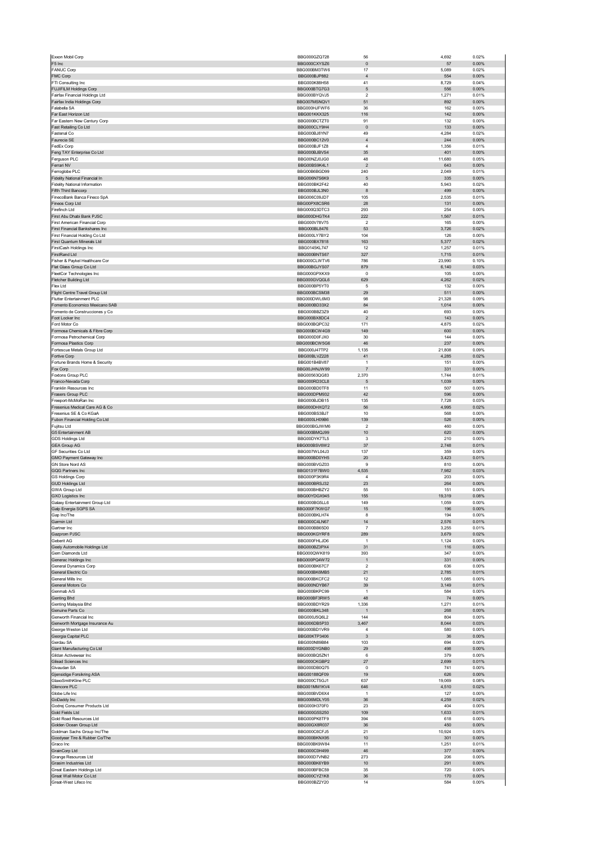|                                                                 | BBG000GZQ728                 | 56                              | 4,692        | 0.02%          |
|-----------------------------------------------------------------|------------------------------|---------------------------------|--------------|----------------|
| F5 Inc                                                          | BBG000CXYSZ6                 | $\pmb{0}$                       | 57           | 0.00%          |
| <b>FANUC Corp</b>                                               | BBG000BM3TW6                 | 17                              | 5,089        | 0.02%          |
| FMC Corp                                                        | BBG000BJP882                 | $\sqrt{4}$                      | 554          | 0.00%          |
| FTI Consulting Inc                                              | BBG000K88H58                 | 41                              | 8,729        | 0.04%          |
| FUJIFILM Holdings Corp                                          | BBG000BTG7G3<br>BBG000BYQVJ5 | 5<br>2                          | 556          | 0.00%<br>0.01% |
| Fairfax Financial Holdings Ltd<br>Fairfax India Holdings Corp   | BBG007MSNQV1                 | 51                              | 1,271<br>892 | 0.00%          |
| Falabella SA                                                    | BBG000HJFWF6                 | 36                              | 162          | 0.00%          |
| Far East Horizon Ltd                                            | BBG001KKX325                 | 116                             | 142          | 0.00%          |
| Far Eastern New Century Corp                                    | BBG000BCTZT0                 | 91                              | 132          | 0.00%          |
| Fast Retailing Co Ltd                                           | BBG000CLY9H4                 | $\pmb{0}$                       | 133          | 0.00%          |
| Fastenal Co                                                     | BBG000BJ8YN7                 | 49                              | 4,284        | 0.02%          |
| Faurecia SE                                                     | BBG000BC12V0                 | $\sqrt{4}$                      | 244          | 0.00%          |
| FedEx Corp                                                      | BBG000BJF1Z8                 | 4                               | 1,356        | 0.01%          |
| Feng TAY Enterprise Co Ltd<br>Ferguson PLC                      | BBG000BJBVS4<br>BBG00NZJ0JG0 | 35<br>48                        | 401          | 0.00%<br>0.05% |
| Ferrari NV                                                      | BBG00BS9K4L1                 | $\overline{2}$                  | 11,680       | 0.00%          |
| Ferroglobe PLC                                                  | BBG00B6BGD99                 | 240                             | 643<br>2,049 | 0.01%          |
| Fidelity National Financial In                                  | BBG006N7S6K9                 | 5                               | 335          | 0.00%          |
| <b>Fidelity National Information</b>                            | BBG000BK2F42                 | 40                              | 5,943        | 0.02%          |
| Fifth Third Bancorp                                             | BBG000BJL3N0                 | 8                               | 499          | 0.00%          |
| FinecoBank Banca Fineco SpA                                     | BBG006C09JD7                 | 105                             | 2,535        | 0.01%          |
| Fineos Corp Ltd                                                 | BBG00PX8CSR6                 | 28                              | 131          | 0.00%          |
| Firefinch Ltd                                                   | BBG000Q3DTC3                 | 293                             | 254          | 0.00%          |
| First Abu Dhabi Bank PJSC                                       | BBG000DHGTK4                 | 222<br>$\overline{\phantom{a}}$ | 1,567        | 0.01%          |
| First American Financial Corp<br>First Financial Bankshares Inc | BBG000V78V75<br>BBG000BL8476 | 53                              | 165<br>3,726 | 0.00%<br>0.02% |
| First Financial Holding Co Ltd                                  | BBG000LY7BY2                 | 104                             | 126          | 0.00%          |
| First Quantum Minerals Ltd                                      | BBG000BX7818                 | 163                             | 5,377        | 0.02%          |
| FirstCash Holdings Inc                                          | BBG0145KL747                 | 12                              | 1,257        | 0.01%          |
| FirstRand Ltd                                                   | BBG000BNTS67                 | 327                             | 1,715        | 0.01%          |
| Fisher & Paykel Healthcare Cor                                  | BBG000CLWTV6                 | 786                             | 23,990       | 0.10%          |
| Flat Glass Group Co Ltd                                         | BBG00BGJYS07                 | 879                             | 6,140        | 0.03%          |
| FleetCor Technologies Inc                                       | BBG000GPXKX9                 | $^{\circ}$                      | 105          | 0.00%          |
| Fletcher Building Ltd                                           | BBG000GVQGL6<br>BBG000BP5YT0 | 629<br>5                        | 4,262        | 0.02%          |
| Flex Ltd<br>Flight Centre Travel Group Ltd                      | BBG000BCSM38                 | 29                              | 132<br>511   | 0.00%<br>0.00% |
| Flutter Entertainment PLC                                       | BBG000DWL6M3                 | 98                              | 21,328       | 0.09%          |
| Fomento Economico Mexicano SAB                                  | BBG000BD33X2                 | 84                              | 1,014        | 0.00%          |
| Fomento de Construcciones y Co                                  | BBG000BBZ3Z9                 | 40                              | 693          | 0.00%          |
| Foot Locker Inc                                                 | BBG000BX8DC4                 | $\sqrt{2}$                      | 143          | 0.00%          |
| Ford Motor Co                                                   | BBG000BQPC32                 | 171                             | 4,875        | 0.02%          |
| Formosa Chemicals & Fibre Corp                                  | BBG000BCW4G9                 | 149                             | 600          | 0.00%          |
| Formosa Petrochemical Corp                                      | BBG000D0FJX0                 | 30                              | 144          | 0.00%          |
| Formosa Plastics Corp                                           | BBG000BCW5G6                 | 46                              | 237          | 0.00%          |
| Fortescue Metals Group Ltd                                      | BBG000J47TP2                 | 1,135                           | 21,808       | 0.09%          |
| Fortive Corp<br>Fortune Brands Home & Security                  | BBG00BLVZ228<br>BBG001B4BV87 | 41<br>$\mathbf{1}$              | 4,285<br>151 | 0.02%<br>0.00% |
| Fox Corp                                                        | BBG00JHNJW99                 | $\overline{7}$                  | 331          | 0.00%          |
| Foxtons Group PLC                                               | BBG00563QG83                 | 2,370                           | 1,744        | 0.01%          |
| Franco-Nevada Corp                                              | BBG000RD3CL8                 | 5                               | 1,039        | 0.00%          |
| Franklin Resources Inc                                          | BBG000BD0TF8                 | 11                              | 507          | 0.00%          |
| Frasers Group PLC                                               | BBG000DPM932                 | 42                              | 596          | 0.00%          |
| Freeport-McMoRan Inc                                            | BBG000BJDB15                 | 135                             | 7,728        | 0.03%          |
| Fresenius Medical Care AG & Co                                  | BBG000DHXQT2                 | 56                              | 4,995        | 0.02%          |
| Fresenius SE & Co KGaA<br>Fubon Financial Holding Co Ltd        | BBG000BS3BJ7<br>BBG000LH09B6 | 10<br>139                       | 568<br>526   | 0.00%<br>0.00% |
| Fujitsu Ltd                                                     | BBG000BGJWM6                 | $\boldsymbol{2}$                | 460          | 0.00%          |
| G5 Entertainment AB                                             | BBG000BMQJ99                 | 10                              | 620          | 0.00%          |
| <b>GDS Holdings Ltd</b>                                         | BBG00DYK7TL5                 | 3                               | 210          | 0.00%          |
| <b>GEA Group AG</b>                                             | BBG000BSV6W2                 | 37                              | 2,748        | 0.01%          |
| GF Securities Co Ltd                                            | BBG007WL04J3                 | 137                             | 359          | 0.00%          |
|                                                                 |                              |                                 |              |                |
| GMO Payment Gateway Inc                                         | BBG000BD0YH5                 | 20                              | 3,423        | 0.01%          |
| GN Store Nord AS                                                | BBG000BVGZ03                 | 9                               | 810          | 0.00%          |
| GQG Partners Inc                                                | BBG0131F7BW0                 | 4,535                           | 7,982        | 0.03%          |
| <b>GS Holdings Corp</b>                                         | BBG000P3K9R4                 | $\sqrt{4}$                      | 203          | 0.00%          |
| <b>GUD Holdings Ltd</b><br><b>GWA Group Ltd</b>                 | BBG000BRSJ32<br>BBG000BHBZY2 | 23<br>55                        | 264<br>151   | 0.00%<br>0.00% |
| <b>GXO Logistics Inc</b>                                        | BBG00YDGX945                 | 155                             | 19,319       | 0.08%          |
| Galaxy Entertainment Group Ltd                                  | <b>BBG000BG5LL6</b>          | 149                             | 1.059        | 0.00%          |
| Galp Energia SGPS SA                                            | BBG000F7KWG7                 | 15                              | 196          | 0.00%          |
| Gap Inc/The                                                     | BBG000BKLH74                 | 8                               | 194          | 0.00%          |
| Garmin Ltd                                                      | BBG000C4LN67                 | 14                              | 2,576        | 0.01%          |
| Gartner Inc                                                     | BBG000BB65D0                 | $\overline{7}$                  | 3,255        | 0.01%          |
| Gazprom PJSC                                                    | BBG000KGYRF8                 | 289<br>1                        | 3,679        | 0.02%          |
| Geberit AG<br>Geely Automobile Holdings Ltd                     | BBG000FHLJD6<br>BBG000BZ3PX4 | 31                              | 1,124<br>116 | 0.00%<br>0.00% |
| Gem Diamonds Ltd                                                | BBG000QWK819                 | 393                             | 347          | 0.00%          |
| Generac Holdings Inc                                            | BBG000PQ4W72                 | $\mathbf{1}$                    | 331          | 0.00%          |
| General Dynamics Corp                                           | BBG000BK67C7                 | 2                               | 636          | 0.00%          |
| General Electric Co                                             | BBG000BK6MB5                 | 21                              | 2,785        | 0.01%          |
| General Mills Inc                                               | BBG000BKCFC2                 | 12                              | 1,085        | 0.00%          |
| General Motors Co                                               | BBG000NDYB67                 | 39                              | 3,149        | 0.01%          |
| Genmab A/S                                                      | BBG000BKPC99                 | $\mathbf{1}$                    | 584          | 0.00%          |
| <b>Genting Bhd</b><br>Genting Malaysia Bhd                      | BBG000BF3RW5<br>BBG000BDYR29 | 48<br>1,336                     | 74<br>1,271  | 0.00%<br>0.01% |
| Genuine Parts Co                                                | BBG000BKL348                 | $\mathbf{1}$                    | 268          | 0.00%          |
| Genworth Financial Inc                                          | BBG000J5Q6L2                 | 144                             | 804          | 0.00%          |
| Genworth Mortgage Insurance Au                                  | BBG006DB5P33                 | 3,467                           | 8,044        | 0.03%          |
| George Weston Ltd                                               | BBG000BD1VR9                 | 4                               | 580          | 0.00%          |
| Georgia Capital PLC                                             | BBG00KTP3406                 | $\sqrt{3}$                      | 36           | 0.00%          |
| Gerdau SA                                                       | BBG000N89B84                 | 103                             | 694          | 0.00%          |
| Giant Manufacturing Co Ltd<br>Gildan Activewear Inc             | BBG000DYGNB0<br>BBG000BQ5ZN1 | 29<br>6                         | 498<br>379   | 0.00%<br>0.00% |
| Gilead Sciences Inc                                             | BBG000CKGBP2                 | 27                              | 2,699        | 0.01%          |
| Givaudan SA                                                     | BBG000DB0Q75                 | $^{\circ}$                      | 741          | 0.00%          |
| Gjensidige Forsikring ASA                                       | BBG00188QF09                 | 19                              | 626          | 0.00%          |
| GlaxoSmithKline PLC                                             | BBG000CT5GJ1                 | 637                             | 19,069       | 0.08%          |
| Glencore PLC                                                    | BBG001MM1KV4                 | 646                             | 4,510        | 0.02%          |
| Globe Life Inc                                                  | BBG000BVD6X4                 | $\overline{1}$                  | 127          | 0.00%          |
| GoDaddy Inc                                                     | BBG006MDLY05                 | 36                              | 4,259        | 0.02%          |
| Godrej Consumer Products Ltd                                    | BBG000H370F0                 | 23                              | 404          | 0.00%          |
| Gold Fields Ltd                                                 | BBG000G5S250                 | 109<br>394                      | 1,633<br>618 | 0.01%<br>0.00% |
| Gold Road Resources Ltd<br>Golden Ocean Group Ltd               | BBG000PK8TF9<br>BBG00GX8R037 | 36                              | 450          | 0.00%          |
| Goldman Sachs Group Inc/The                                     | BBG000C6CFJ5                 | 21                              | 10,924       | 0.05%          |
| Goodyear Tire & Rubber Co/The                                   | BBG000BKNX95                 | 10                              | 301          | 0.00%          |
| Graco Inc                                                       | BBG000BK9W84                 | 11                              | 1,251        | 0.01%          |
| GrainCorp Ltd                                                   | BBG000C0H499                 | 46                              | 377          | 0.00%          |
| Grange Resources Ltd                                            | BBG000D7VNB2                 | 273                             | 206          | 0.00%          |
| Grasim Industries Ltd                                           | BBG000BK6YB9                 | 10                              | 291          | 0.00%          |
| Great Eastern Holdings Ltd<br>Great Wall Motor Co Ltd           | BBG000BFBC59<br>BBG000CYZ1K8 | 35<br>$36\,$                    | 720<br>170   | 0.00%<br>0.00% |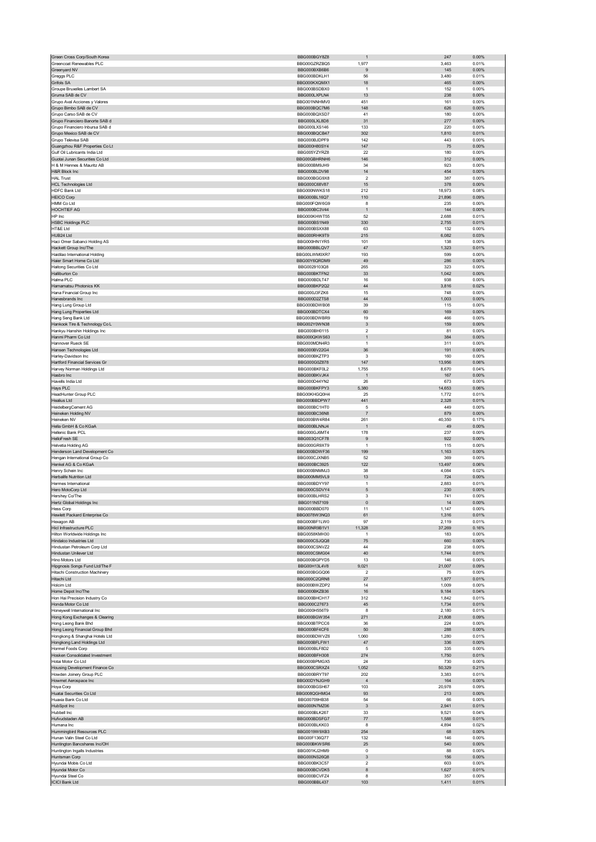| Green Cross Corp/South Korea                                | BBG000BGY8Z8                        |                              | 247             | 0.00%             |
|-------------------------------------------------------------|-------------------------------------|------------------------------|-----------------|-------------------|
| Greencoat Renewables PLC                                    | BBG00GZRZBQ5                        | 1,977                        | 3,463           | 0.01%             |
| Greenyard NV<br>Greggs PLC                                  | BBG000BXB6B6<br>BBG000BDKLH1        | 9<br>56                      | 145<br>3,480    | 0.00%<br>0.01%    |
| Grifols SA                                                  | BBG000KXQMX1                        | 18                           | 465             | $0.00\%$          |
| Groupe Bruxelles Lambert SA                                 | BBG000BSDBX0                        | $\mathbf{1}$                 | 152             | 0.00%             |
| Gruma SAB de CV                                             | BBG000LXPLN4                        | 13                           | 238             | 0.00%             |
| Grupo Aval Acciones y Valores                               | BBG001NNHMV0                        | 451                          | 161             | 0.00%             |
| Grupo Bimbo SAB de CV                                       | BBG000BQC7M6                        | 148                          | 626             | $0.00\%$          |
| Grupo Carso SAB de CV                                       | BBG000BQXSD7                        | 41                           | 180             | 0.00%             |
| Grupo Financiero Banorte SAB d                              | BBG000LXL8D8                        | 31                           | 277             | $0.00\%$          |
| Grupo Financiero Inbursa SAB d                              | BBG000LXS146                        | 133                          | 220             | 0.00%             |
| Grupo Mexico SAB de CV                                      | BBG000BQCB47                        | 302                          | 1,810           | 0.01%             |
| Grupo Televisa SAB                                          | BBG000BJDPF9                        | 142                          | 443             | 0.00%             |
| Guangzhou R&F Properties Co Lt                              | BBG000H80SY4                        | 147                          | 75              | 0.00%             |
| Gulf Oil Lubricants India Ltd                               | BBG005YZYRZ8                        | 22                           | 180             | 0.00%             |
| Guotai Junan Securities Co Ltd<br>H & M Hennes & Mauritz AB | BBG00GBHRNH6<br>BBG000BM9JH9        | 146<br>34                    | 312<br>923      | $0.00\%$<br>0.00% |
| H&R Block Inc                                               | BBG000BLDV98                        | 14                           | 454             | $0.00\%$          |
| <b>HAL Trust</b>                                            | BBG000BGG9X8                        | $\boldsymbol{2}$             | 387             | 0.00%             |
| <b>HCL Technologies Ltd</b>                                 | BBG000C68V87                        | 15                           | 378             | $0.00\%$          |
| HDFC Bank Ltd                                               | BBG000NWKS18                        | 212                          | 18,973          | 0.08%             |
| <b>HEICO Corp</b>                                           | BBG000BL16Q7                        | 110                          | 21,896          | 0.09%             |
| HMM Co Ltd                                                  | BBG000FQW6G9                        | 8                            | 235             | 0.00%             |
| HOCHTIEF AG                                                 | BBG000BC3V44                        | $\mathbf{1}$                 | 144             | 0.00%             |
| HP Inc                                                      | BBG000KHWT55                        | 52                           | 2,688           | 0.01%             |
| <b>HSBC Holdings PLC</b>                                    | BBG000BS1N49                        | 330                          | 2,755           | 0.01%             |
| HT&E Ltd                                                    | BBG000BSXX88                        | 63                           | 132             | 0.00%             |
| HUB24 Ltd                                                   | BBG000RHK9T9                        | 215                          | 6,082           | 0.03%             |
| Haci Omer Sabanci Holding AS                                | BBG000HN1YR5<br>BBG000BBLQV7        | 101<br>47                    | 138<br>1,323    | 0.00%<br>0.01%    |
| Hackett Group Inc/The<br>Haidilao International Holding     | BBG00LWM0XR7                        | 193                          | 599             | 0.00%             |
| Haier Smart Home Co Ltd                                     | BBG00Y6QRDM9                        | 49                           | 286             | 0.00%             |
| Haitong Securities Co Ltd                                   | BBG0029103Q8                        | 265                          | 323             | 0.00%             |
| Halliburton Co                                              | BBG000BKTFN2                        | 33                           | 1,042           | 0.00%             |
| Halma PLC                                                   | BBG000BDLT47                        | 16                           | 938             | 0.00%             |
| Hamamatsu Photonics KK                                      | BBG000BKP2Q2                        | 44                           | 3,816           | 0.02%             |
| Hana Financial Group Inc                                    | BBG000J3FZK6                        | 15                           | 748             | 0.00%             |
| Hanesbrands Inc                                             | BBG000D2ZTS8                        | 44                           | 1,003           | 0.00%             |
| Hang Lung Group Ltd                                         | BBG000BDWB08                        | 39                           | 115             | 0.00%             |
| Hang Lung Properties Ltd                                    | BBG000BDTCX4                        | 60                           | 169             | 0.00%             |
| Hang Seng Bank Ltd                                          | BBG000BDWBR9                        | 19                           | 466             | 0.00%             |
| Hankook Tire & Technology Co L                              | BBG002Y0WN38                        | $\ensuremath{\mathsf{3}}$    | 159             | $0.00\%$          |
| Hankyu Hanshin Holdings Inc                                 | BBG000BH0115                        | $\boldsymbol{2}$             | 81              | 0.00%             |
| Hanmi Pharm Co Ltd                                          | BBG000QKWS63<br>BBG000MDN4R3        | $\mathbf{1}$<br>$\mathbf{1}$ | 384             | 0.00%             |
| Hannover Rueck SE<br>Hansen Technologies Ltd                | BBG000BV22G4                        | 36                           | 311<br>191      | 0.00%<br>0.00%    |
| Harley-Davidson Inc                                         | BBG000BKZTP3                        | 3                            | 160             | 0.00%             |
| Hartford Financial Services Gr                              | BBG000G0Z878                        | 147                          | 13,956          | 0.06%             |
| Harvey Norman Holdings Ltd                                  | BBG000BKF0L2                        | 1,755                        | 8,670           | 0.04%             |
| Hasbro Inc                                                  | BBG000BKVJK4                        | $\mathbf{1}$                 | 167             | 0.00%             |
| Havells India Ltd                                           | BBG000D44YN2                        | 26                           | 673             | 0.00%             |
| Hays PLC                                                    | BBG000BKFPY3                        | 5,380                        | 14,653          | 0.06%             |
| HeadHunter Group PLC                                        | BBG00KHGQ0H4                        | 25                           | 1,772           | 0.01%             |
| <b>Healius Ltd</b>                                          | BBG000BBDPW7                        | 441                          | 2,328           | 0.01%             |
| HeidelbergCement AG                                         | BBG000BC1HT0                        | 5                            | 449             | 0.00%             |
| Heineken Holding NV                                         | BBG000BC36N8                        | $\overline{7}$               | 879             | 0.00%             |
|                                                             |                                     |                              |                 | 0.17%             |
| Heineken NV                                                 | BBG000BW4R84                        | 261                          | 40,350          |                   |
| Hella GmbH & Co KGaA                                        | BBG000BLNNJ4                        | $\mathbf{1}$                 | 49              | $0.00\%$          |
| Hellenic Bank PCL                                           | BBG000GJ6MT4                        | 178                          | 237             | 0.00%             |
| HelloFresh SE                                               | BBG003Q1CF78                        | 9                            | 922             | $0.00\%$          |
| Helvetia Holding AG                                         | BBG000GR9XT9                        | $\mathbf{1}$                 | 115             | 0.00%             |
| Henderson Land Development Co                               | BBG000BDWF36                        | 199                          | 1,163           | 0.00%             |
| Hengan International Group Co                               | BBG000CJXNB5                        | 52                           | 369             | 0.00%             |
| Henkel AG & Co KGaA<br>Henry Schein Inc                     | BBG000BC3925<br>BBG000BNMMJ3        | 122<br>38                    | 13,497<br>4,084 | 0.06%<br>0.02%    |
| Herbalife Nutrition Ltd                                     | BBG000MM5VL9                        | 13                           | 724             | 0.00%             |
| Hermes International                                        | BBG000BDYY97                        | $\mathbf{1}$                 | 2,883           | 0.01%             |
| Hero MotoCorp Ltd                                           | BBG000CSDVY4                        | 5                            | 230             | 0.00%             |
| Hershey Co/The                                              | BBG000BLHRS2                        | 3                            | 741             | 0.00%             |
| Hertz Global Holdings Inc                                   | BBG011N57109                        | $\mathbf 0$                  | 14              | 0.00%             |
| Hess Corp                                                   | BBG000BBD070                        | 11                           | 1,147           | 0.00%             |
| Hewlett Packard Enterprise Co                               | BBG0078W3NQ3                        | 61                           | 1,316           | 0.01%             |
| Hexagon AB                                                  | BBG000BF1LW0                        | 97                           | 2,119           | 0.01%             |
| Hicl Infrastructure PLC                                     | BBG00NR9B1V1<br><b>BBG0058KMH30</b> | 11,328<br>$\mathbf{1}$       | 37,269          | 0.16%             |
| Hilton Worldwide Holdings Inc                               |                                     |                              | 183             | 0.00%             |
| Hindalco Industries Ltd<br>Hindustan Petroleum Corp Ltd     | BBG000CSJQQ8<br>BBG000CSNVZ2        | 75<br>44                     | 660<br>238      | 0.00%<br>0.00%    |
| Hindustan Unilever Ltd                                      | BBG000CSMG04                        | 40                           | 1,744           | 0.01%             |
| Hino Motors Ltd                                             | BBG000BGPYD5                        | 13                           | 146             | 0.00%             |
| Hipgnosis Songs Fund Ltd/The F                              | BBG00H13L4V8                        | 9,021                        | 21,007          | 0.09%             |
| Hitachi Construction Machinery                              | BBG000BGGQ06                        | 2                            | 75              | 0.00%             |
| Hitachi Ltd                                                 | BBG000C2QRN8                        | 27                           | 1,977           | 0.01%             |
| Holcim Ltd                                                  | BBG000BWZDP2                        | 14                           | 1,009           | 0.00%             |
| Home Depot Inc/The                                          | BBG000BKZB36                        | 16                           | 9.184           | 0.04%             |
| Hon Hai Precision Industry Co                               | BBG000BHCH17                        | 312                          | 1,842           | 0.01%             |
| Honda Motor Co Ltd<br>Honeywell International Inc           | BBG000C27673<br>BBG000H556T9        | 45<br>8                      | 1,734<br>2,180  | 0.01%<br>0.01%    |
| Hong Kong Exchanges & Clearing                              | BBG000BGW354                        | 271                          | 21,808          | 0.09%             |
| Hong Leong Bank Bhd                                         | BBG000BTPCC6                        | 36                           | 224             | 0.00%             |
| Hong Leong Financial Group Bhd                              | BBG000BF4CF6                        | 50                           | 288             | 0.00%             |
| Hongkong & Shanghai Hotels Ltd                              | BBG000BDWVZ6                        | 1,060                        | 1,280           | 0.01%             |
| Hongkong Land Holdings Ltd                                  | BBG000BFLFW1                        | 47                           | 336             | $0.00\%$          |
| Hormel Foods Corp                                           | BBG000BLF8D2                        | 5                            | 335             | 0.00%             |
| Hosken Consolidated Investment                              | BBG000BFH308                        | 274                          | 1,750           | 0.01%             |
| Hotai Motor Co Ltd                                          | BBG000BPMGX5                        | 24                           | 730             | 0.00%             |
| Housing Development Finance Co                              | BBG000CSRXZ4                        | 1,052                        | 50,329          | 0.21%             |
| Howden Joinery Group PLC                                    | BBG000BRYT97<br>BBG00DYNJGH9        | 202<br>$\sqrt{4}$            | 3,383<br>164    | 0.01%<br>0.00%    |
| Howmet Aerospace Inc<br>Hoya Corp                           | BBG000BGSH67                        | 103                          | 20,978          | 0.09%             |
| Huatai Securities Co Ltd                                    | BBG008QGHMG4                        | 93                           | 213             | 0.00%             |
| Huaxia Bank Co Ltd                                          | BBG00709HB38                        | 54                           | 66              | 0.00%             |
| HubSpot Inc                                                 | BBG000N7MZ06                        | $\ensuremath{\mathsf{3}}$    | 2,941           | 0.01%             |
| Hubbell Inc                                                 | BBG000BLK267                        | 33                           | 9,521           | 0.04%             |
| Hufvudstaden AB                                             | BBG000BDSFG7                        | $77 \,$                      | 1,588           | 0.01%             |
| Humana Inc                                                  | BBG000BLKK03                        | 8                            | 4,894           | 0.02%             |
| Hummingbird Resources PLC                                   | BBG0019W9XB3                        | 254                          | 68              | 0.00%             |
| Hunan Valin Steel Co Ltd                                    | BBG00F136Q77                        | 132                          | 146             | 0.00%             |
| Huntington Bancshares Inc/OH                                | BBG000BKWSR6                        | 25                           | 540             | $0.00\%$          |
| Huntington Ingalls Industries                               | BBG001KJ2HM9                        | $\mathbf 0$                  | 88              | 0.00%             |
| Huntsman Corp<br>Hyundai Mobis Co Ltd                       | BBG000NS26Q8<br>BBG000BK3C57        | 3<br>2                       | 156<br>603      | 0.00%<br>0.00%    |
| Hyundai Motor Co                                            | BBG000BCVDK5                        | $\bf8$                       | 1,627           | 0.01%             |
| Hyundai Steel Co<br><b>ICICI Bank Ltd</b>                   | BBG000BCVFZ4<br>BBG000BBL437        | 8<br>103                     | 357<br>1,411    | 0.00%<br>0.01%    |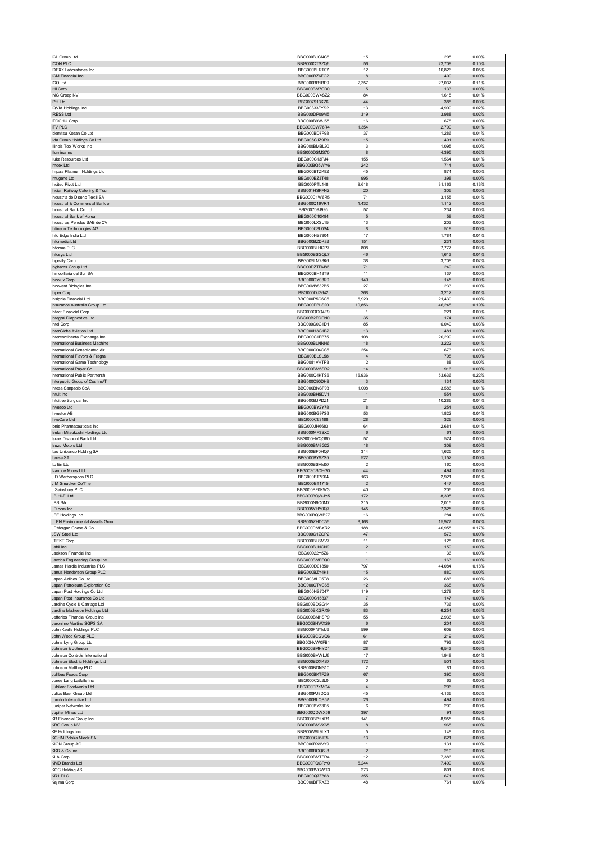| ICL Group Ltd                                                   | BBG000BJCNC8                        | 15                                        | 205              | 0.00%                   |
|-----------------------------------------------------------------|-------------------------------------|-------------------------------------------|------------------|-------------------------|
| <b>ICON PLC</b><br><b>IDEXX Laboratories Inc</b>                | BBG000CTSZQ6<br>BBG000BLRT07        | 56<br>12                                  | 23,709<br>10,826 | 0.10%<br>0.05%          |
| IGM Financial Inc                                               | BBG000BZ6FG2                        | $\bf8$                                    | 400              | 0.00%                   |
| <b>IGO Ltd</b>                                                  | BBG000BB1BP9                        | 2,357                                     | 27,037           | 0.11%                   |
| IHI Corp                                                        | BBG000BM7CD0                        | 5                                         | 133              | 0.00%                   |
| ING Groep NV<br>IPH Ltd                                         | BBG000BW4SZ2<br>BBG007913KZ6        | 84<br>44                                  | 1,615<br>388     | 0.01%<br>0.00%          |
| <b>IQVIA Holdings Inc</b>                                       | BBG00333FYS2                        | 13                                        | 4,909            | 0.02%                   |
| <b>IRESS Ltd</b>                                                | BBG000DP09M5                        | 319                                       | 3,988            | 0.02%                   |
| <b>ITOCHU Corp</b><br><b>ITV PLC</b>                            | BBG000B9WJ55<br>BBG000DW76R4        | 16<br>1,354                               | 678<br>2,790     | 0.00%<br>0.01%          |
| Idemitsu Kosan Co Ltd                                           | BBG000BD7F98                        | 37                                        | 1,286            | 0.01%                   |
| lida Group Holdings Co Ltd                                      | BBG005CJZ9F9                        | 15                                        | 491              | 0.00%                   |
| Illinois Tool Works Inc                                         | BBG000BMBL90                        | 3                                         | 1,095            | 0.00%                   |
| Illumina Inc<br>Iluka Resources Ltd                             | BBG000DSMS70<br>BBG000C13PJ4        | 8<br>155                                  | 4,395<br>1,564   | 0.02%<br>0.01%          |
| Imdex Ltd                                                       | BBG000BQ5WY6                        | 242                                       | 714              | 0.00%                   |
| Impala Platinum Holdings Ltd                                    | BBG000BTZK82                        | 45                                        | 874              | 0.00%                   |
| Imugene Ltd<br>Incitec Pivot Ltd                                | BBG000BZ3T48<br>BBG000PTL148        | 995<br>9,618                              | 398<br>31,163    | 0.00%<br>0.13%          |
| Indian Railway Catering & Tour                                  | BBG001HSFFN2                        | 20                                        | 306              | 0.00%                   |
| Industria de Diseno Textil SA                                   | BBG000C1W6R5                        | 71                                        | 3,155            | 0.01%                   |
| Industrial & Commercial Bank o<br>Industrial Bank Co Ltd        | BBG000Q16VR4<br>BBG00709J995        | 1,432<br>57                               | 1,112<br>234     | 0.00%<br>0.00%          |
| Industrial Bank of Korea                                        | BBG000C40K84                        | 5                                         | 58               | 0.00%                   |
| Industrias Penoles SAB de CV                                    | BBG000LXSL15                        | 13                                        | 203              | 0.00%                   |
| Infineon Technologies AG                                        | BBG000C8L0S4                        | 8                                         | 519              | $0.00\%$                |
| Info Edge India Ltd<br>Infomedia Ltd                            | BBG000HS7804<br>BBG000BZDK82        | 17<br>151                                 | 1,784<br>231     | 0.01%<br>0.00%          |
| Informa PLC                                                     | BBG000BLHQP7                        | 808                                       | 7,777            | 0.03%                   |
| Infosys Ltd                                                     | BBG000BSGQL7                        | 46                                        | 1,613            | 0.01%                   |
| Ingevity Corp                                                   | BBG009LM28K6                        | 38                                        | 3,708            | 0.02%                   |
| Inghams Group Ltd<br>Inmobiliaria del Sur SA                    | BBG00DZTFM86<br>BBG000BH18T9        | 71<br>11                                  | 249<br>137       | 0.00%<br>0.00%          |
| Innolux Corp                                                    | BBG000QY03R0                        | 149                                       | 145              | $0.00\%$                |
| Innovent Biologics Inc                                          | BBG00M8832B5                        | 27                                        | 233              | 0.00%                   |
| <b>Inpex Corp</b><br>Insignia Financial Ltd                     | BBG000DJ3642<br>BBG000P5Q6C5        | 268<br>5,920                              | 3,212<br>21,430  | 0.01%<br>0.09%          |
| Insurance Australia Group Ltd                                   | BBG000PBLS20                        | 10,856                                    | 46,248           | 0.19%                   |
| <b>Intact Financial Corp</b>                                    | BBG000QDQ4F9                        | $\mathbf{1}$                              | 221              | 0.00%                   |
| Integral Diagnostics Ltd                                        | BBG00B2FQPN0                        | 35                                        | 174              | 0.00%                   |
| Intel Corp<br>InterGlobe Aviation Ltd                           | BBG000C0G1D1<br>BBG000H3G1B2        | 85<br>13                                  | 6,040<br>481     | 0.03%<br>0.00%          |
| Intercontinental Exchange Inc                                   | BBG000C1FB75                        | 108                                       | 20,299           | 0.08%                   |
| International Business Machine                                  | BBG000BLNNH6                        | 18                                        | 3,222            | 0.01%                   |
| International Consolidated Air                                  | BBG000C04GS5                        | 254                                       | 673              | 0.00%                   |
| International Flavors & Fragra<br>International Game Technology | BBG000BLSL58<br>BBG0081VHTP3        | $\overline{4}$<br>$\overline{\mathbf{2}}$ | 798<br>88        | $0.00\%$<br>0.00%       |
| International Paper Co                                          | BBG000BM5SR2                        | 14                                        | 916              | 0.00%                   |
| International Public Partnersh                                  | BBG000Q4KTS6                        | 16,936                                    | 53,636           | 0.22%                   |
| Interpublic Group of Cos Inc/T<br>Intesa Sanpaolo SpA           | BBG000C90DH9<br>BBG000BNSF93        | 3<br>1,008                                | 134<br>3,586     | 0.00%<br>0.01%          |
| Intuit Inc.                                                     | BBG000BH5DV1                        | $\overline{1}$                            | 554              | $0.00\%$                |
| Intuitive Surgical Inc                                          | BBG000BJPDZ1                        | 21                                        | 10,286           | 0.04%                   |
| Invesco Ltd                                                     | BBG000BY2Y78                        | 8                                         | 254              | 0.00%                   |
| Investor AB<br>InvoCare Ltd                                     | BBG000BG97S6<br>BBG000C63188        | 53<br>28                                  | 1,822<br>326     | 0.01%<br>0.00%          |
| Ionis Pharmaceuticals Inc                                       | BBG000JH6683                        | 64                                        | 2,681            | 0.01%                   |
| Isetan Mitsukoshi Holdings Ltd                                  | BBG000MF3SX0                        | 6                                         | 61               | 0.00%                   |
| <b>Israel Discount Bank Ltd</b><br><b>Isuzu Motors Ltd</b>      | BBG000HVQG80<br>BBG000BM8G22        | 57                                        | 524<br>309       | 0.00%<br>0.00%          |
| Itau Unibanco Holding SA                                        | BBG000BF0HQ7                        | 18<br>314                                 | 1,625            | 0.01%                   |
| Itausa SA                                                       | BBG000BY9ZS5                        | 522                                       | 1,152            | 0.00%                   |
| Ito En Ltd                                                      | BBG000BSVM57                        | $\overline{\mathbf{c}}$                   | 160              | 0.00%                   |
| Ivanhoe Mines Ltd<br>J D Wetherspoon PLC                        | BBG003CSCHG0<br><b>BBG000BT7S04</b> | 44<br>163                                 | 494<br>2,921     | 0.00%<br>0.01%          |
| J M Smucker Co/The                                              | BBG000BT1715                        | $\overline{\mathbf{c}}$                   | 447              | 0.00%                   |
| J Sainsbury PLC                                                 | BBG000BF0KW3                        | 40                                        | 206              | 0.00%                   |
| JB Hi-Fi Ltd<br><b>IRS SA</b>                                   | BBG000BQWJY5<br><b>BRC000N6O0M7</b> | 172<br>215                                | 8,305<br>2.015   | 0.03%<br>0.01%          |
| JD.com Inc                                                      | BBG005YHY0Q7                        | 145                                       | 7,325            | 0.03%                   |
| JFE Holdings Inc                                                | BBG000BQWB27                        | 16                                        | 284              | 0.00%                   |
| JLEN Environmental Assets Grou                                  | BBG005ZHDC56                        | 8,168                                     | 15,977           | 0.07%                   |
| JPMorgan Chase & Co                                             | BBG000DMBXR2<br>BBG000C1ZGP2        | 188                                       | 40,955           | 0.17%                   |
| <b>JSW Steel Ltd</b><br>JTEKT Corp                              | BBG000BLSMV7                        | 47<br>11                                  | 573<br>128       | 0.00%<br>0.00%          |
| Jabil Inc                                                       | BBG000BJNGN9                        | $\overline{2}$                            | 159              | 0.00%                   |
| Jackson Financial Inc                                           | BBG00922Y5Z6                        |                                           |                  |                         |
| Jacobs Engineering Group Inc<br>James Hardie Industries PLC     |                                     | $\overline{1}$                            | 36               | 0.00%                   |
|                                                                 | BBG000BMFFQ0                        | $\overline{1}$                            | 163              | 0.00%                   |
| Janus Henderson Group PLC                                       | BBG000D01850<br>BBG000BZY4K1        | 797<br>15                                 | 44,084<br>880    | 0.18%<br>$0.00\%$       |
| Japan Airlines Co Ltd                                           | BBG0038LG5T8                        | 26                                        | 686              | 0.00%                   |
| Japan Petroleum Exploration Co                                  | BBG000CTVC65                        | 12                                        | 368              | 0.00%                   |
| Japan Post Holdings Co Ltd<br>Japan Post Insurance Co Ltd       | BBG000HS7047<br>BBG000C15837        | 119<br>$\overline{7}$                     | 1,278<br>147     | 0.01%<br>$0.00\%$       |
| Jardine Cycle & Carriage Ltd                                    | BBG000BDGG14                        | 35                                        | 736              | 0.00%                   |
| Jardine Matheson Holdings Ltd                                   | BBG000BKGRX9                        | 83                                        | 6,254            | 0.03%                   |
| Jefferies Financial Group Inc                                   | BBG000BNHSP9                        | 55                                        | 2,936            | 0.01%                   |
| Jeronimo Martins SGPS SA<br>John Keells Holdings PLC            | BBG000BHWX29<br>BBG000FNYM.I6       | $\,6$<br>599                              | 204<br>609       | 0.00%<br>0.00%          |
| John Wood Group PLC                                             | BBG000BCGVQ6                        | 61                                        | 219              | 0.00%                   |
| Johns Lyng Group Ltd                                            | BBG00HVW0FB1                        | 87                                        | 793              | 0.00%                   |
| Johnson & Johnson                                               | BBG000BMHYD1                        | 28                                        | 6,543            | 0.03%                   |
| Johnson Controls International<br>Johnson Electric Holdings Ltd | BBG000BVWLJ6<br>BBG000BDXKS7        | 17<br>172                                 | 1,948<br>501     | 0.01%<br>0.00%          |
| Johnson Matthey PLC                                             | BBG000BDNS10                        | $\overline{\mathbf{c}}$                   | 81               | 0.00%                   |
| Jollibee Foods Corp                                             | BBG000BKTFZ9                        | 67                                        | 390              | $0.00\%$                |
| Jones Lang LaSalle Inc<br>Jubilant Foodworks Ltd                | BBG000C2L2L0<br>BBG000PPXMG4        | $\mathbf 0$<br>$\overline{4}$             | 63<br>296        | 0.00%<br>0.00%          |
| Julius Baer Group Ltd                                           | BBG000PJ8DQ5                        | 45                                        | 4,136            | 0.02%                   |
| Jumbo Interactive Ltd                                           | BBG000BLQB52                        | $26\,$                                    | 494              | $0.00\%$                |
| Juniper Networks Inc                                            | BBG000BY33P5                        | 6                                         | 290              | 0.00%                   |
| Jupiter Mines Ltd<br><b>KB Financial Group Inc</b>              | BBG000QDWX59<br>BBG000BPHXR1        | 397<br>141                                | 91<br>8,955      | 0.00%<br>0.04%          |
| <b>KBC Group NV</b>                                             | BBG000BMVX65                        | $\bf8$                                    | 968              | 0.00%                   |
| <b>KE Holdings Inc</b>                                          | BBG00W9L9LX1                        | 5                                         | 148              | 0.00%                   |
| KGHM Polska Miedz SA<br><b>KION Group AG</b>                    | BBG000CJ6JT5<br>BBG000BX9VY9        | 13<br>$\mathbf{1}$                        | 621<br>131       | 0.00%<br>0.00%          |
| KKR & Co Inc                                                    | BBG000BCQ6J8                        | $\overline{\mathbf{c}}$                   | 210              | $0.00\%$                |
| <b>KLA Corp</b>                                                 | BBG000BMTFR4                        | 12                                        | 7,386            | 0.03%                   |
| <b>KMD Brands Ltd</b>                                           | BBG000PQGRY0                        | 5,244                                     | 7,499            | 0.03%                   |
| <b>KOC Holding AS</b><br>KR1 PLC<br>Kajima Corp                 | BBG000BVCWT3<br>BBG000Q7Z863        | 273<br>355<br>48                          | 801<br>671       | 0.00%<br>0.00%<br>0.00% |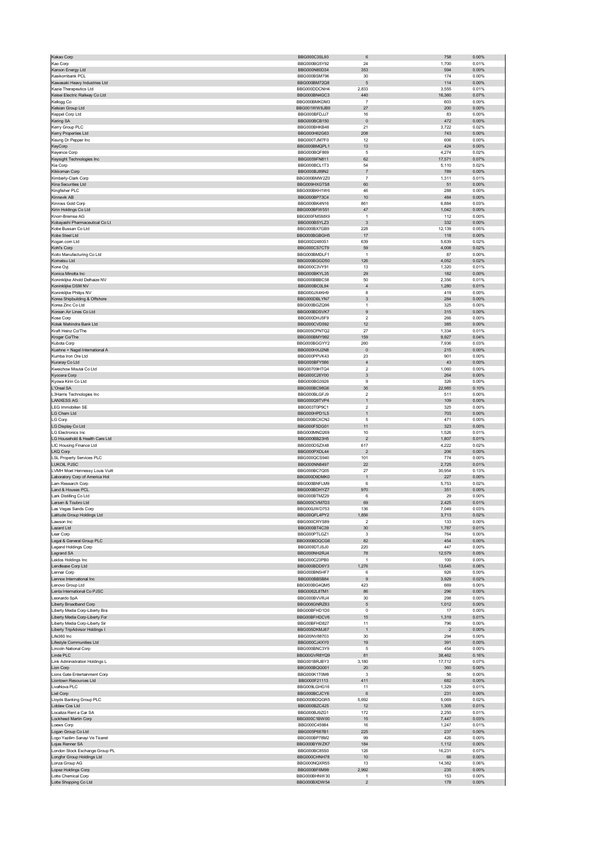| Kakao Corp                                   | BBG000C3SL93                 | 6                                       | 758           | 0.00%             |
|----------------------------------------------|------------------------------|-----------------------------------------|---------------|-------------------|
| Kao Corp                                     | BBG000BG5Y92                 | 24                                      | 1,700         | 0.01%             |
| Karoon Energy Ltd                            | BBG000N80D34                 | 353                                     | 594           | 0.00%             |
| Kasikornbank PCL                             | BBG000BSM796                 | 30                                      | 174           | 0.00%             |
| Kawasaki Heavy Industries Ltd                | BBG000BM72Q8                 | $\sqrt{5}$                              | 114           | 0.00%             |
| Kazia Therapeutics Ltd                       | BBG000DDCNH4                 | 2,833                                   | 3,555         | 0.01%             |
| Keisei Electric Railway Co Ltd               | BBG000BN4GC3                 | 440                                     | 16,360        | 0.07%             |
| Kellogg Co                                   | BBG000BMKDM3                 | $\overline{7}$                          | 603           | 0.00%             |
| Kelsian Group Ltd                            | BBG001WW8JB9                 | 27                                      | 200           | 0.00%             |
| Keppel Corp Ltd                              | BBG000BFDJJ7                 | 16                                      | 83            | 0.00%             |
| Kering SA                                    | BBG000BCB150                 | $\pmb{0}$                               | 472           | $0.00\%$          |
| Kerry Group PLC                              | BBG000BHKB48                 | 21<br>208                               | 3,722         | 0.02%             |
| Kerry Properties Ltd                         | BBG000H62G63                 |                                         | 743           | 0.00%             |
| Keurig Dr Pepper Inc<br>KeyCorp              | BBG000TJM7F0<br>BBG000BMQPL1 | 12<br>13                                | 606<br>424    | 0.00%<br>$0.00\%$ |
| Keyence Corp                                 | BBG000BQF869                 | 5                                       | 4,274         | 0.02%             |
| Keysight Technologies Inc                    | BBG0059FN811                 | 62                                      | 17,571        | 0.07%             |
| Kia Corp                                     | BBG000BCL1T3                 | 54                                      | 5,110         | 0.02%             |
| Kikkoman Corp                                | BBG000BJ89N2                 | $\overline{\mathfrak{c}}$               | 789           | 0.00%             |
| Kimberly-Clark Corp                          | BBG000BMW2Z0                 | $\overline{7}$                          | 1,311         | 0.01%             |
| Kina Securities Ltd                          | BBG009HXGTS8                 | 60                                      | 51            | 0.00%             |
| Kingfisher PLC                               | BBG000BKH1W6                 | 46                                      | 288           | 0.00%             |
| Kinnevik AB                                  | BBG000BP73C4                 | 10                                      | 484           | 0.00%             |
| Kinross Gold Corp                            | BBG000BK4N16                 | 861                                     | 6,884         | 0.03%             |
| Kirin Holdings Co Ltd                        | BBG000BFW551                 | 47                                      | 1,042         | 0.00%             |
| Knorr-Bremse AG                              | BBG000FMSMX9                 | $\mathbf{1}$                            | 112           | 0.00%             |
| Kobayashi Pharmaceutical Co Lt               | BBG000BSYLZ3                 | $\ensuremath{\mathsf{3}}$               | 332           | 0.00%             |
| Kobe Bussan Co Ltd                           | BBG000BX7GB9                 | 228                                     | 12,139        | 0.05%             |
| Kobe Steel Ltd                               | BBG000BGBGH5                 | 17                                      | 118           | 0.00%             |
| Kogan.com Ltd                                | BBG00D2480S1                 | 639                                     | 5,639         | 0.02%             |
| Kohľ's Corp                                  | BBG000CS7CT9                 | 59                                      | 4,008         | 0.02%             |
| Koito Manufacturing Co Ltd                   | BBG000BMDLF1<br>BBG000BGGD50 | $\mathbf{1}$                            | 87            | 0.00%             |
| Komatsu Ltd                                  | BBG000C3VY91                 | 126                                     | 4,052         | 0.02%             |
| Kone Oyj<br>Konica Minolta Inc               | BBG000BKYL35                 | 13<br>29                                | 1,320<br>182  | 0.01%<br>0.00%    |
| Koninklijke Ahold Delhaize NV                | BBG000BBBC58                 | 50                                      | 2,356         | 0.01%             |
| Koninklijke DSM NV                           | BBG000BC0L94                 | $\sqrt{4}$                              | 1,280         | 0.01%             |
| Koninklijke Philips NV                       | BBG000JX4KH9                 | 8                                       | 419           | 0.00%             |
| Korea Shipbuilding & Offshore                | BBG000DBLYN7                 | $\ensuremath{\mathsf{3}}$               | 284           | 0.00%             |
| Korea Zinc Co Ltd                            | BBG000BGZQ96                 | $\mathbf{1}$                            | 325           | 0.00%             |
| Korean Air Lines Co Ltd                      | BBG000BDSVK7                 | $\mathsf g$                             | 315           | 0.00%             |
| Kose Corp                                    | BBG000DHJ5F9                 | $\boldsymbol{2}$                        | 266           | 0.00%             |
| Kotak Mahindra Bank Ltd                      | BBG000CVD592                 | 12                                      | 385           | 0.00%             |
| Kraft Heinz Co/The                           | BBG005CPNTQ2                 | 27                                      | 1,334         | 0.01%             |
| Kroger Co/The                                | BBG000BMY992                 | 159                                     | 9,927         | 0.04%             |
| Kubota Corp                                  | BBG000BGGYY2                 | 260                                     | 7,936         | 0.03%             |
| Kuehne + Nagel International A               | BBG000HXJ2N8                 | $\pmb{0}$                               | 215           | 0.00%             |
| Kumba Iron Ore Ltd                           | BBG000PPVK43                 | 23                                      | 901           | 0.00%             |
| Kuraray Co Ltd                               | BBG000BFY586                 | $\sqrt{4}$                              | 43            | 0.00%             |
| Kweichow Moutai Co Ltd                       | BBG00709HTQ4                 | $\boldsymbol{2}$                        | 1,060         | 0.00%             |
| Kyocera Corp                                 | BBG000C26Y00                 | $\ensuremath{\mathsf{3}}$               | 264           | 0.00%             |
| Kyowa Kirin Co Ltd                           | BBG000BG3926                 | 9                                       | 326           | 0.00%             |
| L'Oreal SA                                   | BBG000BC98G6                 | 35                                      | 22,985        | 0.10%             |
| L3Harris Technologies Inc                    | BBG000BLGFJ9                 | $\boldsymbol{2}$                        | 511           | 0.00%             |
| <b>LANXESS AG</b>                            | BBG000Q9TVP4                 | $\mathbf{1}$                            | 109           | 0.00%             |
| LEG Immobilien SE                            | BBG003T0P9C1                 | 2<br>$\mathbf{1}$                       | 325           | 0.00%             |
| LG Chem Ltd<br>LG Corp                       | BBG000HPD1L5<br>BBG000BCXCN2 | 5                                       | 703<br>471    | 0.00%<br>0.00%    |
| LG Display Co Ltd                            | BBG000F5DG01                 | 11                                      | 323           | 0.00%             |
| LG Electronics Inc                           | BBG000MND269                 | 10                                      | 1,526         | 0.01%             |
| LG Household & Health Care Ltd               | BBG000BB23H5                 | $\sqrt{2}$                              | 1,807         | 0.01%             |
| LIC Housing Finance Ltd                      | BBG000DSZX48                 | 617                                     | 4,222         | 0.02%             |
| LKQ Corp                                     | BBG000PXDL44                 | $\mathbf 2$                             | 206           | 0.00%             |
| <b>LSL Property Services PLC</b>             | BBG000QCS940                 | 101                                     | 774           | 0.00%             |
| LUKOIL PJSC                                  | BBG000NN8497                 | 22                                      | 2,725         | 0.01%             |
| LVMH Moet Hennessy Louis Vuitt               | BBG000BC7Q05                 | 27                                      | 30,954        | 0.13%             |
| Laboratory Corp of America Hol               | BBG000D9DMK0                 | $\mathbf{1}$                            | 227           | $0.00\%$          |
| am Research Corp                             | BBG000BNFLM9                 | 6                                       | 5,753         | 0.02%             |
| Land & Houses PCL                            | BBG000BDHYZ7                 | 970                                     | 351           | 0.00%             |
| Lark Distilling Co Ltd                       | BBG000BTMZ29                 | 6                                       | 29            | 0.00%             |
| Larsen & Toubro Ltd                          | BBG000CVM7D3                 | 69                                      | 2,425         | 0.01%             |
| Las Vegas Sands Corp                         | BBG000JWD753                 | 136                                     | 7,049         | 0.03%             |
| Latitude Group Holdings Ltd                  | BBG00QFL4PY2                 | 1,856                                   | 3,713         | 0.02%             |
| Lawson Inc                                   | BBG000CRYS89                 | $\overline{\mathbf{c}}$                 | 133           | 0.00%             |
| Lazard Ltd                                   | BBG000BT4C39                 | 30                                      | 1,787         | 0.01%             |
| Lear Corp                                    | BBG000PTLGZ1                 | 3                                       | 764           | 0.00%             |
| Legal & General Group PLC                    | BBG000BDQCG6                 | 82                                      | 454           | $0.00\%$          |
| Legend Holdings Corp                         | BBG009DTJSJ0                 | 220                                     | 447           | 0.00%             |
| Legrand SA<br>Leidos Holdings Inc            | BBG000NH2RJ4<br>BBG000C23PB0 | 78<br>$\mathbf{1}$                      | 12,579<br>100 | 0.05%<br>0.00%    |
| Lendlease Corp Ltd                           | BBG000BDD6Y3                 | 1,276                                   | 13,645        | 0.06%             |
| Lennar Corp                                  | BBG000BN5HF7                 | 6                                       | 926           | 0.00%             |
| Lennox International Inc                     | BBG000BB5B84                 | 9                                       | 3,929         | 0.02%             |
| Lenovo Group Ltd                             | BBG000BG4QM5                 | 423                                     | 669           | 0.00%             |
| Lenta International Co PJSC                  | BBG0062L8TM1                 | 86                                      | 296           | 0.00%             |
| Leonardo SpA                                 | BBG000BVVRJ4                 | 30                                      | 298           | 0.00%             |
| Liberty Broadband Corp                       | BBG006GNRZ83                 | $\mathbf 5$                             | 1,012         | 0.00%             |
| Liberty Media Corp-Liberty Bra               | BBG00BFHD1D0                 | $^{\circ}$                              | 17            | 0.00%             |
| Liberty Media Corp-Liberty For               | BBG00BFHDCV6                 | 15                                      | 1,319         | 0.01%             |
| Liberty Media Corp-Liberty Sir               | BBG00BFHD827                 | 11                                      | 796           | 0.00%             |
| Liberty TripAdvisor Holdings I               | BBG005DKMJ67                 | $\mathbf{1}$                            | $\mathbf 2$   | 0.00%             |
| Life360 Inc                                  | BBG00NV88703                 | 30                                      | 294           | 0.00%             |
| Lifestyle Communities Ltd                    | BBG000CJ4XY0                 | 19                                      | 391           | 0.00%             |
| Lincoln National Corp<br>Linde PLC           | BBG000BNC3Y9<br>BBG00GVR8YQ9 | 5<br>81                                 | 454<br>38,462 | 0.00%<br>0.16%    |
| Link Administration Holdings L               | BBG001BRJBY3                 | 3,180                                   | 17,712        | 0.07%             |
| Lion Corp                                    | BBG000BQG001                 | 20                                      | 360           | 0.00%             |
| Lions Gate Entertainment Corp                | BBG000K1T0M8                 | 3                                       | 56            | 0.00%             |
| Liontown Resources Ltd                       | BBG000F21113                 | 411                                     | 682           | $0.00\%$          |
| LivaNova PLC                                 | BBG009LGHG16                 | 11                                      | 1,329         | 0.01%             |
| Lixil Corp                                   | BBG000BCJCY6                 | 6                                       | 231           | 0.00%             |
| Lloyds Banking Group PLC                     | BBG000BDQGR5                 | 5,692                                   | 5,069         | 0.02%             |
| Loblaw Cos Ltd                               | BBG000BZC425                 | 12                                      | 1,305         | 0.01%             |
| Localiza Rent a Car SA                       | BBG000BJ9ZG1                 | 172                                     | 2,250         | 0.01%             |
| Lockheed Martin Corp                         | BBG000C1BW00                 | 15                                      | 7,447         | 0.03%             |
| Loews Corp                                   | BBG000C45984                 | 16                                      | 1,247         | 0.01%             |
| Logan Group Co Ltd                           | BBG005P687B1                 | 225                                     | 237           | 0.00%             |
| Logo Yazilim Sanayi Ve Ticaret               | BBG000BP78M2                 | 99                                      | 426           | 0.00%             |
| Lojas Renner SA                              | BBG000BYWZK7                 | 184                                     | 1,112         | 0.00%             |
| London Stock Exchange Group PL               | BBG000BC85S0                 | 126                                     | 16,231        | 0.07%             |
| Longfor Group Holdings Ltd                   | BBG000CHNH78                 | 10                                      | 66            | 0.00%             |
| Lonza Group AG                               | BBG000NQXR55                 | 13                                      | 14,382        | 0.06%             |
| Lopez Holdings Corp                          | BBG000BF6M99                 | 2,992                                   | 235<br>153    | 0.00%<br>0.00%    |
|                                              |                              |                                         |               |                   |
| Lotte Chemical Corp<br>Lotte Shopping Co Ltd | BBG000BHNW30<br>BBG000BXDW54 | $\mathbf{1}$<br>$\overline{\mathbf{c}}$ | 178           | $0.00\%$          |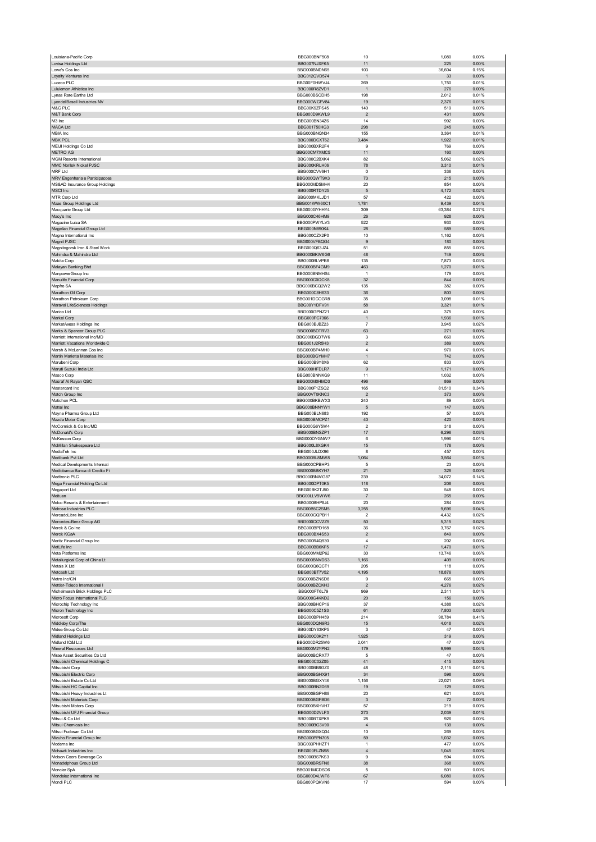|                                                          | BBG000BNF508                 | 10                      | 1,080          | 0.00%          |
|----------------------------------------------------------|------------------------------|-------------------------|----------------|----------------|
| Lovisa Holdings Ltd                                      | BBG007NJXFK5                 | 11                      | 225            | 0.00%          |
| Lowe's Cos Inc                                           | BBG000BNDN65                 | 103                     | 36,604         | 0.15%          |
| Loyalty Ventures Inc                                     | BBG012QVD574                 | $\overline{1}$          | 33             | $0.00\%$       |
| Luceco PLC                                               | BBG00F0HWVJ4                 | 269                     | 1,750          | 0.01%          |
| Lululemon Athletica Inc                                  | BBG000R8ZVD1                 | $\overline{1}$          | 276            | $0.00\%$       |
| Lynas Rare Earths Ltd<br>LyondellBasell Industries NV    | BBG000BSCDH5<br>BBG000WCFV84 | 198<br>19               | 2,012<br>2,376 | 0.01%<br>0.01% |
| M&G PLC                                                  | BBG00K9ZPS45                 | 140                     | 519            | 0.00%          |
| M&T Bank Corp                                            | BBG000D9KWL9                 | $\overline{\mathbf{c}}$ | 431            | 0.00%          |
| M3 Inc                                                   | BBG000BN34Z6                 | 14                      | 992            | 0.00%          |
| MACA Ltd                                                 | BBG001750HG3                 | 298                     | 245            | 0.00%          |
| MBIA Inc                                                 | BBG000BNQN34                 | 155                     | 3,364          | 0.01%          |
| <b>MBK PCL</b>                                           | BBG000DCXT62                 | 3,484                   | 1,922          | 0.01%          |
| MEIJI Holdings Co Ltd                                    | BBG000BXR2F4                 | 9                       | 769            | 0.00%          |
| <b>METRO AG</b>                                          | BBG00CM7XMC5                 | 11                      | 160            | $0.00\%$       |
| <b>MGM Resorts International</b>                         | BBG000C2BXK4                 | 82                      | 5,062          | 0.02%          |
| MMC Norilsk Nickel PJSC                                  | BBG000KRLH06                 | 78                      | 3,310          | 0.01%          |
| <b>MRF Ltd</b>                                           | BBG000CVV6H1                 | 0                       | 336            | 0.00%          |
| MRV Engenharia e Participacoes                           | BBG000QWT9X3                 | 73                      | 215            | $0.00\%$       |
| MS&AD Insurance Group Holdings                           | BBG000MD5MH4                 | 20                      | 854            | 0.00%          |
| <b>MSCI</b> Inc                                          | BBG000RTDY25                 | 5                       | 4,172          | 0.02%          |
| MTR Corp Ltd                                             | BBG000MKLJD1                 | 57                      | 422            | 0.00%          |
| Maas Group Holdings Ltd                                  | BBG001WW60C1                 | 1,781                   | 9,439          | 0.04%          |
| Macquarie Group Ltd<br>Macy's Inc                        | BBG000GYHHY4<br>BBG000C46HM9 | 309<br>26               | 63,384<br>928  | 0.27%<br>0.00% |
| Magazine Luiza SA                                        | BBG000PWYLV3                 | 522                     | 930            | 0.00%          |
| Magellan Financial Group Ltd                             | BBG000N890K4                 | 28                      | 589            | 0.00%          |
| Magna International Inc                                  | BBG000CZX2P0                 | 10                      | 1,162          | 0.00%          |
| Magnit PJSC                                              | BBG000VFBQG4                 | 9                       | 180            | 0.00%          |
| Magnitogorsk Iron & Steel Work                           | BBG000Q63JZ4                 | 51                      | 855            | 0.00%          |
| Mahindra & Mahindra Ltd                                  | BBG000BKW6G6                 | 48                      | 749            | 0.00%          |
| Makita Corp                                              | BBG000BLVPB8                 | 135                     | 7,873          | 0.03%          |
| Malayan Banking Bhd                                      | BBG000BF4GM9                 | 463                     | 1,270          | 0.01%          |
| ManpowerGroup Inc                                        | BBG000BNMHS4                 | $\overline{1}$          | 179            | 0.00%          |
| Manulife Financial Corp                                  | BBG000C0QCK8                 | 32                      | 844            | 0.00%          |
| Mapfre SA                                                | BBG000BCQ2W2                 | 135                     | 382            | 0.00%          |
| Marathon Oil Corp                                        | BBG000C8H633                 | 36                      | 803            | $0.00\%$       |
| Marathon Petroleum Corp<br>Maravai LifeSciences Holdings | BBG001DCCGR8<br>BBG00Y1DFV91 | 35<br>58                | 3,098<br>3,321 | 0.01%<br>0.01% |
|                                                          |                              | 40                      | 375            | 0.00%          |
| Marico Ltd<br>Markel Corp                                | BBG000GPNZ21<br>BBG000FC7366 | $\mathbf{1}$            | 1,936          | 0.01%          |
| MarketAxess Holdings Inc                                 | BBG000BJBZ23                 | $\overline{7}$          | 3,945          | 0.02%          |
| Marks & Spencer Group PLC                                | BBG000BDTRV3                 | 63                      | 271            | 0.00%          |
| Marriott International Inc/MD                            | BBG000BGD7W6                 | 3                       | 660            | 0.00%          |
| Marriott Vacations Worldwide C                           | BBG001J2R5H3                 | $\overline{2}$          | 389            | 0.00%          |
| Marsh & McLennan Cos Inc                                 | BBG000BP4MH0                 | $\sqrt{4}$              | 970            | 0.00%          |
| Martin Marietta Materials Inc                            | BBG000BGYMH7                 | $\overline{1}$          | 742            | 0.00%          |
| Marubeni Corp                                            | BBG000B9Y8X6                 | 62                      | 833            | 0.00%          |
| Maruti Suzuki India Ltd                                  | BBG000HFDLR7                 | 9                       | 1,171          | 0.00%          |
| Masco Corp                                               | BBG000BNNKG9                 | 11                      | 1,032          | 0.00%          |
| Masraf Al Rayan QSC                                      | BBG000M0HMD3                 | 496                     | 869            | 0.00%          |
| Mastercard Inc                                           | BBG000F1ZSQ2                 | 165                     | 81,510         | 0.34%          |
| Match Group Inc                                          | BBG00VT0KNC3                 | $\overline{\mathbf{c}}$ | 373            | $0.00\%$       |
| Matichon PCL                                             | BBG000BKBWX3                 | 240                     | 89             | 0.00%          |
| Mattel Inc                                               | BBG000BNNYW1                 | 5                       | 147            | $0.00\%$       |
| Mayne Pharma Group Ltd                                   | BBG000BLN683                 | 192<br>40               | 57<br>420      | 0.00%<br>0.00% |
| Mazda Motor Corp<br>McCormick & Co Inc/MD                | BBG000BMCPZ1<br>BBG000G6Y5W4 | $\overline{2}$          | 318            | 0.00%          |
| McDonald's Corp                                          | BBG000BNSZP1                 | 17                      | 6,296          | 0.03%          |
| McKesson Corp                                            | BBG000DYGNW7                 | 6                       | 1,996          | 0.01%          |
| McMillan Shakespeare Ltd                                 | BBG000L8XGK4                 | 15                      | 176            | $0.00\%$       |
|                                                          |                              |                         |                |                |
|                                                          | BBG000JLDX96                 |                         |                |                |
| MediaTek Inc<br>Medibank Pvt Ltd                         | BBG000BL8MW8                 | 8<br>1,064              | 457<br>3,564   | 0.00%<br>0.01% |
| Medical Developments Internati                           | BBG000CPBHP3                 | 5                       | 23             | 0.00%          |
| Mediobanca Banca di Credito Fi                           | BBG000BBKYH7                 | 21                      | 328            | $0.00\%$       |
| Medtronic PLC                                            | BBG000BNWG87                 | 239                     | 34,072         | 0.14%          |
| Mega Financial Holding Co Ltd                            | BBG000DPT0K5                 | 118                     | 208            | 0.00%          |
| Megaport Ltd                                             | BBG00BK2TJ50                 | 30                      | 548            | 0.00%          |
| Meituan                                                  | BBG00LLV9WW6                 | $\overline{7}$          | 265            | 0.00%          |
| Melco Resorts & Entertainment                            | BBG000BHP8.I4                | 20                      | 284            | 0.00%          |
| Melrose Industries PLC                                   | BBG00B5C2SM5                 | 3,255                   | 9,696          | 0.04%          |
| MercadoLibre Inc                                         | BBG000GQPB11                 | $\overline{\mathbf{c}}$ | 4,432          | 0.02%          |
| Mercedes-Benz Group AG                                   | BBG000CCVZZ9                 | 50                      | 5,315          | 0.02%          |
| Merck & Co Inc                                           | BBG000BPD168                 | 36                      | 3,767          | 0.02%          |
| Merck KGaA                                               | BBG000BX4S53                 | $\overline{\mathbf{c}}$ | 849            | $0.00\%$       |
| Meritz Financial Group Inc<br>MetLife Inc                | BBG000R4Q930<br>BBG000BB6KF5 | 4<br>17                 | 202<br>1,470   | 0.00%<br>0.01% |
| Meta Platforms Inc                                       | BBG000MM2P62                 | 30                      | 13,746         | 0.06%          |
| Metallurgical Corp of China Lt                           | BBG000BNVDS3                 | 1,166                   | 409            | 0.00%          |
| Metals X Ltd                                             | BBG000Q6QCT1                 | 205                     | 118            | 0.00%          |
| Metcash Ltd                                              | BBG000BT7V52                 | 4,195                   | 18,876         | 0.08%          |
| Metro Inc/CN                                             | BBG000BZNSD8                 | 9                       | 665            | 0.00%          |
| Mettler-Toledo International I                           | BBG000BZCKH3                 | $\overline{2}$          | 4,276          | 0.02%          |
| Michelmersh Brick Holdings PLC                           | BBG000FT6L79                 | 969                     | 2,311          | 0.01%          |
| Micro Focus International PLC                            | BBG000G4KKD2                 | 20                      | 156            | 0.00%          |
| Microchip Technology Inc                                 | BBG000BHCP19                 | 37                      | 4,388          | 0.02%          |
| Micron Technology Inc                                    | BBG000C5Z1S3                 | 61                      | 7,803          | 0.03%          |
| Microsoft Corp                                           | BBG000BPH459<br>BBG000DQN9R3 | 214                     | 98,784         | 0.41%<br>0.02% |
| Middleby Corp/The<br>Midea Group Co Ltd                  | BBG00DY63KP5                 | 15<br>3                 | 4,018<br>47    | 0.00%          |
| Midland Holdings Ltd                                     | BBG000C0K2Y1                 | 1,925                   | 319            | 0.00%          |
| Midland IC&I Ltd                                         | BBG000DR25W6                 | 2,041                   | 47             | 0.00%          |
| Mineral Resources Ltd                                    | BBG000M2YPN2                 | 179                     | 9,999          | 0.04%          |
| Mirae Asset Securities Co Ltd                            | BBG000BCRXT7                 | 5                       | 47             | 0.00%          |
| Mitsubishi Chemical Holdings C                           | BBG000C02Z05                 | 41                      | 415            | 0.00%          |
| Mitsubishi Corp                                          | BBG000BB8GZ0                 | 48                      | 2,115          | 0.01%          |
| Mitsubishi Electric Corp                                 | BBG000BGHX91                 | 34                      | 598            | 0.00%          |
| Mitsubishi Estate Co Ltd                                 | BBG000BGXY46                 | 1,156                   | 22,021         | 0.09%          |
| Mitsubishi HC Capital Inc                                | BBG000BN2D69                 | 19                      | 129            | 0.00%          |
| Mitsubishi Heavy Industries Lt                           | BBG000BGPH88                 | 20                      | 621            | 0.00%          |
| Mitsubishi Materials Corp                                | BBG000BGFBD6                 | 3                       | 72             | 0.00%          |
| Mitsubishi Motors Corp                                   | BBG000BKHVH7                 | 57                      | 219            | 0.00%          |
| Mitsubishi UFJ Financial Group                           | BBG000D2VLF3                 | 273                     | 2,039          | 0.01%          |
| Mitsui & Co Ltd<br>Mitsui Chemicals Inc                  | BBG000BTXPK9<br>BBG000BG3V90 | 28<br>$\overline{4}$    | 926<br>139     | 0.00%<br>0.00% |
| Mitsui Fudosan Co Ltd                                    | BBG000BGXQ34                 | 10                      | 269            | 0.00%          |
| Mizuho Financial Group Inc                               | BBG000PPN705                 | 59                      | 1,032          | 0.00%          |
| Moderna Inc                                              | BBG003PHHZT1                 | $\mathbf{1}$            | 477            | 0.00%          |
| Mohawk Industries Inc                                    | BBG000FLZN98                 | $\overline{4}$          | 1,045          | 0.00%          |
| Molson Coors Beverage Co                                 | BBG000BS7KS3                 | 9                       | 594            | 0.00%          |
| Monadelphous Group Ltd                                   | BBG000BRSFN8                 | 38                      | 368            | 0.00%          |
| Moncler SpA                                              | BBG001MCDSD6                 | 5                       | 501            | 0.00%          |
| Mondelez International Inc<br>Mondi PLC                  | BBG000D4LWF6<br>BBG000PQKVN8 | 67<br>17                | 6,080<br>594   | 0.03%<br>0.00% |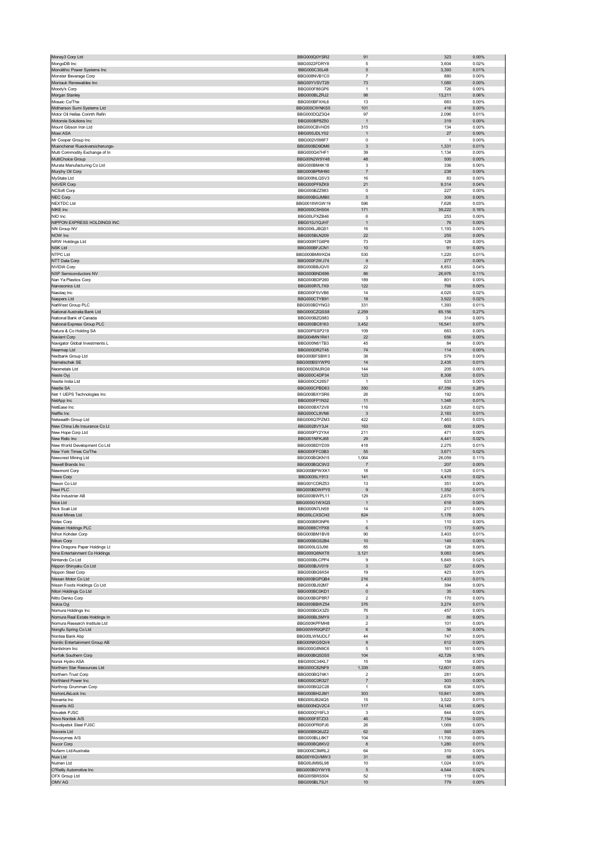| Money3 Corp Ltd                                       | BBG000Q0YSR2                        | 91                        | 323            | 0.00%          |
|-------------------------------------------------------|-------------------------------------|---------------------------|----------------|----------------|
| MongoDB Inc                                           | BBG0022FDRY8                        | 5                         | 3,604          | 0.02%          |
| Monolithic Power Systems Inc                          | BBG000C30L48                        | $\mathbf 5$               | 3,393          | 0.01%          |
| Monster Beverage Corp                                 | BBG008NVB1C0                        | $\overline{7}$            | 880            | 0.00%          |
| Montauk Renewables Inc                                | BBG00YVSVT29                        | 73                        | 1,080          | $0.00\%$       |
| Moody's Corp                                          | BBG000F86GP6                        | -1                        | 726            | 0.00%          |
| Morgan Stanley                                        | BBG000BLZRJ2                        | 98                        | 13,211         | 0.06%          |
| Mosaic Co/The<br>Motherson Sumi Systems Ltd           | BBG000BFXHL6<br>BBG000CWNKS5        | 13<br>101                 | 683<br>416     | 0.00%<br>0.00% |
| Motor Oil Hellas Corinth Refin                        | BBG000DQZ3Q4                        | 97                        | 2,096          | 0.01%          |
| Motorola Solutions Inc                                | BBG000BP8Z50                        | $\overline{1}$            | 319            | 0.00%          |
| Mount Gibson Iron Ltd                                 | BBG000CBVHD5                        | 315                       | 134            | 0.00%          |
| Mowi ASA                                              | BBG000JDLY02                        | $\overline{1}$            | 27             | 0.00%          |
| Mr Cooper Group Inc                                   | BBG002V098F7                        | $\mathbf 0$               | 1              | 0.00%          |
| Muenchener Rueckversicherungs-                        | BBG000BD9DM6                        | 3                         | 1,331          | 0.01%          |
| Multi Commodity Exchange of In                        | BBG000Q47HF1                        | 39                        | 1,134          | 0.00%          |
| MultiChoice Group                                     | BBG00N2W9Y48                        | 48                        | 500            | 0.00%          |
| Murata Manufacturing Co Ltd                           | BBG000BM4K18<br>BBG000BPMH90        | 3                         | 336            | 0.00%          |
| Murphy Oil Corp<br>MyState Ltd                        | BBG000NLQSV3                        | $\overline{7}$<br>16      | 238<br>83      | 0.00%<br>0.00% |
| <b>NAVER Corp</b>                                     | BBG000PF9ZK9                        | 21                        | 9,314          | 0.04%          |
| <b>NCSoft Corp</b>                                    | BBG000BZZ983                        | $\mathbf 0$               | 227            | 0.00%          |
| NEC Corp                                              | BBG000BGJMB0                        | $\sqrt{5}$                | 309            | 0.00%          |
| <b>NEXTDC Ltd</b>                                     | BBG0018WGW19                        | 596                       | 7,626          | 0.03%          |
| NIKE Inc                                              | BBG000C5HS04                        | 171                       | 39,222         | 0.16%          |
| NIO Inc                                               | BBG00LPXZB46                        | 6                         | 253            | 0.00%          |
| NIPPON EXPRESS HOLDINGS INC                           | BBG010J1QJH7                        | -1                        | 76             | 0.00%          |
| NN Group NV                                           | BBG006LJBQS1                        | 16                        | 1,193          | 0.00%          |
| NOW Inc                                               | BBG005BLN209                        | 22                        | 255            | 0.00%          |
| NRW Holdings Ltd                                      | BBG000RTG6P8<br>BBG000BFJCN1        | 73<br>10                  | 128<br>91      | 0.00%<br>0.00% |
| NSK Ltd<br>NTPC Ltd                                   | BBG000BMWKD4                        | 530                       | 1,220          | 0.01%          |
| NTT Data Corp                                         | BBG000F2WJ74                        | 9                         | 277            | 0.00%          |
| <b>NVIDIA Corp</b>                                    | BBG000BBJQV0                        | 22                        | 8,853          | 0.04%          |
| <b>NXP Semiconductors NV</b>                          | BBG000BND699                        | 86                        | 26,976         | 0.11%          |
| Nan Ya Plastics Corp                                  | BBG000BDP260                        | 189                       | 801            | 0.00%          |
| Nanosonics Ltd                                        | BBG000R7L7X9                        | 122                       | 768            | 0.00%          |
| Nasdaq Inc                                            | BBG000F5VVB6                        | 14                        | 4,025          | 0.02%          |
| Naspers Ltd                                           | BBG000CTYB91                        | 18                        | 3,922          | 0.02%          |
| NatWest Group PLC                                     | BBG000BDYNG3                        | 331                       | 1,393          | 0.01%          |
| National Australia Bank Ltd                           | BBG000CZQSS8                        | 2,259                     | 65,156         | 0.27%          |
| National Bank of Canada                               | BBG000BZQ983                        | 3                         | 314            | 0.00%          |
| National Express Group PLC<br>Natura & Co Holding SA  | BBG000BC8163<br>BBG00PSSP219        | 3,452<br>109              | 16,541<br>683  | 0.07%<br>0.00% |
| Navient Corp                                          | BBG004MN1R41                        | 22                        | 656            | 0.00%          |
| Navigator Global Investments L                        | BBG000N61TB3                        | 45                        | 84             | 0.00%          |
| Nearmap Ltd                                           | BBG000DR2T45                        | 74                        | 114            | 0.00%          |
| Nedbank Group Ltd                                     | BBG000BFSBW3                        | 38                        | 579            | 0.00%          |
| Nemetschek SE                                         | BBG000BSYWP0                        | 14                        | 2,435          | 0.01%          |
| Neometals Ltd                                         | BBG000DMJRG9                        | 144                       | 205            | 0.00%          |
| Neste Oyj                                             | BBG000C4DP34                        | 123                       | 8,308          | 0.03%          |
| Nestle India Ltd                                      | BBG000CX26S7                        |                           | 533            | 0.00%          |
| Nestle SA                                             | BBG000CPBD63                        | 350                       | 67,356         | 0.28%          |
| Net 1 UEPS Technologies Inc                           | BBG000BXYSR6                        | 26                        | 192            | 0.00%          |
| NetApp Inc                                            | BBG000FP1N32                        | 11                        | 1,348          | 0.01%          |
| NetEase Inc<br>Netflix Inc                            | BBG000BX72V8<br>BBG000CL9VN6        | 116<br>3                  | 3,620<br>2,183 | 0.02%<br>0.01% |
| Netwealth Group Ltd                                   | BBG006Q7PZM3                        | 422                       | 7,463          | 0.03%          |
| New China Life Insurance Co Lt                        | BBG0028VY3J4                        | 163                       | 600            | 0.00%          |
| New Hope Corp Ltd                                     | BBG000PY2YX4                        | 211                       | 471            | 0.00%          |
| New Relic Inc                                         | BBG001NFKJ68                        | 29                        | 4,441          | 0.02%          |
| New World Development Co Ltd                          | BBG000BDYD39                        | 418                       | 2,275          | 0.01%          |
| New York Times Co/The                                 | BBG000FFC0B3                        | 55                        | 3,671          | 0.02%          |
| Newcrest Mining Ltd                                   | BBG000BQKN15                        | 1,064                     | 26,059         | 0.11%          |
| Newell Brands Inc                                     | BBG000BQC9V2                        | $\overline{7}$            | 207            | 0.00%          |
| Newmont Corp                                          | BBG000BPWXK1                        | 18                        | 1,528          | 0.01%          |
| News Corp                                             | BBG0035LY913                        | 141                       | 4,410          | 0.02%          |
| Nexon Co Ltd                                          | BBG001CDRZ53                        | 13                        | 351            | 0.00%          |
| Next PLC<br>Nibe Industrier AB                        | BBG000BDWPY0<br>BBG000BWPL11        | 9                         | 1,352          | 0.01%          |
|                                                       |                                     | 129                       | 2,670          | 0.01%          |
| νις εμτα<br>Nick Scali Ltd                            | <b>BBGUUUG1WXQ3</b><br>BBG000N7LN59 | 14                        | 618<br>217     | u.uu%<br>0.00% |
| Nickel Mines Ltd                                      | BBG00LCXSCH2                        | 824                       | 1,178          | 0.00%          |
| Nidec Corp                                            | BBG000BR3NP6                        | 1                         | 110            | 0.00%          |
| Nielsen Holdings PLC                                  | BBG0088CYPX8                        | 6                         | 173            | $0.00\%$       |
| Nihon Kohden Corp                                     | BBG000BM1BV8                        | 90                        | 3,403          | 0.01%          |
| Nikon Corp                                            | BBG000BGS2B4                        | 10                        | 149            | 0.00%          |
| Nine Dragons Paper Holdings Lt                        | BBG000LG3J96                        | 85                        | 126            | 0.00%          |
| Nine Entertainment Co Holdings                        | BBG000Q6NXT8                        | 3,121                     | 9,083          | 0.04%          |
| Nintendo Co Ltd                                       | BBG000BLCPP4                        | $\boldsymbol{9}$          | 5,845          | 0.02%          |
| Nippon Shinyaku Co Ltd<br>Nippon Steel Corp           | BBG000BJV019<br>BBG000BG9X54        | 3<br>19                   | 327<br>423     | 0.00%<br>0.00% |
| Nissan Motor Co Ltd                                   | BBG000BGPQB4                        | 216                       | 1,433          | 0.01%          |
| Nissin Foods Holdings Co Ltd                          | BBG000BJ92M7                        | $\overline{4}$            | 394            | 0.00%          |
| Nitori Holdings Co Ltd                                | BBG000BC0KD1                        | $\pmb{0}$                 | 35             | $0.00\%$       |
| Nitto Denko Corp                                      | BBG000BGP8R7                        | $\overline{2}$            | 170            | 0.00%          |
| Nokia Oyj                                             | BBG000BBWZ54                        | 376                       | 3,274          | 0.01%          |
| Nomura Holdings Inc                                   | BBG000BGX3Z0                        | 76                        | 457            | 0.00%          |
| Nomura Real Estate Holdings In                        | BBG000BL5MY9                        | $\ensuremath{\mathsf{3}}$ | 86             | $0.00\%$       |
| Nomura Research Institute Ltd<br>Nongfu Spring Co Ltd | BBG000KPFMH8<br>BBG00WR0QPZ7        | $\overline{2}$<br>6       | 101<br>56      | 0.00%<br>0.00% |
| Nordea Bank Abp                                       | BBG00LWMJDL7                        | 44                        | 747            | 0.00%          |
| Nordic Entertainment Group AB                         | BBG00NKG5QV4                        | 9                         | 612            | $0.00\%$       |
| Nordstrom Inc                                         | BBG000G8N9C6                        | 5                         | 161            | 0.00%          |
| Norfolk Southern Corp                                 |                                     |                           |                | 0.18%          |
| Norsk Hydro ASA                                       | BBG000BQ5DS5                        | 104                       | 42,729         |                |
| Northern Star Resources Ltd                           | BBG000C34KL7                        | 15                        | 159            | 0.00%          |
| Northern Trust Corp                                   | BBG000C82NF9                        | 1,339                     | 12,601         | 0.05%          |
|                                                       | BBG000BQ74K1                        | $\overline{\mathbf{c}}$   | 281            | 0.00%          |
| Northland Power Inc                                   | BBG000C0R327                        | $\overline{7}$            | 303            | 0.00%          |
| Northrop Grumman Corp                                 | BBG000BQ2C28                        | $\overline{1}$            | 636            | 0.00%          |
| NortonLifeLock Inc                                    | BBG000BH2JM1                        | 303                       | 10,841         | 0.05%          |
| Novanta Inc                                           | BBG000JB24Q5                        | 15                        | 3,522          | 0.01%          |
| Novartis AG                                           | BBG000NQV2C4                        | 117                       | 14,145         | 0.06%          |
| Novatek PJSC                                          | BBG000QY6FL3                        | 3                         | 844            | 0.00%          |
| Novo Nordisk A/S                                      | BBG000F8TZ33                        | 46                        | 7,154          | 0.03%          |
| Novolipetsk Steel PJSC<br>Novonix Ltd                 | BBG000PR0PJ6<br>BBG00B9Q6JZ2        | 26<br>62                  | 1,069<br>565   | 0.00%<br>0.00% |
| Novozymes A/S                                         | BBG000BLL8K7                        | 104                       | 11,700         | 0.05%          |
| Nucor Corp                                            | BBG000BQ8KV2                        | 8                         | 1,280          | 0.01%          |
| Nufarm Ltd/Australia                                  | BBG000C3MRL2                        | 64                        | 310            | 0.00%          |
| Nuix Ltd                                              | BBG00Y6QVMW3                        | 31                        | 68             | 0.00%          |
| Nutrien Ltd                                           | BBG00JM9SL98                        | 10                        | 1,024          | 0.00%          |
|                                                       | BBG000BGYWY6                        | $\sqrt{5}$                | 4,544          | 0.02%          |
| O'Reilly Automotive Inc<br>OFX Group Ltd<br>OMV AG    | BBG005BRS504<br>BBG000BL7SJ1        | 52<br>$10$                | 119<br>779     | 0.00%<br>0.00% |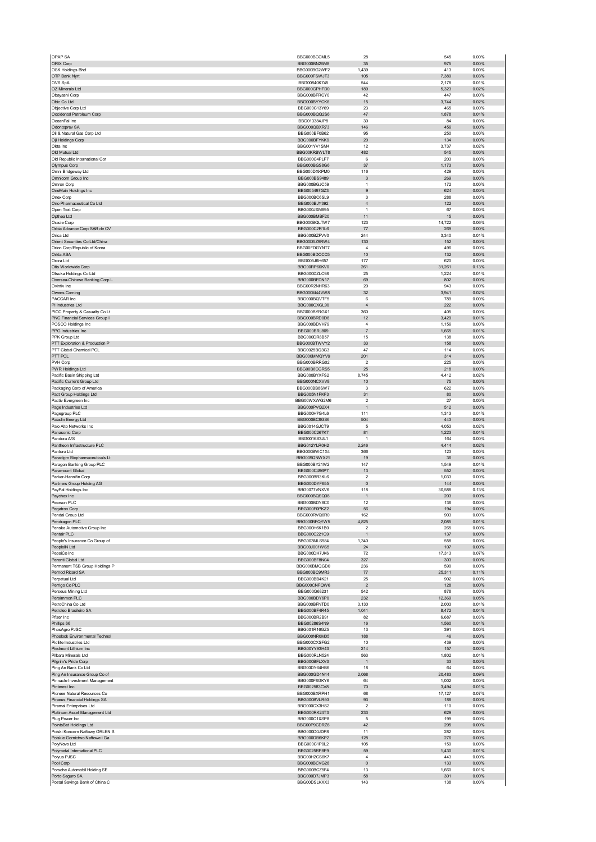| OPAP SA                                                        | BBG000BCCML5                 | 28                           | 545            | 0.00%             |
|----------------------------------------------------------------|------------------------------|------------------------------|----------------|-------------------|
| ORIX Corp<br>OSK Holdings Bhd                                  | BBG000BN25M8                 | 35<br>1,439                  | 975<br>413     | 0.00%<br>0.00%    |
| OTP Bank Nyrt                                                  | BBG000BG2WF2<br>BBG000FSWJT3 | 105                          | 7,389          | 0.03%             |
| OVS SpA                                                        | BBG00840K745                 | 544                          | 2,178          | 0.01%             |
| OZ Minerals Ltd                                                | BBG000GPHFD0                 | 189                          | 5,323          | 0.02%             |
| Obayashi Corp<br>Obic Co Ltd                                   | BBG000BFRCY0<br>BBG000BYYCK6 | 42<br>15                     | 447<br>3,744   | 0.00%<br>0.02%    |
| Objective Corp Ltd                                             | BBG000C13Y69                 | 23                           | 465            | 0.00%             |
| Occidental Petroleum Corp                                      | BBG000BQQ2S6                 | 47                           | 1,878          | 0.01%             |
| OceanPal Inc                                                   | BBG013384JP8                 | 30                           | 84             | 0.00%             |
| Odontoprev SA                                                  | BBG000QBXR73                 | 146                          | 456            | 0.00%             |
| Oil & Natural Gas Corp Ltd<br>Oji Holdings Corp                | BBG000BF0B62<br>BBG000BFYKK9 | 95<br>20                     | 250<br>134     | 0.00%<br>0.00%    |
| Okta Inc                                                       | BBG001YV1SM4                 | 12                           | 3,737          | 0.02%             |
| Old Mutual Ltd                                                 | BBG00KRBWLT8                 | 482                          | 545            | 0.00%             |
| Old Republic International Cor                                 | BBG000C4PLF7                 | 6                            | 203            | 0.00%             |
| Olympus Corp<br>Omni Bridgeway Ltd                             | BBG000BGS8G6<br>BBG000DXKPM0 | 37<br>116                    | 1,173<br>429   | 0.00%<br>0.00%    |
| Omnicom Group Inc                                              | BBG000BS9489                 | $\ensuremath{\mathsf{3}}$    | 269            | $0.00\%$          |
| Omron Corp                                                     | BBG000BGJC59                 | $\overline{1}$               | 172            | 0.00%             |
| OneMain Holdings Inc                                           | BBG005497GZ3                 | 9                            | 624            | 0.00%             |
| Onex Corp                                                      | BBG000BC6SL9                 | 3                            | 288            | 0.00%             |
| Ono Pharmaceutical Co Ltd<br>Open Text Corp                    | BBG000BJY392<br>BBG000JXM895 | $\sqrt{4}$<br>$\overline{1}$ | 122<br>67      | 0.00%<br>0.00%    |
| Opthea Ltd                                                     | BBG000BMBF20                 | 11                           | 15             | 0.00%             |
| Oracle Corp                                                    | BBG000BQLTW7                 | 123                          | 14,722         | 0.06%             |
| Orbia Advance Corp SAB de CV                                   | BBG000C2R1L6                 | 77                           | 269            | 0.00%             |
| Orica Ltd                                                      | BBG000BZFVV0                 | 244<br>130                   | 3,340          | 0.01%<br>0.00%    |
| Orient Securities Co Ltd/China<br>Orion Corp/Republic of Korea | BBG00D5Z9RW4<br>BBG00FDGYNT7 | 4                            | 152<br>496     | 0.00%             |
| Orkla ASA                                                      | BBG000BDCCC5                 | 10                           | 132            | 0.00%             |
| Orora Ltd                                                      | BBG005J6H657                 | 177                          | 620            | 0.00%             |
| Otis Worldwide Corp                                            | BBG00RP60KV0                 | 261                          | 31,261         | 0.13%             |
| Otsuka Holdings Co Ltd<br>Oversea-Chinese Banking Corp L       | BBG000DZLC98                 | 25<br>69                     | 1,224<br>802   | 0.01%<br>$0.00\%$ |
| Ovintiv Inc.                                                   | BBG000BFDN17<br>BBG00R2NHR63 | 20                           | 943            | 0.00%             |
| Owens Corning                                                  | BBG000M44VW8                 | 32                           | 3,941          | 0.02%             |
| PACCAR Inc                                                     | BBG000BQVTF5                 | 6                            | 789            | 0.00%             |
| PI Industries Ltd                                              | BBG000CXGL90                 | $\sqrt{4}$                   | 222            | 0.00%             |
| PICC Property & Casualty Co Lt                                 | BBG000BYRGX1                 | 360                          | 405            | 0.00%             |
| PNC Financial Services Group I<br>POSCO Holdings Inc           | BBG000BRD0D8<br>BBG000BDVH79 | 12<br>4                      | 3,429<br>1,156 | 0.01%<br>0.00%    |
| PPG Industries Inc                                             | BBG000BRJ809                 | $\overline{7}$               | 1,665          | 0.01%             |
| PPK Group Ltd                                                  | BBG000DR8B57                 | 15                           | 138            | 0.00%             |
| PTT Exploration & Production P                                 | BBG000BTWVY2                 | 33                           | 158            | 0.00%             |
| PTT Global Chemical PCL                                        | BBG0025BQ3G3                 | 47                           | 114            | 0.00%             |
| PTT PCL<br>PVH Corp                                            | BBG000MMQYV9<br>BBG000BRRG02 | 201<br>$\overline{2}$        | 314<br>225     | $0.00\%$<br>0.00% |
| PWR Holdings Ltd                                               | BBG00B6CGRS5                 | 25                           | 218            | 0.00%             |
| Pacific Basin Shipping Ltd                                     | BBG000BYXFS2                 | 8,745                        | 4,412          | 0.02%             |
| Pacific Current Group Ltd                                      | BBG000NCXVV8                 | $10$                         | 75             | $0.00\%$          |
| Packaging Corp of America                                      | BBG000BB8SW7                 | 3                            | 622            | 0.00%             |
| Pact Group Holdings Ltd<br>Pactiv Evergreen Inc                | BBG005N1FKF3<br>BBG00WXWG2M6 | 31<br>$\overline{2}$         | 80<br>27       | $0.00\%$<br>0.00% |
| Page Industries Ltd                                            | BBG000PVQ2X4                 | $\overline{1}$               | 512            | 0.00%             |
| Pagegroup PLC                                                  | BBG000H7G4L6                 | 111                          | 1,313          | 0.01%             |
| Paladin Energy Ltd                                             | BBG000BC8GS6                 | 504                          | 443            | 0.00%             |
| Palo Alto Networks Inc                                         | BBG0014GJCT9                 | 5                            | 4,053          | 0.02%             |
| Panasonic Corp<br>Pandora A/S                                  | BBG000C267K7<br>BBG0016S3JL1 | 81<br>$\overline{1}$         | 1,223<br>164   | 0.01%<br>0.00%    |
| Pantheon Infrastructure PLC                                    | BBG012YLR0H2                 | 2,246                        | 4,414          | 0.02%             |
| Pantoro Ltd                                                    | BBG000BWC1X4                 | 366                          | 123            | 0.00%             |
| Paradigm Biopharmaceuticals Lt                                 | BBG009QNWX21                 | 19                           | 36             | 0.00%             |
| Paragon Banking Group PLC                                      | BBG000BY21W2                 | 147                          | 1,549          | 0.01%             |
| Paramount Global<br>Parker-Hannifin Corp                       | BBG000C496P7<br>BBG000BR3KL6 | 13<br>$\overline{2}$         | 552<br>1,033   | 0.00%<br>0.00%    |
| Partners Group Holding AG                                      | BBG000DYF655                 | $\pmb{0}$                    | 144            | 0.00%             |
| PayPal Holdings Inc                                            | BBG0077VNXV6                 | 118                          | 30,588         | 0.13%             |
| Paychex Inc                                                    | BBG000BQSQ38                 | 1                            | 203            | 0.00%             |
| Pearson PI C                                                   | <b>BRC000BDV8C0</b>          | 12                           | 136            | n nn%             |
| Pegatron Corp<br>Pendal Group Ltd                              | BBG000F0PKZ2<br>BBG000RVQ6R0 | 56<br>162                    | 194<br>903     | 0.00%<br>0.00%    |
| Pendragon PLC                                                  | BBG000BFQYW5                 | 4,825                        | 2,085          | 0.01%             |
| Penske Automotive Group Inc                                    | BBG000H6K1B0                 | $\overline{2}$               | 265            | 0.00%             |
| Pentair PLC                                                    | BBG000C221G9                 | $\overline{1}$               | 137            | 0.00%             |
| People's Insurance Co Group of                                 | BBG003MLS984                 | 1,340                        | 558            | 0.00%             |
| PeopleIN Ltd<br>PepsiCo Inc                                    | BBG00J001WS5                 |                              |                |                   |
|                                                                |                              | 24                           | 107            | 0.00%             |
| Perenti Global Ltd                                             | BBG000DH7JK6<br>BBG000BF8N04 | 72<br>327                    | 17,313<br>303  | 0.07%<br>0.00%    |
| Permanent TSB Group Holdings P                                 | BBG000BMQGD0                 | 236                          | 590            | 0.00%             |
| Pernod Ricard SA                                               | BBG000BC9MR3                 | 77                           | 25,311         | 0.11%             |
| Perpetual Ltd                                                  | BBG000BB4K21                 | 25                           | 902            | 0.00%             |
| Perrigo Co PLC<br>Perseus Mining Ltd                           | BBG000CNFQW6<br>BBG000Q68231 | $\overline{2}$<br>542        | 128<br>878     | 0.00%<br>0.00%    |
| Persimmon PLC                                                  | BBG000BDY6P0                 | 232                          | 12,369         | 0.05%             |
| PetroChina Co Ltd                                              | BBG000BFNTD0                 | 3,130                        | 2,003          | 0.01%             |
| Petroleo Brasileiro SA                                         | BBG000BF4R45                 | 1,041                        | 8,472          | 0.04%             |
| Pfizer Inc                                                     | BBG000BR2B91                 | 82                           | 6,687          | 0.03%             |
| Phillips 66<br>PhosAgro PJSC                                   | BBG00286S4N9<br>BBG001R16GZ5 | $16\,$<br>13                 | 1,560<br>391   | 0.01%<br>0.00%    |
| Phoslock Environmental Technol                                 | BBG000NR0M05                 | 188                          | 46             | 0.00%             |
| Pidilite Industries Ltd                                        | BBG000CXSFG2                 | 10                           | 439            | 0.00%             |
| Piedmont Lithium Inc                                           | BBG00YY93H43                 | 214                          | 157            | $0.00\%$          |
| Pilbara Minerals Ltd                                           | BBG000RLN524                 | 563                          | 1,802          | 0.01%             |
| Pilgrim's Pride Corp<br>Ping An Bank Co Ltd                    | BBG000BFLXV3<br>BBG00DY64HB6 | 1<br>18                      | 33<br>64       | 0.00%<br>0.00%    |
| Ping An Insurance Group Co of                                  | BBG000GD4N44                 | 2,068                        | 20,483         | 0.09%             |
| Pinnacle Investment Management                                 | BBG000F8GKY6                 | 64                           | 1,002          | 0.00%             |
| Pinterest Inc                                                  | BBG002583CV8                 | 70                           | 3,494          | 0.01%             |
| Pioneer Natural Resources Co                                   | BBG000BXRPH1                 | 68                           | 17,127         | 0.07%             |
| Piraeus Financial Holdings SA<br>Piramal Enterprises Ltd       | BBG000BVLR50<br>BBG000CX3HS2 | 93<br>$\overline{2}$         | 188<br>110     | $0.00\%$<br>0.00% |
| Platinum Asset Management Ltd                                  | BBG000RK24T3                 | 233                          | 629            | $0.00\%$          |
| Plug Power Inc                                                 | BBG000C1XSP8                 | 5                            | 199            | 0.00%             |
| PointsBet Holdings Ltd                                         | BBG00P9CDRZ6                 | 42                           | 295            | 0.00%             |
| Polski Koncern Naftowy ORLEN S                                 | BBG000D0JDP8                 | 11                           | 282            | 0.00%             |
| Polskie Gornictwo Naftowe i Ga<br>PolyNovo Ltd                 | BBG000DB6KP2<br>BBG000C1P0L2 | 128<br>105                   | 276<br>159     | 0.00%<br>0.00%    |
| Polymetal International PLC                                    | BBG0025RP8F9                 | 59                           | 1,430          | 0.01%             |
| Polyus PJSC                                                    | BBG00H2CS6K7                 | $\sqrt{4}$                   | 443            | 0.00%             |
| Pool Corp                                                      | BBG000BCVG28                 | $\pmb{0}$                    | 133            | 0.00%             |
| Porsche Automobil Holding SE<br>Porto Seguro SA                | BBG000BCZ5F4<br>BBG000D7JMP3 | 13<br>58                     | 1,660<br>301   | 0.01%<br>0.00%    |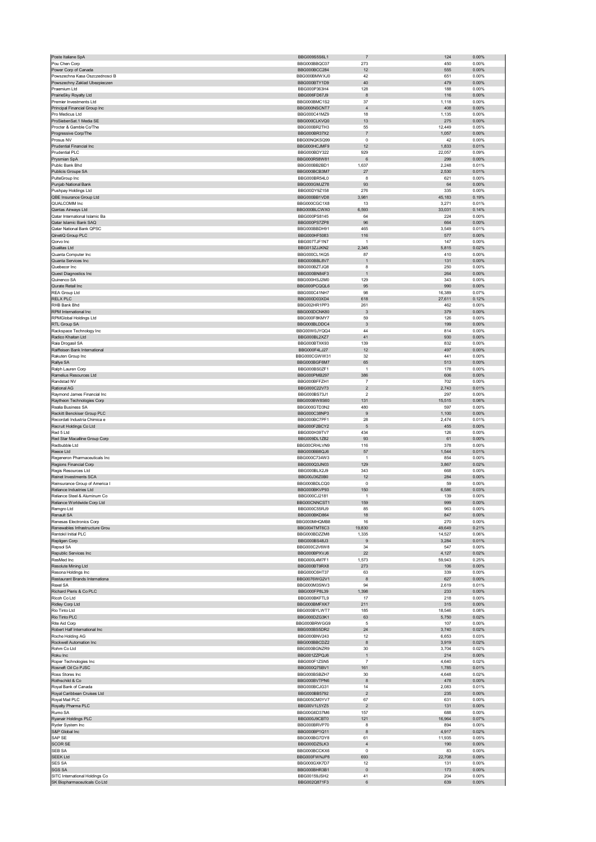| Poste Italiane SpA                                             | BBG009S5S6L1                 | $\overline{7}$                | 124             | 0.00%             |
|----------------------------------------------------------------|------------------------------|-------------------------------|-----------------|-------------------|
| Pou Chen Corp                                                  | BBG000BBQC07                 | 273                           | 450             | 0.00%             |
| Power Corp of Canada<br>Powszechna Kasa Oszczednosci B         | BBG000BCC284<br>BBG000BMWXJ0 | 12<br>42                      | 555<br>651      | 0.00%<br>0.00%    |
| Powszechny Zaklad Ubezpieczen                                  | BBG000BTY1D9                 | 40                            | 479             | 0.00%             |
| Praemium I td                                                  | BBG000P363H4                 | 128                           | 188             | 0.00%             |
| PrairieSky Royalty Ltd                                         | BBG006FD67J9                 | $\bf8$                        | 116             | $0.00\%$          |
| Premier Investments Ltd<br>Principal Financial Group Inc       | BBG000BMC1S2<br>BBG000NSCNT7 | 37<br>$\overline{4}$          | 1,118<br>408    | 0.00%<br>$0.00\%$ |
| Pro Medicus Ltd                                                | BBG000C41MZ9                 | 18                            | 1,135           | 0.00%             |
| ProSiebenSat.1 Media SE                                        | BBG000CLKVQ0                 | 13                            | 275             | 0.00%             |
| Procter & Gamble Co/The                                        | BBG000BR2TH3                 | 55                            | 12,449          | 0.05%             |
| Progressive Corp/The<br>Prosus NV                              | BBG000BR37X2<br>BBG00NQKSQ99 | $\overline{7}$<br>$\mathbf 0$ | 1,057<br>42     | 0.00%<br>0.00%    |
| Prudential Financial Inc                                       | BBG000HCJMF9                 | 12                            | 1,833           | 0.01%             |
| Prudential PLC                                                 | BBG000BDY322                 | 929                           | 22,057          | 0.09%             |
| Prysmian SpA                                                   | BBG000R58W81                 | 6                             | 299             | $0.00\%$          |
| Public Bank Bhd                                                | BBG000BB2BD1<br>BBG000BCB3M7 | 1,637                         | 2,248<br>2,530  | 0.01%<br>0.01%    |
| Publicis Groupe SA<br>PulteGroup Inc                           | BBG000BR54L0                 | 27<br>8                       | 621             | 0.00%             |
| Punjab National Bank                                           | BBG000GMJZ78                 | 93                            | 64              | 0.00%             |
| Pushpay Holdings Ltd                                           | BBG00DY9Z158                 | 276                           | 335             | 0.00%             |
| QBE Insurance Group Ltd                                        | BBG000BB1VD8                 | 3,981                         | 45,183          | 0.19%             |
| QUALCOMM Inc<br>Qantas Airways Ltd                             | BBG000CGC1X8<br>BBG000BLCWX0 | 13<br>6,593                   | 3,271<br>33,031 | 0.01%<br>0.14%    |
| Qatar International Islamic Ba                                 | BBG000PS8145                 | 64                            | 224             | 0.00%             |
| Qatar Islamic Bank SAQ                                         | BBG000PS7ZP8                 | 96                            | 664             | 0.00%             |
| Qatar National Bank QPSC                                       | BBG000BBDH91                 | 465                           | 3,549           | 0.01%             |
| QinetiQ Group PLC<br>Qorvo Inc                                 | BBG000HF5083<br>BBG007TJF1N7 | 116<br>$\overline{1}$         | 577<br>147      | 0.00%<br>0.00%    |
| Qualitas Ltd                                                   | BBG013ZJJKN2                 | 2,345                         | 5,815           | 0.02%             |
| Quanta Computer Inc                                            | BBG000CL1KQ5                 | 87                            | 410             | 0.00%             |
| Quanta Services Inc                                            | BBG000BBL8V7                 | $\overline{1}$                | 131             | 0.00%             |
| Quebecor Inc                                                   | BBG000BZTJQ8                 | 8                             | 250             | 0.00%             |
| Quest Diagnostics Inc.<br>Quinenco SA                          | BBG000BN84F3                 | $\overline{1}$                | 264             | $0.00\%$          |
| Qurate Retail Inc                                              | BBG000HSJ2M0<br>BBG000PCQQL6 | 129<br>95                     | 343<br>990      | 0.00%<br>0.00%    |
| REA Group Ltd                                                  | BBG000C41NH7                 | 98                            | 16,389          | 0.07%             |
| <b>RELX PLC</b>                                                | BBG000D03XD4                 | 618                           | 27,611          | 0.12%             |
| RHB Bank Bhd                                                   | BBG002HR1PP3                 | 261                           | 462             | 0.00%             |
| RPM International Inc                                          | BBG000DCNK80                 | 3                             | 379             | 0.00%             |
| RPMGlobal Holdings Ltd<br>RTL Group SA                         | BBG000F8KMY7<br>BBG000BLDDC4 | 59<br>3                       | 126<br>199      | 0.00%<br>0.00%    |
| Rackspace Technology Inc                                       | BBG00W0JYQQ4                 | 44                            | 814             | 0.00%             |
| Radico Khaitan Ltd                                             | BBG000BL2XZ7                 | 41                            | 930             | 0.00%             |
| Raia Drogasil SA                                               | BBG000BTXK93                 | 139                           | 832             | 0.00%             |
| Raiffeisen Bank International                                  | BBG000F4LJ27                 | 12                            | 497             | 0.00%             |
| Rakuten Group Inc                                              | BBG000CGWW31                 | 32                            | 441             | 0.00%             |
| Rallye SA<br>Ralph Lauren Corp                                 | BBG000BGF6M7<br>BBG000BS0ZF1 | 65<br>$\overline{1}$          | 513<br>178      | 0.00%<br>0.00%    |
| Ramelius Resources Ltd                                         | BBG000PMB297                 | 386                           | 606             | 0.00%             |
| Randstad NV                                                    | BBG000BFFZH1                 | $\overline{7}$                | 702             | 0.00%             |
| Rational AG                                                    | BBG000C22V73                 | $\overline{c}$                | 2,743           | 0.01%             |
| Raymond James Financial Inc                                    | BBG000BS73J1                 | $\overline{\mathbf{c}}$       | 297             | 0.00%             |
| Raytheon Technologies Corp<br>Realia Business SA               | BBG000BW8S60<br>BBG000GTD3N2 | 131<br>480                    | 15,515<br>597   | 0.06%<br>0.00%    |
| Reckitt Benckiser Group PLC                                    | BBG000C38NP3                 | 9                             | 1,100           | 0.00%             |
| Recordati Industria Chimica e                                  | BBG000BC7PF1                 | 28                            | 2,474           | 0.01%             |
| Recruit Holdings Co Ltd                                        | BBG000F2BCY2                 | 5                             | 455             | $0.00\%$          |
| Red 5 Ltd                                                      | BBG000H39TV7                 | 434                           | 126             | 0.00%             |
| Red Star Macalline Group Corp<br>Redbubble Ltd                 | BBG009DL1Z82<br>BBG00CRHLVN9 | 93<br>116                     | 61<br>378       | 0.00%<br>0.00%    |
| Reece Ltd                                                      | BBG000BB8QJ6                 | 57                            | 1,544           | 0.01%             |
| Regeneron Pharmaceuticals Inc                                  | BBG000C734W3                 | $\overline{1}$                | 854             | 0.00%             |
| Regions Financial Corp                                         | BBG000Q3JN03                 | 129                           | 3,867           | 0.02%             |
| Regis Resources Ltd                                            | BBG000BLX2J9                 | 343                           | 668             | 0.00%             |
| Reinet Investments SCA<br>Reinsurance Group of America I       | BBG00J36Z0B0                 | 12<br>$\pmb{0}$               | 284<br>59       | $0.00\%$<br>0.00% |
| Reliance Industries Ltd                                        | BBG000BDLCQ0<br>BBG000BKVP93 | 150                           | 6,586           | 0.03%             |
| Reliance Steel & Aluminum Co                                   | BBG000CJ2181                 | 1                             | 139             | 0.00%             |
| Reliance Worldwide Corp Ltd                                    | <b>BBGUUCNNCSI1</b>          | 159                           | ลลล             | <b>U.UU%</b>      |
| Remgro Ltd                                                     | BBG000C55RJ9                 | 85                            | 963             | 0.00%             |
| Renault SA<br>Renesas Electronics Corp                         | BBG000BKD864<br>BBG000MHQMB8 | 18<br>16                      | 847<br>270      | 0.00%<br>0.00%    |
| Renewables Infrastructure Grou                                 | BBG004TMT6C3                 | 19,830                        | 49,649          | 0.21%             |
| Rentokil Initial PLC                                           | BBG000BDZZM8                 | 1,335                         | 14,527          | 0.06%             |
| Repligen Corp                                                  | BBG000BS48J3                 | 9                             | 3,284           | 0.01%             |
| Repsol SA                                                      | BBG000C2V6W8                 | 34                            | 547             | 0.00%             |
| Republic Services Inc<br>ResMed Inc                            | BBG000BPXVJ6<br>BBG000L4M7F1 | 22<br>1,573                   | 4,127<br>59,943 | 0.02%<br>0.25%    |
| Resolute Mining Ltd                                            | BBG000BT9RX8                 | 273                           | 106             | $0.00\%$          |
| Resona Holdings Inc                                            | BBG000C6HT37                 | 63                            | 339             | 0.00%             |
| Restaurant Brands Internationa                                 | BBG0076WG2V1                 | 8                             | 627             | $0.00\%$          |
| Rexel SA<br>Richard Pieris & Co PLC                            | BBG000M3SNV3                 | 94<br>1,398                   | 2,619<br>233    | 0.01%<br>$0.00\%$ |
| Ricoh Co Ltd                                                   | BBG000FP8L39<br>BBG000BKFTL9 | 17                            | 218             | 0.00%             |
| Ridley Corp Ltd                                                | BBG000BMFXK7                 | 211                           | 315             | 0.00%             |
| Rio Tinto Ltd                                                  | BBG000BYLWT7                 | 185                           | 18,546          | 0.08%             |
| Rio Tinto PLC                                                  | BBG000DZG3K1                 | 63                            | 5,750           | 0.02%             |
| Rite Aid Corp                                                  | BBG000BRWGG9<br>BBG000BS5DR2 | 5<br>24                       | 107             | 0.00%<br>0.02%    |
| Robert Half International Inc<br>Roche Holding AG              | BBG000BNV243                 | 12                            | 3,740<br>6,653  | 0.03%             |
| Rockwell Automation Inc                                        | BBG000BBCDZ2                 | $\bf8$                        | 3,919           | 0.02%             |
| Rohm Co Ltd                                                    | BBG000BGNZR9                 | 30                            | 3,704           | 0.02%             |
| Roku Inc                                                       | BBG001ZZPQJ6                 | $\mathbf{1}$                  | 214             | 0.00%             |
| Roper Technologies Inc<br>Rosneft Oil Co PJSC                  | BBG000F1ZSN5<br>BBG000Q75BV1 | $\overline{7}$<br>161         | 4,640<br>1,785  | 0.02%<br>0.01%    |
| Ross Stores Inc                                                | BBG000BSBZH7                 | 30                            | 4,648           | 0.02%             |
| Rothschild & Co                                                | BBG000BVTPN6                 | 8                             | 478             | 0.00%             |
| Royal Bank of Canada                                           | BBG000BCJG31                 | 14                            | 2,083           | 0.01%             |
| Royal Caribbean Cruises Ltd                                    | BBG000BB5792                 | $\overline{c}$                | 235             | $0.00\%$          |
| Royal Mail PLC                                                 | BBG005CM0YV7                 | 67                            | 631             | 0.00%             |
| Royalty Pharma PLC<br>Rumo SA                                  | BBG00V1L5YZ5<br>BBG00G6D37M6 | $\overline{c}$<br>157         | 131<br>688      | 0.00%<br>0.00%    |
| Ryanair Holdings PLC                                           | BBG000J9CBT0                 | 121                           | 16,964          | 0.07%             |
| Ryder System Inc                                               | BBG000BRVP70                 | 8                             | 894             | 0.00%             |
| S&P Global Inc                                                 | BBG000BP1Q11                 | 8                             | 4,917           | 0.02%             |
| SAP SE                                                         | BBG000BG7DY8                 | 61                            | 11,935          | 0.05%             |
| <b>SCOR SE</b><br>SEB SA                                       | BBG000DZ5LK3                 | $\overline{4}$<br>$^{\circ}$  | 190             | 0.00%             |
| <b>SEEK Ltd</b>                                                | BBG000BCCKX6<br>BBG000FWNJP8 | 693                           | 83<br>22,708    | 0.00%<br>0.09%    |
| SES SA                                                         | BBG000GXK7D7                 | 12                            | 131             | 0.00%             |
| <b>SGS SA</b>                                                  | BBG000BHR3B1                 | $\pmb{0}$                     | 173             | 0.00%             |
| SITC International Holdings Co<br>SK Biopharmaceuticals Co Ltd | BBG00159JSH2                 | 41                            | 204             | 0.00%             |
|                                                                | BBG002Q871F3                 | $\,6\,$                       | 639             | $0.00\%$          |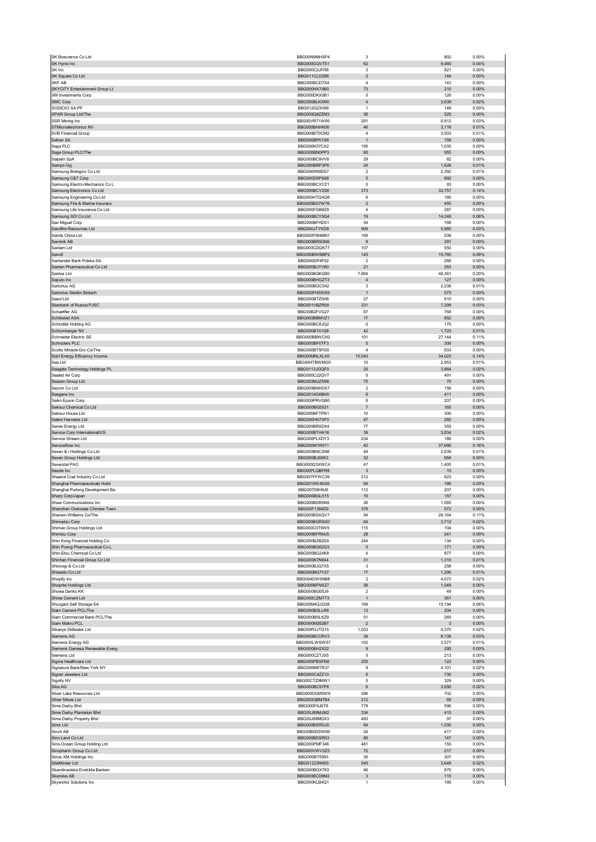| SK Bioscience Co Ltd                        | BBG00N9MHSP4                 | 3                                         | 802            | 0.00%          |
|---------------------------------------------|------------------------------|-------------------------------------------|----------------|----------------|
| SK Hynix Inc                                | BBG000GQVT51                 | 62                                        | 9,466          | 0.04%          |
| SK Inc                                      | BBG000C2JFR8                 | 3                                         | 821            | 0.00%          |
| SK Square Co Ltd<br>SKF AB                  | BBG011CLDZ86                 | $\sqrt{2}$<br>$\sqrt{4}$                  | 144            | 0.00%          |
| SKYCITY Entertainment Group Lt              | BBG000BCD7X4<br>BBG000HX74B0 | 73                                        | 143<br>210     | 0.00%<br>0.00% |
| SM Investments Corp                         | BBG000DKX0B1                 | 5                                         | 126            | 0.00%          |
| SMC Corp                                    | BBG000BLKXN0                 | $\sqrt{4}$                                | 3,639          | 0.02%          |
| SODEXO SA PF                                | BBG012G23H56                 | 1                                         | 148            | 0.00%          |
| SPAR Group Ltd/The                          | BBG000Q8ZZM3                 | 36                                        | 525            | 0.00%          |
| SSR Mining Inc                              | BBG00VR71W95                 | 281                                       | 6,812          | 0.03%          |
| STMicroelectronics NV                       | BBG000BHHK06                 | 46                                        | 3,116          | 0.01%          |
| SVB Financial Group                         | BBG000BT0CM2                 | $\sqrt{4}$                                | 3,503          | 0.01%          |
| Safran SA                                   | BBG000BP01S8                 | $\mathbf{1}$                              | 158            | 0.00%          |
| Saga PLC                                    | BBG006K57CX2                 | 195                                       | 1,035          | 0.00%          |
| Sage Group PLC/The<br>Saipem SpA            | BBG000BN0PP3<br>BBG000BC9VV8 | 60<br>29                                  | 955<br>82      | 0.00%<br>0.00% |
| Sampo Oyj                                   | BBG000BRP3P6                 | 24                                        | 1,626          | 0.01%          |
| Samsung Biologics Co Ltd                    | BBG0060N9DS7                 | $\overline{\mathbf{2}}$                   | 2,392          | 0.01%          |
| Samsung C&T Corp                            | BBG000D5PS68                 | 5                                         | 692            | 0.00%          |
| Samsung Electro-Mechanics Co L              | BBG000BCXYZ1                 | $\mathbf 0$                               | 93             | 0.00%          |
| Samsung Electronics Co Ltd                  | BBG000BCY2S8                 | 373                                       | 32,757         | 0.14%          |
| Samsung Engineering Co Ltd                  | BBG000HTQXQ8                 | 6                                         | 160            | 0.00%          |
| Samsung Fire & Marine Insuranc              | BBG000BG7W76                 | $\mathbf 2$                               | 455            | 0.00%          |
| Samsung Life Insurance Co Ltd               | BBG000FGB8Z9                 | 4                                         | 287            | 0.00%          |
| Samsung SDI Co Ltd<br>San Miguel Corp       | BBG000BCY0Q4<br>BBG000BFHD51 | 19<br>54                                  | 14,248<br>168  | 0.06%<br>0.00% |
| Sandfire Resources Ltd                      | BBG000JTYKD9                 | 909                                       | 5,985          | 0.03%          |
| Sands China Ltd                             | BBG000PSNMN1                 | 168                                       | 538            | 0.00%          |
| Sandvik AB                                  | BBG000BR0GN6                 | 8                                         | 291            | 0.00%          |
| Sanlam Ltd                                  | BBG000CDQK77                 | 107                                       | 550            | 0.00%          |
| Sanofi                                      | BBG000BWBBP2                 | 143                                       | 19,760         | 0.08%          |
| Santander Bank Polska SA                    | BBG000DP4F92                 | 2                                         | 288            | 0.00%          |
| Santen Pharmaceutical Co Ltd                | BBG000BJYV90                 | 21                                        | 353            | 0.00%          |
| Santos Ltd                                  | BBG000BQKQ90                 | 7,664                                     | 48,361         | 0.20%          |
| Saputo Inc<br>Sartorius AG                  | BBG000BHGZT3<br>BBG000BGC542 | $\overline{4}$<br>3                       | 127<br>2,538   | 0.00%<br>0.01% |
| Sartorius Stedim Biotech                    | BBG000FH5WS9                 | $\mathbf{1}$                              | 573            | 0.00%          |
| Sasol Ltd                                   | BBG000BTZ0H6                 | 27                                        | 610            | 0.00%          |
| Sberbank of Russia PJSC                     | BBG001VBZR00                 | 331                                       | 7,299          | 0.03%          |
| Schaeffler AG                               | BBG00B2FVG27                 | 67                                        | 768            | 0.00%          |
| Schibsted ASA                               | BBG000BBMVZ1                 | 17                                        | 852            | 0.00%          |
| Schindler Holding AG                        | BBG000BC8JQ2                 | $\mathbf 0$                               | 170            | 0.00%          |
| Schlumberger NV                             | BBG000BT41Q8                 | 42                                        | 1,723          | 0.01%          |
| Schneider Electric SE                       | BBG000BBWCH2                 | 101                                       | 27,144         | 0.11%          |
| Schroders PLC<br>Scotts Miracle-Gro Co/The  | BBG000BF0TF3<br>BBG000BT5PG5 | 5<br>$\sqrt{4}$                           | 300<br>933     | 0.00%<br>0.00% |
| Sdcl Energy Efficiency Income               | BBG00MNLXLX0                 | 15,543                                    | 34,023         | 0.14%          |
| Sea Ltd                                     | BBG00HTBWMG5                 | 10                                        | 2,953          | 0.01%          |
| Seagate Technology Holdings PL              | BBG0113JGQF0                 | 25                                        | 3,864          | 0.02%          |
| Sealed Air Corp                             | BBG000C22QV7                 | 5                                         | 491            | 0.00%          |
| Seazen Group Ltd                            | BBG003MJZ5R8                 | 75                                        | 70             | 0.00%          |
| Secom Co Ltd                                | BBG000BNHG57                 | $\overline{2}$                            | 158            | 0.00%          |
| Seegene Inc                                 | BBG0014G4BH0                 | 6                                         | 411            | 0.00%          |
| Seiko Epson Corp<br>Sekisui Chemical Co Ltd | BBG000PRVGB0<br>BBG000BG5531 | 8<br>$\overline{7}$                       | 207<br>165     | 0.00%<br>0.00% |
| Sekisui House Ltd                           | BBG000BFTPN1                 | 10                                        | 300            | 0.00%          |
| Select Harvests Ltd                         | BBG000HK7XF0                 | 47                                        | 292            | 0.00%          |
| Senex Energy Ltd                            | BBG000BRSD44                 | 77                                        | 355            | 0.00%          |
| Service Corp International/US               | BBG000BTHH16                 | 39                                        | 3,834          | 0.02%          |
| Service Stream Ltd                          | BBG000PLXDY3                 | 234                                       | 188            | 0.00%          |
| ServiceNow Inc                              | BBG000M1R011                 | 42                                        | 37,686         | 0.16%          |
| Seven & i Holdings Co Ltd                   | BBG000BNCSN6                 | 44                                        | 2,639          | 0.01%          |
| Seven Group Holdings Ltd<br>Severstal PAO   | BBG000BJ66K3<br>BBG000Q3XWC4 | 32<br>47                                  | 684<br>1,405   | 0.00%<br>0.01% |
| Sezzle Inc                                  | BBG00PLQBFR8                 | 3                                         | 10             | 0.00%          |
| Shaanxi Coal Industry Co Ltd                | BBG007FFWC39                 | 312                                       | 823            | 0.00%          |
| Shanghai Pharmaceuticals Holdi              | BBG0015W4KX6                 | 64                                        | 166            | 0.00%          |
| Shanghai Pudong Development Ba              | BBG00709H9J6                 | 112                                       | 207            | 0.00%          |
| Sharp Corp/Japan                            | BBG000BGL515                 | 10                                        | 157            | 0.00%          |
| Shaw Communications Inc                     | BBG000BSR5N9                 | 26                                        | 1.085          | 0.00%          |
| Shenzhen Overseas Chinese Town              | BBG00F1364D9                 | 376                                       | 572            | 0.00%          |
| Sherwin-Williams Co/The                     | BBG000BSXQV7                 | 54                                        | 26,164         | 0.11%          |
| Shimadzu Corp<br>Shimao Group Holdings Ltd  | BBG000BGRSS0<br>BBG000C0T6W5 | 64<br>115                                 | 3,712<br>104   | 0.02%<br>0.00% |
| Shimizu Corp                                | BBG000BFRMJ5                 | 28                                        | 241            | 0.00%          |
| Shin Kong Financial Holding Co              | BBG000BZBZS9                 | 244                                       | 134            | 0.00%          |
| Shin Poong Pharmaceutical Co L              | BBG000BG62G3                 | 5                                         | 171            | 0.00%          |
| Shin-Etsu Chemical Co Ltd                   | BBG000BG24K8                 | 4                                         | 877            | 0.00%          |
| Shinhan Financial Group Co Ltd              | BBG000K7N844                 | 31                                        | 1,310          | 0.01%          |
| Shionogi & Co Ltd                           | BBG000BJQ7X5                 | 3                                         | 258            | 0.00%          |
| Shiseido Co Ltd<br>Shopify Inc              | BBG000BG7Y27                 | 17<br>$\sqrt{2}$                          | 1,295<br>4,073 | 0.01%<br>0.02% |
| Shoprite Holdings Ltd                       | BBG004DW5NB8<br>BBG000BFNXZ7 | 58                                        | 1,049          | 0.00%          |
| Showa Denko KK                              | BBG000BG05J9                 | $\overline{2}$                            | 49             | 0.00%          |
| Shree Cement Ltd                            | BBG000CZMT73                 | $\mathbf{1}$                              | 361            | 0.00%          |
| Shurgard Self Storage SA                    | BBG00M4QJQ38                 | 169                                       | 15,194         | 0.06%          |
| Siam Cement PCL/The                         | BBG000BSLLR6                 | 13                                        | 204            | 0.00%          |
| Siam Commercial Bank PCL/The                | BBG000BSLKZ9<br>BBG000M262B7 | 51                                        | 265            | 0.00%          |
| Siam Makro PCL                              |                              | $\sqrt{2}$                                | 3              | 0.00%          |
| Sibanye Stillwater Ltd<br>Siemens AG        |                              |                                           |                |                |
| Siemens Energy AG                           | BBG00R3JTQ15                 | 1,033                                     | 4,370          | 0.02%          |
| Siemens Gamesa Renewable Energ              | BBG000BCCRV3<br>BBG00XLWSW57 | 34<br>102                                 | 8,138          | 0.03%<br>0.01% |
|                                             | BBG000BH2X22                 | $\mathsf g$                               | 3,577<br>295   | 0.00%          |
| Siemens Ltd                                 | BBG000CZTJS5                 | 5                                         | 213            | 0.00%          |
| Sigma Healthcare Ltd                        | BBG000PBSFN8                 | 255                                       | 123            | 0.00%          |
| Signature Bank/New York NY                  | BBG000M6TR37                 | 9                                         | 4,101          | 0.02%          |
| Signet Jewelers Ltd                         | BBG000C4ZZ10                 | 6                                         | 730            | 0.00%          |
| Signify NV                                  | BBG00CTZ9MW1                 | 5                                         | 329            | 0.00%          |
| Sika AG                                     | BBG000BC97P8                 | $\,6\,$                                   | 3,650          | 0.02%          |
| Silver Lake Resources Ltd                   | BBG000DGM5W8                 | 396                                       | 702            | 0.00%          |
| Silver Mines Ltd<br>Sime Darby Bhd          | BBG000QBM7B4<br>BBG000F9J6T8 | 312<br>778                                | 69<br>596      | 0.00%<br>0.00% |
| Sime Darby Plantation Bhd                   | BBG00J88MJM2                 | 334                                       | 415            | 0.00%          |
| Sime Darby Property Bhd                     | BBG00J88MDX3                 | 493                                       | 97             | 0.00%          |
| Sims Ltd                                    | BBG000BSRGJ0                 | 64                                        | 1,030          | 0.00%          |
| Sinch AB                                    | BBG00B0DSW69                 | 24                                        | 417            | 0.00%          |
| Sino Land Co Ltd                            | BBG000BDSR53                 | 86                                        | 147            | 0.00%          |
| Sino-Ocean Group Holding Ltd                | BBG000PMF346                 | 481                                       | 155            | 0.00%          |
| Sinopharm Group Co Ltd                      | BBG000VWV3Z5                 | 72                                        | 217            | 0.00%          |
| Sirius XM Holdings Inc<br>SiteMinder Ltd    | BBG000BT0093<br>BBG01223RK65 | 35<br>540                                 | 307<br>3,648   | 0.00%<br>0.02% |
| Skandinaviska Enskilda Banken               | BBG000BGX763                 | 46                                        | 875            | 0.00%          |
| Skanska AB<br><b>Skyworks Solutions Inc</b> | BBG000BCD9M2<br>BBG000KLB4Q1 | $\ensuremath{\mathsf{3}}$<br>$\mathbf{1}$ | 115<br>195     | 0.00%<br>0.00% |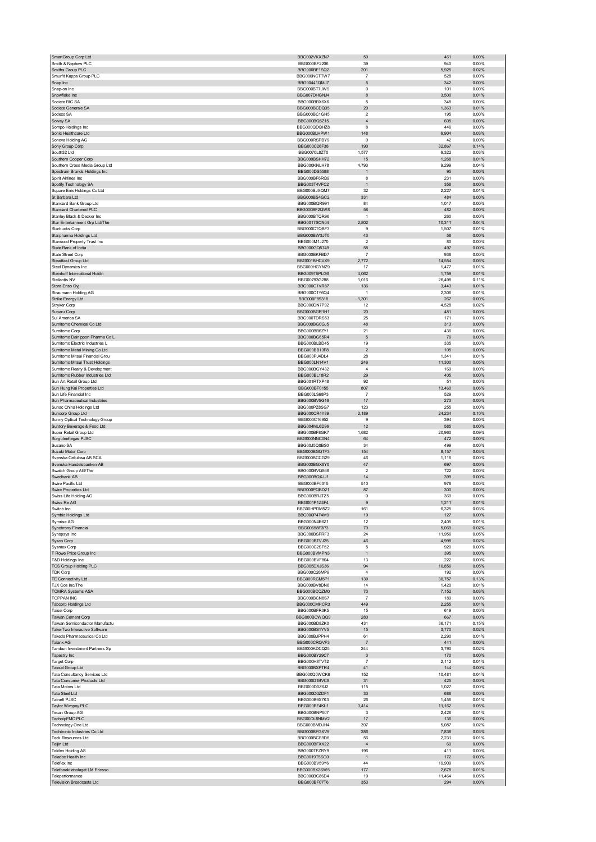| SmartGroup Corp Ltd                                           | BBG002VKXZN7                 | 59                            | 461            | 0.00%             |
|---------------------------------------------------------------|------------------------------|-------------------------------|----------------|-------------------|
| Smith & Nephew PLC                                            | BBG000BF2206                 | 39                            | 940            | 0.00%             |
| Smiths Group PLC                                              | BBG000BF1SQ2                 | 201                           | 5,925          | 0.02%             |
| Smurfit Kappa Group PLC<br>Snap Inc                           | BBG000NCTTW7<br>BBG00441QMJ7 | $\overline{7}$<br>5           | 528<br>342     | 0.00%<br>0.00%    |
| Snap-on Inc                                                   | BBG000BT7JW9                 | $\mathbf 0$                   | 101            | 0.00%             |
| Snowflake Inc                                                 | BBG007DHGNJ4                 | 8                             | 3,500          | 0.01%             |
| Societe BIC SA                                                | BBG000BBX6X6                 | 5                             | 348            | 0.00%             |
| Societe Generale SA                                           | BBG000BCDQ35                 | 29                            | 1,363          | 0.01%             |
| Sodexo SA                                                     | BBG000BC1GH5                 | $\overline{\mathbf{2}}$       | 195            | 0.00%             |
| Solvay SA                                                     | BBG000BQ5Z15                 | $\overline{4}$                | 605            | 0.00%             |
| Sompo Holdings Inc<br>Sonic Healthcare Ltd                    | BBG000QDQHZ8<br>BBG000BLHPW1 | 8<br>148                      | 446<br>6,904   | 0.00%<br>0.03%    |
| Sonova Holding AG                                             | BBG000RSPBY9                 | $\pmb{0}$                     | 42             | 0.00%             |
| Sony Group Corp                                               | BBG000C26F38                 | 190                           | 32,867         | 0.14%             |
| South32 Ltd                                                   | BBG0070L8ZT0                 | 1,577                         | 6,322          | 0.03%             |
| Southern Copper Corp                                          | BBG000BSHH72                 | 15                            | 1,268          | 0.01%             |
| Southern Cross Media Group Ltd                                | BBG000KNLH78                 | 4,793                         | 9,299          | 0.04%             |
| Spectrum Brands Holdings Inc                                  | BBG000DS5588                 | -1                            | 95             | 0.00%             |
| Spirit Airlines Inc                                           | BBG000BF6RQ9                 | 8                             | 231            | 0.00%             |
| Spotify Technology SA<br>Square Enix Holdings Co Ltd          | BBG003T4VFC2<br>BBG000BJXQM7 | $\mathbf{1}$<br>32            | 358<br>2,227   | 0.00%<br>0.01%    |
| St Barbara Ltd                                                | BBG000BS4GC2                 | 331                           | 484            | $0.00\%$          |
| Standard Bank Group Ltd                                       | BBG000BQR991                 | 84                            | 1,017          | 0.00%             |
| Standard Chartered PLC                                        | BBG000BF2QW8                 | 58                            | 482            | $0.00\%$          |
| Stanley Black & Decker Inc                                    | BBG000BTQR96                 | $\mathbf{1}$                  | 260            | 0.00%             |
| Star Entertainment Grp Ltd/The                                | <b>BBG0017SCN04</b>          | 2,802                         | 10,311         | 0.04%             |
| Starbucks Corp                                                | BBG000CTQBF3                 | 9                             | 1,507          | 0.01%             |
| Starpharma Holdings Ltd                                       | BBG000BW3JT0                 | 43                            | 58             | 0.00%             |
| Starwood Property Trust Inc<br>State Bank of India            | BBG000M1J270<br>BBG000GQ5749 | $\overline{\mathbf{c}}$<br>58 | 80<br>497      | 0.00%<br>0.00%    |
| State Street Corp                                             | BBG000BKFBD7                 | $\overline{7}$                | 938            | 0.00%             |
| Steadfast Group Ltd                                           | BBG001BHCVX9                 | 2,772                         | 14,554         | 0.06%             |
| Steel Dynamics Inc                                            | BBG000HGYNZ9                 | 17                            | 1,477          | 0.01%             |
| Steinhoff International Holdin                                | BBG009T5PLG6                 | 4,062                         | 1,759          | 0.01%             |
| Stellantis NV                                                 | BBG00793G288                 | 1,016                         | 26,498         | 0.11%             |
| Stora Enso Oyj                                                | BBG000G1VR87                 | 136                           | 3,443          | 0.01%             |
| Straumann Holding AG                                          | BBG000C1Y6Q4                 | $\mathbf{1}$                  | 2,306          | 0.01%             |
| Strike Energy Ltd                                             | BBG000F89318                 | 1,301                         | 267            | 0.00%             |
| Stryker Corp<br>Subaru Corp                                   | BBG000DN7P92<br>BBG000BGR1H1 | 12<br>20                      | 4,528<br>481   | 0.02%<br>0.00%    |
| Sul America SA                                                | BBG000TDRS53                 | 25                            | 171            | 0.00%             |
| Sumitomo Chemical Co Ltd                                      | BBG000BG0GJ5                 | 48                            | 313            | 0.00%             |
| Sumitomo Corp                                                 | BBG000BB6ZY1                 | 21                            | 436            | 0.00%             |
| Sumitomo Dainippon Pharma Co L                                | BBG000BG65R4                 | 5                             | 76             | 0.00%             |
| Sumitomo Electric Industries L                                | BBG000BLBD45                 | 19                            | 335            | 0.00%             |
| Sumitomo Metal Mining Co Ltd                                  | BBG000BB13F8                 | $\overline{2}$                | 105            | 0.00%             |
| Sumitomo Mitsui Financial Grou                                | BBG000PJ4DL4                 | 28                            | 1,341          | 0.01%             |
| Sumitomo Mitsui Trust Holdings                                | BBG000LN14V1                 | 246                           | 11,300         | 0.05%             |
| Sumitomo Realty & Development                                 | BBG000BGY432                 | 4                             | 169            | 0.00%             |
| Sumitomo Rubber Industries Ltd<br>Sun Art Retail Group Ltd    | BBG000BL18R2<br>BBG001RTXP48 | 29<br>92                      | 405<br>51      | 0.00%<br>0.00%    |
| Sun Hung Kai Properties Ltd                                   | BBG000BF0155                 | 807                           | 13,460         | 0.06%             |
| Sun Life Financial Inc                                        | BBG000LS68P3                 | $\overline{7}$                | 529            | 0.00%             |
| Sun Pharmaceutical Industries                                 | BBG000BV5G16                 | 17                            | 273            | 0.00%             |
| Sunac China Holdings Ltd                                      | BBG000PZ8SG7                 | 123                           | 255            | 0.00%             |
|                                                               |                              |                               |                | 0.10%             |
| Suncorp Group Ltd                                             | BBG000CR4Y89                 | 2,189                         | 24,234         |                   |
| Sunny Optical Technology Group                                | BBG000C16952                 | 9                             | 394            | 0.00%             |
| Suntory Beverage & Food Ltd                                   | BBG004ML6D96                 | 12                            | 585            | $0.00\%$          |
| Super Retail Group Ltd                                        | BBG000BF8GK7                 | 1,682                         | 20,960         | 0.09%             |
| Surgutneftegas PJSC                                           | BBG000NNC0N4                 | 64                            | 472            | 0.00%             |
| Suzano SA                                                     | BBG00J5Q0BS0                 | 34                            | 499            | 0.00%             |
| Suzuki Motor Corp                                             | BBG000BGQTF3                 | 154                           | 8,157          | 0.03%             |
| Svenska Cellulosa AB SCA<br>Svenska Handelsbanken AB          | BBG000BCCG29                 | 46<br>47                      | 1,116          | 0.00%             |
| Swatch Group AG/The                                           | BBG000BGX8Y0<br>BBG000BVQ866 | $\overline{\mathbf{c}}$       | 697<br>722     | 0.00%<br>0.00%    |
| Swedbank AB                                                   | BBG000BQXJJ1                 | 14                            | 399            | 0.00%             |
| Swire Pacific Ltd                                             | BBG000BF0315                 | 510                           | 978            | 0.00%             |
| Swire Properties Ltd                                          | BBG000PQBD21                 | 87                            | 300            | 0.00%             |
| Swiss Life Holding AG                                         | BBG000BRJTZ5                 | 0                             | 360            | 0.00%             |
| Swiss Re AG                                                   | BBG001P1Z4F4                 | 9                             | 1.211          | 0.01%             |
| Switch Inc.                                                   | BBG00HPDM5Z2                 | 161                           | 6,325          | 0.03%             |
| Symbio Holdings Ltd<br>Symrise AG                             | BBG000P4T4M9<br>BBG000N4B6Z1 | 19<br>12                      | 127<br>2,405   | $0.00\%$<br>0.01% |
| Synchrony Financial                                           | BBG00658F3P3                 | 79                            | 5,069          | 0.02%             |
| Synopsys Inc                                                  | BBG000BSFRF3                 | 24                            | 11,956         | 0.05%             |
| Sysco Corp                                                    | BBG000BTVJ25                 | 46                            | 4,998          | 0.02%             |
| Sysmex Corp                                                   | BBG000C2SF52                 | 5                             | 920            | 0.00%             |
| T Rowe Price Group Inc                                        | BBG000BVMPN3                 | $\mathbf{1}$                  | 395            | 0.00%             |
| T&D Holdings Inc                                              | BBG000BVF804                 | 13                            | 222            | 0.00%             |
| <b>TCS Group Holding PLC</b><br><b>TDK Corp</b>               | BBG005DXJS36                 | 94                            | 10,856         | 0.05%             |
| TE Connectivity Ltd                                           | BBG000C26MP9<br>BBG000RGM5P1 | $\overline{4}$<br>139         | 192<br>30,757  | 0.00%<br>0.13%    |
| TJX Cos Inc/The                                               | BBG000BV8DN6                 | 14                            | 1,420          | 0.01%             |
| <b>TOMRA Systems ASA</b>                                      | BBG000BCQZM0                 | 73                            | 7,152          | 0.03%             |
| <b>TOPPAN INC</b>                                             | BBG000BCN8S7                 | 7                             | 189            | 0.00%             |
| Tabcorp Holdings Ltd                                          | BBG000CMHCR3                 | 449                           | 2,255          | 0.01%             |
| Taisei Corp                                                   | BBG000BFR3K5                 | 15                            | 619            | 0.00%             |
| Taiwan Cement Corp                                            | BBG000BCWQQ9                 | 280                           | 667            | 0.00%             |
| Taiwan Semiconductor Manufactu                                | BBG000BD8ZK0                 | 431                           | 36,171         | 0.15%             |
| Take-Two Interactive Software<br>Takeda Pharmaceutical Co Ltd | BBG000BS1YV5<br>BBG000BJPPH4 | 15<br>61                      | 3,770<br>2,290 | 0.02%<br>0.01%    |
| Talanx AG                                                     | BBG000CRQVF3                 | $\overline{7}$                | 441            | 0.00%             |
| Tamburi Investment Partners Sp                                | BBG000KDCQ25                 | 244                           | 3,790          | 0.02%             |
| Tapestry Inc                                                  | BBG000BY29C7                 | $\mathbf{3}$                  | 170            | 0.00%             |
| Target Corp                                                   | BBG000H8TVT2                 | $\overline{7}$                | 2,112          | 0.01%             |
| <b>Tassal Group Ltd</b>                                       | BBG000BXPTR4                 | 41                            | 144            | 0.00%             |
| Tata Consultancy Services Ltd                                 | BBG000Q0WCK6                 | 152                           | 10,481         | 0.04%             |
| Tata Consumer Products Ltd                                    | BBG000D1BVC8                 | 31                            | 425            | 0.00%             |
| Tata Motors Ltd<br><b>Tata Steel Ltd</b>                      | BBG000D0Z6J2<br>BBG000D0ZDF1 | 115<br>33                     | 1,027<br>686   | 0.00%<br>0.00%    |
| <b>Tatneft PJSC</b>                                           | BBG000B9X7K3                 | 26                            | 1,456          | 0.01%             |
| Taylor Wimpey PLC                                             | BBG000BF4KL1                 | 3,414                         | 11,162         | 0.05%             |
| Tecan Group AG                                                | BBG000BNP507                 | 3                             | 2,426          | 0.01%             |
| TechnipFMC PLC                                                | BBG00DL8NMV2                 | 17                            | 136            | 0.00%             |
| Technology One Ltd                                            | BBG000BMDJH4                 | 397                           | 5,087          | 0.02%             |
| Techtronic Industries Co Ltd                                  | BBG000BFGXV9                 | 286                           | 7,838          | 0.03%             |
| <b>Teck Resources Ltd</b>                                     | BBG000BCS9D6                 | 56                            | 2,231          | 0.01%             |
| Teijin Ltd                                                    | BBG000BFXX22                 | $\overline{4}$                | 69             | 0.00%             |
| Tekfen Holding AS<br>Teladoc Health Inc                       | BBG000TFZRY9<br>BBG0019T5SG0 | 196<br>$\overline{1}$         | 411<br>172     | 0.00%<br>0.00%    |
| Teleflex Inc                                                  | BBG000BV59Y6                 | 44                            | 19,909         | 0.08%             |
| Telefonaktiebolaget LM Ericsso                                | BBG000BX2SW5                 | 177                           | 2,678          | 0.01%             |
| Teleperformance<br><b>Television Broadcasts Ltd</b>           | BBG000BC86D4<br>BBG000BF07T6 | 19<br>353                     | 11,464<br>294  | 0.05%<br>$0.00\%$ |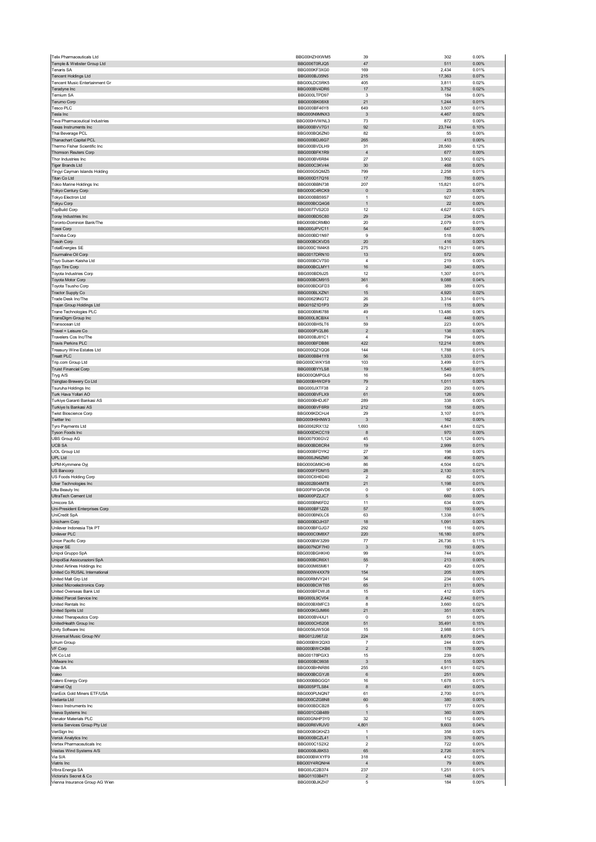| Telix Pharmaceuticals Ltd                                | BBG00HZHXWM5                 | 39                                      | 302             | 0.00%             |
|----------------------------------------------------------|------------------------------|-----------------------------------------|-----------------|-------------------|
| Temple & Webster Group Ltd<br>Tenaris SA                 | BBG006T0RJQ5<br>BBG000KF3XG0 | 47<br>169                               | 511<br>2,434    | 0.00%<br>0.01%    |
| <b>Tencent Holdings Ltd</b>                              | BBG000BJ35N5                 | 215                                     | 17,363          | 0.07%             |
| Tencent Music Entertainment Gr                           | BBG00LDC5RK5                 | 405                                     | 3,811           | 0.02%             |
| Teradyne Inc<br>Ternium SA                               | BBG000BV4DR6<br>BBG000LTPD97 | 17<br>3                                 | 3,752<br>184    | 0.02%<br>0.00%    |
| Terumo Corp                                              | BBG000BK08X8                 | 21                                      | 1,244           | 0.01%             |
| Tesco PLC<br>Tesla Inc                                   | BBG000BF46Y8<br>BBG000N9MNX3 | 649<br>$\mathbf{3}$                     | 3,507           | 0.01%<br>0.02%    |
| Teva Pharmaceutical Industries                           | BBG000HVWNL3                 | 73                                      | 4,467<br>872    | 0.00%             |
| Texas Instruments Inc                                    | BBG000BVV7G1                 | 92                                      | 23,744          | 0.10%             |
| Thai Beverage PCL<br>Thanachart Capital PCL              | BBG000BQ6ZN0<br>BBG000BDJ6G7 | 82<br>265                               | 55<br>413       | 0.00%<br>0.00%    |
| Thermo Fisher Scientific Inc                             | BBG000BVDLH9                 | 31                                      | 28,560          | 0.12%             |
| Thomson Reuters Corp                                     | BBG000BFK1R9                 | $\overline{4}$                          | 677             | 0.00%             |
| Thor Industries Inc<br><b>Tiger Brands Ltd</b>           | BBG000BV6R84<br>BBG000C3KV44 | 27<br>30                                | 3,902<br>468    | 0.02%<br>0.00%    |
| Tingyi Cayman Islands Holding                            | BBG000G5QMZ5                 | 799                                     | 2,258           | 0.01%             |
| Titan Co Ltd                                             | BBG000D17Q16                 | 17                                      | 785             | 0.00%             |
| Tokio Marine Holdings Inc<br>Tokyo Century Corp          | BBG000BBN738<br>BBG000C4RCK9 | 207<br>$\pmb{0}$                        | 15,821<br>23    | 0.07%<br>0.00%    |
| Tokyo Electron Ltd                                       | BBG000BB59S7                 | 1                                       | 927             | 0.00%             |
| <b>Tokyu Corp</b>                                        | BBG000BCQ4G6<br>BBG0077VS2C0 | $\mathbf{1}$<br>12                      | 22<br>4,627     | 0.00%<br>0.02%    |
| <b>TopBuild Corp</b><br>Toray Industries Inc             | BBG000BD5C60                 | 29                                      | 234             | 0.00%             |
| Toronto-Dominion Bank/The                                | BBG000BCRMB0                 | 20                                      | 2,079           | 0.01%             |
| Tosei Corp<br>Toshiba Corp                               | BBG000JPVC11<br>BBG000BD1N97 | 54<br>$\boldsymbol{9}$                  | 647<br>518      | 0.00%<br>0.00%    |
| <b>Tosoh Corp</b>                                        | BBG000BCKVD5                 | 20                                      | 416             | 0.00%             |
| <b>TotalEnergies SE</b>                                  | BBG000C1M4K8                 | 275                                     | 19,211          | 0.08%             |
| Tourmaline Oil Corp<br>Toyo Suisan Kaisha Ltd            | BBG0017DRN10<br>BBG000BCV7S0 | 13<br>$\sqrt{4}$                        | 572<br>219      | 0.00%<br>0.00%    |
| Toyo Tire Corp                                           | BBG000BCLMY1                 | 16                                      | 340             | 0.00%             |
| Toyota Industries Corp                                   | BBG000BD9J25                 | 12                                      | 1,307           | 0.01%             |
| Toyota Motor Corp                                        | BBG000BCM915<br>BBG000BDGFD3 | 361                                     | 9,088           | 0.04%             |
| Toyota Tsusho Corp<br>Tractor Supply Co                  | BBG000BLXZN1                 | 6<br>15                                 | 389<br>4,920    | 0.00%<br>0.02%    |
| Trade Desk Inc/The                                       | BBG00629NGT2                 | 26                                      | 3,314           | 0.01%             |
| Trajan Group Holdings Ltd                                | BBG010Z1D1P3                 | 29                                      | 115             | 0.00%             |
| Trane Technologies PLC<br>TransDigm Group Inc            | BBG000BM6788<br>BBG000L8CBX4 | 49<br>$\mathbf{1}$                      | 13,486<br>448   | 0.06%<br>0.00%    |
| Transocean Ltd                                           | BBG000BH5LT6                 | 59                                      | 223             | 0.00%             |
| Travel + Leisure Co                                      | BBG000PV2L86                 | $\mathbf 2$                             | 138             | 0.00%             |
| Travelers Cos Inc/The                                    | BBG000BJ81C1                 | $\sqrt{4}$<br>422                       | 794             | 0.00%<br>0.05%    |
| <b>Travis Perkins PLC</b><br>Treasury Wine Estates Ltd   | BBG000BFDB86<br>BBG000QZ1QQ6 | 144                                     | 12,214<br>1,788 | 0.01%             |
| <b>Treatt PLC</b>                                        | BBG000BB41Y8                 | 56                                      | 1,333           | 0.01%             |
| Trip.com Group Ltd                                       | BBG000CWKYS8                 | 103                                     | 3,499           | 0.01%             |
| <b>Truist Financial Corp</b><br>Tryg A/S                 | BBG000BYYLS8<br>BBG000QMPGL6 | 19<br>16                                | 1,540<br>549    | 0.01%<br>0.00%    |
| Tsingtao Brewery Co Ltd                                  | BBG000BHWDF9                 | 79                                      | 1,011           | 0.00%             |
| Tsuruha Holdings Inc                                     | BBG000JXTF38                 | $\overline{2}$                          | 293             | 0.00%             |
| Turk Hava Yollari AO<br>Turkiye Garanti Bankasi AS       | BBG000BVFLX9<br>BBG000BHDJ67 | 61<br>289                               | 126<br>338      | 0.00%<br>0.00%    |
| Turkiye Is Bankasi AS                                    | BBG000BVF6R9                 | 212                                     | 158             | 0.00%             |
| <b>Twist Bioscience Corp</b>                             | BBG006KDCHJ4                 | 29                                      | 3,107           | 0.01%             |
| Twitter Inc<br>Tyro Payments Ltd                         | BBG000H6HNW3<br>BBG0062RX132 | $\mathbf{3}$<br>1,693                   | 162<br>4,841    | 0.00%<br>0.02%    |
| Tyson Foods Inc                                          | BBG000DKCC19                 | 8                                       | 970             | 0.00%             |
| UBS Group AG                                             | BBG007936GV2                 | 45                                      | 1,124           | 0.00%             |
| <b>UCB SA</b><br><b>UOL Group Ltd</b>                    | BBG000BD8CR4<br>BBG000BFDYK2 | 19<br>27                                | 2,999<br>198    | 0.01%<br>0.00%    |
| UPL Ltd                                                  | BBG000JN6ZM0                 | 36                                      | 496             | 0.00%             |
| UPM-Kymmene Oyj                                          | BBG000GM9CH9                 | 86                                      | 4,504           | 0.02%             |
|                                                          | BBG000FFDM15                 | 28                                      | 2,130<br>82     | 0.01%<br>0.00%    |
| US Bancorp                                               |                              |                                         |                 |                   |
| US Foods Holding Corp                                    | BBG00C6H6D40<br>BBG002B04MT8 | $\overline{2}$<br>21                    |                 | 0.01%             |
| Uber Technologies Inc<br>Ulta Beauty Inc                 | BBG00FWQ4VD6                 | $\mathbf 0$                             | 1,198<br>97     | 0.00%             |
| UltraTech Cement Ltd                                     | BBG000PZ2JC7                 | 5                                       | 660             | 0.00%             |
| micore SA                                                | <b>BRC000BN6ED2</b>          | 11                                      | 634             | n nn%             |
| Uni-President Enterprises Corp<br>UniCredit SpA          | BBG000BF1ZZ6<br>BBG000BN0LC6 | 57<br>63                                | 193<br>1,338    | 0.00%<br>0.01%    |
| Unicharm Corp                                            | BBG000BDJH37                 | 18                                      | 1,091           | 0.00%             |
| Unilever Indonesia Tbk PT<br>Unilever PLC                | BBG000BFGJG7<br>BBG000C0M8X7 | 292<br>220                              | 116<br>16,180   | 0.00%<br>0.07%    |
| Union Pacific Corp                                       | BBG000BW3299                 | 77                                      | 26,736          | 0.11%             |
| Uniper SE                                                | BBG007NDF7H0                 | $\mathbf{3}$                            | 193             | 0.00%             |
| Unipol Gruppo SpA<br>UnipolSai Assicurazioni SpA         | BBG000BGHKH0<br>BBG000BCR6X1 | 99<br>55                                | 744<br>213      | 0.00%<br>0.00%    |
| United Airlines Holdings Inc                             | BBG000M65M61                 | $\overline{7}$                          | 420             | 0.00%             |
| United Co RUSAL International                            | BBG000W4XX79                 | 154                                     | 205             | 0.00%             |
| United Malt Grp Ltd<br>United Microelectronics Corp      | BBG00RMVY241<br>BBG000BCWT65 | 54<br>65                                | 234<br>211      | 0.00%<br>0.00%    |
| United Overseas Bank Ltd                                 | BBG000BFDWJ8                 | 15                                      | 412             | 0.00%             |
| United Parcel Service Inc                                | BBG000L9CV04                 | 8                                       | 2,442           | 0.01%             |
| United Rentals Inc                                       | BBG000BXMFC3                 | 8                                       | 3,660           | 0.02%             |
| United Spirits Ltd<br>United Therapeutics Corp           | BBG000KGJM66<br>BBG000BV4XJ1 | 21<br>0                                 | 351<br>51       | $0.00\%$<br>0.00% |
| UnitedHealth Group Inc                                   | BBG000CH5208                 | 51                                      | 35,491          | 0.15%             |
| Unity Software Inc                                       | BBG0056JW5G6                 | 15                                      | 2,988           | 0.01%             |
| Universal Music Group NV<br>Unum Group                   | BBG012J967J2<br>BBG000BW2QX0 | 224<br>7                                | 8,670<br>244    | 0.04%<br>0.00%    |
| VF Corp                                                  | BBG000BWCKB6                 | $\mathbf 2$                             | 178             | 0.00%             |
| VK Co Ltd<br>VMware Inc                                  | BBG00178PGX3<br>BBG000BC9938 | 15<br>3                                 | 239<br>515      | 0.00%<br>0.00%    |
| Vale SA                                                  | BBG000BHNR86                 | 255                                     | 4,911           | 0.02%             |
| Valeo                                                    | BBG000BCGYJ8                 | 6                                       | 251             | 0.00%             |
| Valero Energy Corp                                       | BBG000BBGGQ1                 | 16                                      | 1,678           | 0.01%             |
| Valmet Oyj<br>VanEck Gold Miners ETF/USA                 | BBG005PTLS84<br>BBG000PLNQN7 | 8<br>61                                 | 491<br>2,700    | 0.00%<br>0.01%    |
| Vedanta Ltd                                              | BBG000CZG8N8                 | 60                                      | 380             | 0.00%             |
| Veeco Instruments Inc                                    | BBG000BDCB28                 | 5                                       | 177             | 0.00%             |
| Veeva Systems Inc<br>Venator Materials PLC               | BBG001CGB489<br>BBG00GNHP3Y0 | $\mathbf{1}$<br>32                      | 360<br>112      | 0.00%<br>0.00%    |
| Ventia Services Group Pty Ltd                            | BBG00R6VRJV0                 | 4,801                                   | 9,603           | 0.04%             |
| VeriSign Inc                                             | BBG000BGKHZ3                 | $\mathbf{1}$                            | 358             | 0.00%             |
| Verisk Analytics Inc<br>Vertex Pharmaceuticals Inc       | BBG000BCZL41<br>BBG000C1S2X2 | $\mathbf{1}$<br>$\overline{\mathbf{c}}$ | 376<br>722      | 0.00%<br>0.00%    |
| Vestas Wind Systems A/S                                  | BBG000BJBK53                 | 65                                      | 2,726           | 0.01%             |
| Via S/A                                                  | BBG000BWXYF9                 | 318                                     | 412             | 0.00%             |
| Viatris Inc<br>Vibra Energia SA                          | BBG00Y4RQNH4<br>BBG00JC2B374 | $\overline{4}$<br>237                   | 79<br>1,251     | 0.00%<br>0.01%    |
| Victoria's Secret & Co<br>Vienna Insurance Group AG Wien | BBG01103B471<br>BBG000BJKZH7 | $\sqrt{2}$<br>5                         | 148<br>184      | 0.00%<br>0.00%    |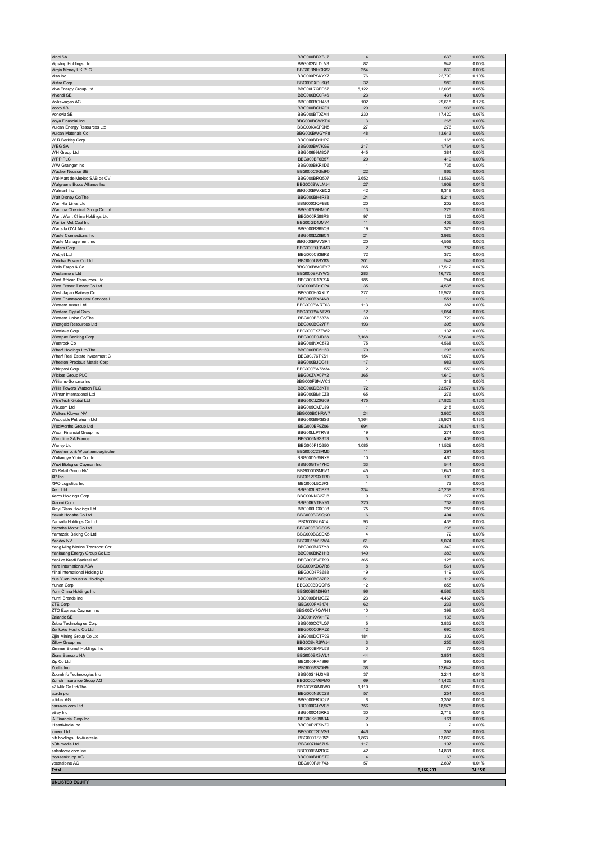| Vipshop Holdings Ltd                           | BBG000BDXBJ7                 | $\overline{4}$          | 633            | 0.00%          |
|------------------------------------------------|------------------------------|-------------------------|----------------|----------------|
|                                                | BBG002NLDLV8                 | 82<br>254               | 947<br>839     | 0.00%<br>0.00% |
| Virgin Money UK PLC                            | BBG00BNHGK82                 |                         |                |                |
| Visa Inc<br>Vistra Corp                        | BBG000PSKYX7<br>BBG00DXDL6Q1 | 76<br>32                | 22,790<br>989  | 0.10%<br>0.00% |
| Viva Energy Group Ltd                          | BBG00L7QFD67                 | 5,122                   | 12,038         | 0.05%          |
| Vivendi SE                                     | BBG000BC0R46                 | 23                      | 431            | 0.00%          |
| Volkswagen AG                                  | BBG000BCH458                 | 102                     | 29,618         | 0.12%          |
| Volvo AB                                       | BBG000BCH2F1                 | 29                      | 936            | $0.00\%$       |
| Vonovia SE                                     | BBG000BT0ZM1                 | 230                     | 17,420         | 0.07%          |
| Voya Financial Inc                             | BBG000BCWKD6                 | $\mathbf{3}$            | 265            | 0.00%          |
| Vulcan Energy Resources Ltd                    | BBG00KXSP9N5                 | 27                      | 276            | 0.00%          |
| Vulcan Materials Co                            | BBG000BWGYF8                 | 48                      | 13,613         | 0.06%          |
| W R Berkley Corp                               | BBG000BD1HP2                 | $\overline{1}$          | 168            | 0.00%          |
| WEG SA                                         | BBG000BV7KG9                 | 217                     | 1,764          | 0.01%          |
| WH Group Ltd                                   | BBG00699M8Q7                 | 445                     | 384            | 0.00%          |
| WPP PLC                                        | BBG000BF6B57                 | 20                      | 419            | 0.00%          |
| WW Grainger Inc                                | BBG000BKR1D6                 | $\overline{1}$          | 735            | 0.00%          |
| Wacker Neuson SE                               | BBG000C6GMF0                 | 22                      | 866            | 0.00%          |
| Wal-Mart de Mexico SAB de CV                   | BBG000BRQ507                 | 2,652                   | 13,563         | 0.06%          |
| Walgreens Boots Alliance Inc                   | BBG000BWLMJ4                 | 27                      | 1,909          | 0.01%          |
| Walmart Inc                                    | BBG000BWXBC2                 | 42                      | 8,318          | 0.03%          |
| Walt Disney Co/The                             | BBG000BH4R78                 | 24                      | 5,211          | 0.02%          |
| Wan Hai Lines Ltd                              | BBG000GQF9B6                 | 20                      | 202            | 0.00%          |
| Wanhua Chemical Group Co Ltd                   | BBG00709HM07                 | 13                      | 276            | 0.00%          |
| Want Want China Holdings Ltd                   | BBG000R588R3                 | 97                      | 123            | 0.00%          |
| Warrior Met Coal Inc                           | BBG00GD1JMV4                 | 11                      | 406            | $0.00\%$       |
| Wartsila OYJ Abp                               | BBG000BS65Q9                 | 19                      | 376            | 0.00%          |
| Waste Connections Inc                          | BBG000DZ8BC1                 | 21                      | 3,986          | 0.02%          |
| Waste Management Inc                           | BBG000BWVSR1                 | 20                      | 4,558          | 0.02%          |
| Waters Corp                                    | BBG000FQRVM3                 | $\overline{2}$          | 787            | 0.00%          |
| Webjet Ltd                                     | BBG000C93BF2                 | 72                      | 370            | 0.00%          |
| Weichai Power Co Ltd                           | BBG000L8BY83                 | 201                     | 542            | 0.00%          |
| Wells Fargo & Co                               | BBG000BWQFY7                 | 265                     | 17,512         | 0.07%          |
| Wesfarmers Ltd                                 | BBG000BFJYW3                 | 283                     | 16,775         | 0.07%          |
| West African Resources Ltd                     | BBG000R17C94                 | 185                     | 244            | 0.00%          |
| West Fraser Timber Co Ltd                      | BBG000BD1GP4                 | 35                      | 4,535          | 0.02%          |
| West Japan Railway Co                          | BBG000H5XXL7                 | 277                     | 15,927         | 0.07%          |
| West Pharmaceutical Services I                 | BBG000BX24N8                 | -1                      | 551            | 0.00%          |
| Western Areas Ltd                              | BBG000BWRT03                 | 113                     | 387            | 0.00%          |
| Western Digital Corp                           | BBG000BWNFZ9                 | 12                      | 1,054          | 0.00%          |
| Western Union Co/The                           | BBG000BB5373                 | 30                      | 729            | 0.00%          |
| Westgold Resources Ltd                         | BBG000BG27F7                 | 193                     | 395            | $0.00\%$       |
| Westlake Corp                                  | BBG000PXZFW2                 | $\mathbf{1}$            | 137            | 0.00%          |
| Westpac Banking Corp                           | BBG000D0JD23                 | 3,168                   | 67,634         | 0.28%          |
| Westrock Co                                    | BBG008NXC572                 | 75                      | 4,568          | 0.02%          |
| Wharf Holdings Ltd/The                         | BBG000BD5H69                 | 70                      | 296            | 0.00%          |
| Wharf Real Estate Investment C                 | BBG00J76TKS1                 | 154                     | 1,076          | 0.00%          |
| Wheaton Precious Metals Corp                   | BBG000BJCC41                 | 17                      | 983            | 0.00%          |
| Whirlpool Corp                                 | BBG000BWSV34                 | $\overline{\mathbf{c}}$ | 559            | 0.00%          |
| Wickes Group PLC                               | BBG00ZVX07Y2                 | 365                     | 1,610          | 0.01%          |
| Williams-Sonoma Inc                            | BBG000FSMWC3                 | $\overline{1}$          | 318            | 0.00%          |
| Willis Towers Watson PLC                       | BBG000DB3KT1                 | $72\,$                  | 23,577         | 0.10%          |
| Wilmar International Ltd                       | BBG000BM10Z8                 | 65                      | 276            | 0.00%          |
| WiseTech Global Ltd                            | BBG00CJZ0G09                 | 475                     | 27,825         | 0.12%          |
| Wix.com Ltd                                    | BBG005CM7J89                 | $\overline{1}$          | 215            | 0.00%          |
| Wolters Kluwer NV                              | BBG000BCHRW7                 | 24                      | 3,930          | 0.02%          |
| Woodside Petroleum Ltd                         | BBG000B9XBS6                 | 1,364                   | 29,921         | 0.13%          |
| Woolworths Group Ltd                           | BBG000BF9Z06                 | 694                     | 26,374         | 0.11%          |
| Woori Financial Group Inc                      | BBG00LLPTRV9                 | 19                      | 274            | 0.00%          |
| Worldline SA/France                            | BBG006N9S3T3                 | 5                       | 409            | 0.00%          |
| Worley Ltd                                     | BBG000F1Q350                 | 1,085                   | 11,529         | 0.05%          |
| Wuestenrot & Wuerttembergische                 | BBG000C23MM5<br>BBG00DY65RX9 | 11<br>10                | 291<br>460     | 0.00%<br>0.00% |
| Wuliangye Yibin Co Ltd                         |                              |                         |                |                |
| Wuxi Biologics Cayman Inc                      | BBG00GTY47H0                 | 33                      | 544            | $0.00\%$       |
| X5 Retail Group NV                             | BBG000DSM6V1<br>BBG012PQXTR0 | 45<br>$\mathbf{3}$      | 1,641<br>100   | 0.01%<br>0.00% |
| XP Inc<br>XPO Logistics Inc                    | BBG000L5CJF3                 | $\overline{1}$          | 73             | 0.00%          |
| Xero Ltd                                       |                              |                         |                | 0.20%          |
|                                                | BBG003LRCPZ3<br>BBG00NNG2ZJ8 | 334<br>9                | 47,239<br>277  | 0.00%          |
| Xerox Holdings Corp<br>Xiaomi Corp             | BBG00KVTBY91                 | 220                     | 732            | 0.00%          |
| Xinyi Glass Holdings Ltd                       | BBG000LG6G08                 | 75                      | 258            | 0.00%          |
|                                                | BBG000BCSQK0                 | $6\phantom{1}6$         | 404            | 0.00%          |
| Yakult Honsha Co Ltd<br>Yamada Holdings Co Ltd | BBG000BL6414                 | 93                      | 438            | 0.00%          |
| Yamaha Motor Co Ltd                            | BBG000BDDSG5                 | $\overline{7}$          | 238            | $0.00\%$       |
| Yamazaki Baking Co Ltd                         | BBG000BCSDX5                 | $\overline{4}$          | 72             | 0.00%          |
| Yandex NV                                      | BBG001NVJ6W4                 | 61                      | 5,074          | 0.02%          |
| Yang Ming Marine Transport Cor                 | BBG000BJR7Y3                 | 58                      | 349            | 0.00%          |
| Yankuang Energy Group Co Ltd                   | BBG000BKZ1H3                 | 140                     | 383            | 0.00%          |
| Yapi ve Kredi Bankasi AS                       | BBG000BVFT99                 | 365                     | 128            | 0.00%          |
|                                                |                              |                         | 561            | $0.00\%$       |
| Yara International ASA                         | BBG000KDG7R6                 | 8                       |                |                |
| Yihai International Holding Lt                 | BBG00D7FS688                 | 19                      | 119            | 0.00%          |
| Yue Yuen Industrial Holdings L                 | BBG000BG82F2                 | 51                      | 117            | 0.00%          |
| Yuhan Corp                                     | BBG000BDQQP5                 | 12                      | 855            | 0.00%          |
| Yum China Holdings Inc                         | BBG00B8N0HG1                 | 96                      | 6,566          | 0.03%          |
| Yum! Brands Inc                                | BBG000BH3GZ2                 | 23                      | 4,467          | 0.02%          |
| ZTE Corp                                       | BBG000FK8474                 | 62                      | 233            | 0.00%          |
| ZTO Express Cayman Inc                         | BBG00DY7QWH1                 | 10                      | 398            | 0.00%          |
| Zalando SE                                     | BBG001XVXHF2                 | $\mathbf{1}$            | 136            | 0.00%          |
| Zebra Technologies Corp                        | BBG000CC7LQ7                 | 5                       | 3,832          | 0.02%          |
| Zenkoku Hosho Co Ltd                           | BBG000C0PPJ2                 | 12                      | 690            | 0.00%          |
| Zijin Mining Group Co Ltd                      | BBG000DCTP29                 | 184                     | 302            | 0.00%          |
| Zillow Group Inc                               | BBG009NRSWJ4                 | $\mathbf{3}$            | 255            | $0.00\%$       |
| Zimmer Biomet Holdings Inc                     | BBG000BKPL53                 | $\overline{0}$          | 77             | 0.00%          |
| Zions Bancorp NA                               | BBG000BX9WL1                 | 44                      | 3,851          | 0.02%          |
| Zip Co Ltd                                     | BBG000PX4996                 | 91                      | 392            | 0.00%          |
| Zoetis Inc                                     | BBG0039320N9                 | 38                      | 12,642         | 0.05%          |
| ZoomInfo Technologies Inc                      | BBG00S1HJ3M8                 | 37                      | 3,241          | 0.01%          |
| Zurich Insurance Group AG                      | BBG000DM6PM0                 | 69                      | 41,425         | 0.17%          |
| a2 Milk Co Ltd/The                             | BBG0089XM0W0                 | 1,110                   | 6,059          | 0.03%          |
| abrdn plc                                      | BBG000N2C023                 | 57                      | 254            | 0.00%          |
| adidas AG                                      | BBG000FR1Q22                 | 8                       | 3,357          | 0.01%          |
| carsales.com Ltd                               | BBG000CJYVC5                 | 756                     | 18,975         | 0.08%          |
| eBay Inc                                       | BBG000C43RR5                 | 30                      | 2,716          | 0.01%          |
| iA Financial Corp Inc                          | BBG00K6988R4                 | $\overline{2}$          | 161            | 0.00%          |
| iHeartMedia Inc                                | BBG00P2FSNZ9                 | $\Omega$                | $\overline{2}$ | 0.00%          |
| ioneer Ltd                                     | BBG000TS1VS6                 | 446                     | 357            | 0.00%          |
| nib holdings Ltd/Australia                     | BBG000TS8052                 | 1,863                   | 13,060         | 0.05%          |
| oOh!media Ltd                                  | BBG007N467L5                 | 117                     | 197            | $0.00\%$       |
| salesforce.com Inc                             | BBG000BN2DC2                 | 42                      | 14,831         | 0.06%          |
| thyssenkrupp AG                                | BBG000BHPST9                 | $\overline{4}$          | 63             | 0.00%          |
| voestalpine AG                                 | BBG000FJH743                 | 57                      | 2,837          | 0.01%          |
| Total                                          |                              |                         | 8,166,233      | 34.15%         |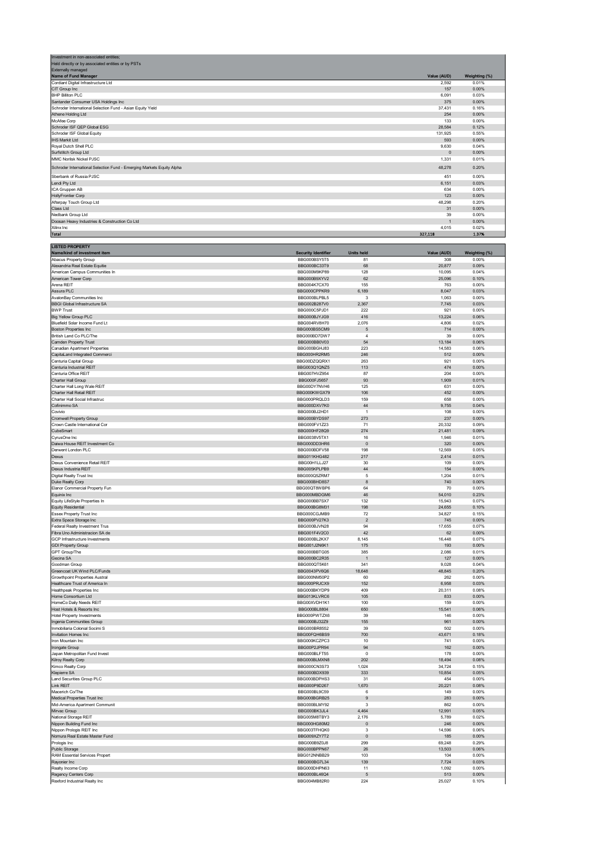| Investment in non-associated entities:                                |                |               |
|-----------------------------------------------------------------------|----------------|---------------|
| Held directly or by associated entities or by PSTs                    |                |               |
| Externally managed                                                    |                |               |
| Name of Fund Manager                                                  | Value (AUD)    | Weighting (%) |
| Cordiant Digital Infrastructure Ltd                                   | 2,592          | 0.01%         |
| CIT Group Inc                                                         | 157            | 0.00%         |
| <b>BHP Billiton PLC</b>                                               | 6.091          | 0.03%         |
| Santander Consumer USA Holdings Inc                                   | 375            | 0.00%         |
| Schroder International Selection Fund - Asian Equity Yield            | 37,431         | 0.16%         |
| Athene Holding Ltd                                                    | 254            | 0.00%         |
| McAfee Corp                                                           | 133            | 0.00%         |
| Schroder ISF QEP Global ESG                                           | 28,584         | 0.12%         |
| Schroder ISF Global Equity                                            | 131,925        | 0.55%         |
| <b>IHS Markit Ltd</b>                                                 | 593            | 0.00%         |
| Royal Dutch Shell PLC                                                 | 9,630          | 0.04%         |
| Surfstitch Group Ltd                                                  | $\mathbf{0}$   | 0.00%         |
| MMC Norilsk Nickel PJSC                                               | 1,331          | 0.01%         |
| Schroder International Selection Fund - Emerging Markets Equity Alpha | 48,278         | 0.20%         |
| Sberbank of Russia PJSC                                               | 451            | 0.00%         |
| Lendi Pty Ltd                                                         | 6,151          | 0.03%         |
| ICA Gruppen AB                                                        | 634            | 0.00%         |
| <b>HollyFrontier Corp</b>                                             | 123            | 0.00%         |
| Afterpay Touch Group Ltd                                              | 48,298         | 0.20%         |
| Class Ltd                                                             | 31             | 0.00%         |
| Nedbank Group Ltd                                                     | 39             | 0.00%         |
| Doosan Heavy Industries & Construction Co Ltd                         | $\overline{1}$ | 0.00%         |
| Xilinx Inc                                                            | 4,015          | 0.02%         |
| <b>Total</b>                                                          | 327,118        | 1.37%         |

| <b>LISTED PROPERTY</b>                |                            |                   |              |               |
|---------------------------------------|----------------------------|-------------------|--------------|---------------|
| Name/kind of investment item          | <b>Security Identifier</b> | <b>Units held</b> | Value (AUD)  | Weighting (%) |
| <b>Abacus Property Group</b>          | BBG000BSY5T5               | 81                | 308          | 0.00%         |
| Alexandria Real Estate Equitie        | BBG000BC33T9               | 68                | 20,877       | 0.09%         |
| American Campus Communities In        | BBG000M9KP89               | 128               | 10,095       | 0.04%         |
| American Tower Corp                   | BBG000B9XYV2               | 62                | 25,096       | 0.10%         |
| Arena REIT                            | BBG004K7CX70               | 155               | 763          | 0.00%         |
| Assura PLC                            | BBG000CPPKR9               | 6,189             | 8,047        | 0.03%         |
| AvalonBay Communities Inc             | BBG000BLPBL5               | 3                 | 1,063        | 0.00%         |
| <b>BBGI Global Infrastructure SA</b>  | BBG002B287V0               | 2,367             | 7,745        | 0.03%         |
| <b>BWP Trust</b>                      | BBG000C5PJD1               | 222               | 921          | 0.00%         |
| <b>Big Yellow Group PLC</b>           | BBG000BJYJG9               | 416               | 13,224       | 0.06%         |
| Bluefield Solar Income Fund Lt        | BBG004RV8H70               | 2,076             | 4,806        | 0.02%         |
| <b>Boston Properties Inc</b>          | BBG000BS5CM9               | 5                 | 714          | 0.00%         |
| British Land Co PLC/The               | BBG000BD7DW7               | $\overline{4}$    | 39           | 0.00%         |
| Camden Property Trust                 | BBG000BB0V03               | 54                | 13,184       | 0.06%         |
| <b>Canadian Apartment Properties</b>  | BBG000BGHJ83               | 223               | 14,583       | 0.06%         |
| CapitaLand Integrated Commerci        | BBG000HR2RM5               | 246               | 512          | 0.00%         |
| Centuria Capital Group                | BBG00DZQQRX1               | 263               | 921          | 0.00%         |
| Centuria Industrial REIT              | BBG003Q1QNZ5               | 113               | 474          | 0.00%         |
| Centuria Office REIT                  | BBG007HVZ954               | 87                | 204          | 0.00%         |
| Charter Hall Group                    | BBG000FJ5657               | 93                | 1,909        | 0.01%         |
| Charter Hall Long Wale REIT           | BBG00DY7NVH6               | 125               | 631          | 0.00%         |
|                                       |                            |                   |              |               |
| Charter Hall Retail REIT              | BBG000KWGX79               | 106               | 452          | 0.00%         |
| Charter Hall Social Infrastruc        | BBG000PRQLD3               | 159               | 658          | 0.00%         |
| Cofinimmo SA                          | BBG000DXV7K0               | 44                | 9,755        | 0.04%         |
| Covivio                               | BBG000BJ2HD1               | $\overline{1}$    | 108          | 0.00%         |
| Cromwell Property Group               | BBG000BYDS97               | 273               | 237          | 0.00%         |
| Crown Castle International Cor        | BBG000FV1Z23               | 71                | 20,332       | 0.09%         |
| CubeSmart                             | BBG000HF28Q9               | 274               | 21,481       | 0.09%         |
| CyrusOne Inc                          | BBG0038V5TX1               | 16                | 1,946        | 0.01%         |
| Daiwa House REIT Investment Co        | BBG000DD3HR6               | $\mathbf{0}$      | 320          | 0.00%         |
| Derwent London PLC                    | BBG000BDFV58               | 198               | 12,569       | 0.05%         |
| Dexus                                 | <b>BBG011KHG482</b>        | 217               | 2,414        | 0.01%         |
| Dexus Convenience Retail REIT         | BBG00H1LLJ27               | 30                | 109          | 0.00%         |
| Dexus Industria REIT                  | BBG005KPLPB9               | 44                | 154          | 0.00%         |
| Digital Realty Trust Inc              | BBG000Q5ZRM7               | 5                 | 1,204        | 0.01%         |
| Duke Realty Corp                      | BBG000BHD8S7               | 8                 | 740          | 0.00%         |
| Elanor Commercial Property Fun        | BBG00QT8WBP6               | 64                | 70           | 0.00%         |
| Equinix Inc                           | BBG000MBDGM6               | 46                | 54,010       | 0.23%         |
| Equity LifeStyle Properties In        | BBG000BB7SX7               | 132               | 15,943       | 0.07%         |
| <b>Equity Residential</b>             | BBG000BG8M31               | 198               | 24,655       | 0.10%         |
| <b>Essex Property Trust Inc</b>       | BBG000CGJMB9               | 72                | 34,827       | 0.15%         |
| Extra Space Storage Inc               | BBG000PV27K3               | $\overline{2}$    | 745          | 0.00%         |
| Federal Realty Investment Trus        | BBG000BJVN28               | 94                |              | 0.07%         |
| Fibra Uno Administracion SA de        | BBG001F4V2C0               | 42                | 17,655<br>62 | 0.00%         |
| GCP Infrastructure Investments        | BBG000BL2KX7               | 8,145             | 16,448       | 0.07%         |
|                                       |                            |                   |              |               |
| <b>GDI Property Group</b>             | BBG001J2N6K1               | 175               | 193          | 0.00%         |
| GPT Group/The                         | BBG000BBTG05               | 385               | 2,086        | 0.01%         |
| Gecina SA                             | BBG000BC2R35               |                   | 127          | 0.00%         |
| Goodman Group                         | BBG000QT5K61               | 341               | 9,028        | 0.04%         |
| Greencoat UK Wind PLC/Funds           | BBG0043PV6Q6               | 18,648            | 48,845       | 0.20%         |
| <b>Growthpoint Properties Austral</b> | BBG000NM50P2               | 60                | 262          | 0.00%         |
| Healthcare Trust of America In        | BBG000PRJCX9               | 152               | 6,958        | 0.03%         |
| <b>Healthpeak Properties Inc</b>      | BBG000BKYDP9               | 409               | 20,311       | 0.08%         |
| Home Consortium Ltd                   | BBG013KLVRC6               | 105               | 833          | 0.00%         |
| HomeCo Daily Needs REIT               | BBG00XVDH1K1               | 100               | 159          | 0.00%         |
| Host Hotels & Resorts Inc             | BBG000BL8804               | 650               | 15,541       | 0.06%         |
| <b>Hotel Property Investments</b>     | BBG000PWTZX6               | 39                | 146          | 0.00%         |
| Ingenia Communities Group             | BBG000BJ32Z9               | 155               | 961          | 0.00%         |
| Inmobiliaria Colonial Socimi S        | BBG000BR8552               | 39                | 502          | 0.00%         |
| Invitation Homes Inc                  | BBG00FQH6BS9               | 700               | 43,671       | 0.18%         |
| Iron Mountain Inc                     | BBG000KCZPC3               | 10                | 741          | 0.00%         |
| Irongate Group                        | BBG00P2JPR94               | 94                | 162          | 0.00%         |
| Japan Metropolitan Fund Invest        | BBG000BLFT55               | $\overline{0}$    | 178          | 0.00%         |
| Kilroy Realty Corp                    | BBG000BLMXN8               | 202               | 18,494       | 0.08%         |
| Kimco Realty Corp                     | BBG000CN3S73               | 1,024             | 34,724       | 0.15%         |
| Klepierre SA                          | BBG000BDX939               | 333               | 10,854       | 0.05%         |
| Land Securities Group PLC             | BBG000BDPHS3               | 31                | 454          | 0.00%         |
| Link REIT                             | BBG000P9D267               | 1,670             | 20,221       | 0.08%         |
| Macerich Co/The                       | BBG000BL9C59               | 6                 | 149          | 0.00%         |
|                                       | BBG000BGRB25               | $9\,$             | 283          | 0.00%         |
| Medical Properties Trust Inc          |                            | 3                 |              | 0.00%         |
| Mid-America Apartment Communit        | BBG000BLMY92               |                   | 862          |               |
| Mirvac Group                          | BBG000BK3JL4               | 4,464             | 12,991       | 0.05%         |
| National Storage REIT                 | BBG005M8TBY3               | 2,176             | 5,789        | 0.02%         |
| Nippon Building Fund Inc              | BBG000HG80M2               | $\mathbf{0}$      | 246          | 0.00%         |
| Nippon Prologis REIT Inc              | BBG003TFHQK0               | 3                 | 14,596       | 0.06%         |
| Nomura Real Estate Master Fund        | BBG009XZY7T2               | $\pmb{0}$         | 185          | 0.00%         |
| Prologis Inc                          | BBG000B9Z0J8               | 299               | 69,248       | 0.29%         |
| Public Storage                        | BBG000BPPN67               | 26                | 13,503       | 0.06%         |
| RAM Essential Services Propert        | BBG012NNBB29               | 103               | 104          | 0.00%         |
| Rayonier Inc                          | BBG000BG7L34               | 139               | 7,724        | 0.03%         |
| Realty Income Corp                    | BBG000DHPN63               | 11                | 1,092        | 0.00%         |
| Regency Centers Corp                  | BBG000BL46Q4               | 5                 | 513          | 0.00%         |
| Rexford Industrial Realty Inc         | BBG004MB82R0               | 224               | 25,027       | 0.10%         |
|                                       |                            |                   |              |               |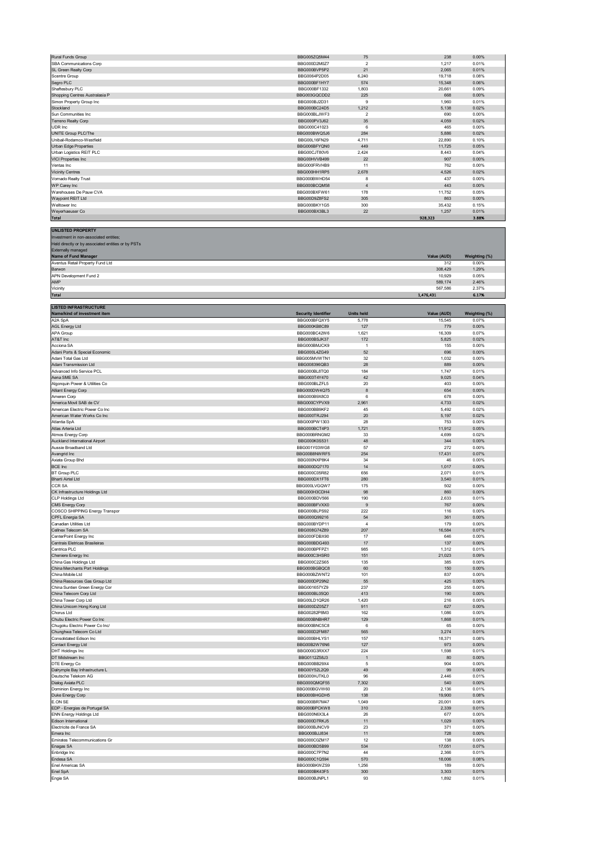| Rural Funds Group              | BBG005ZQ5M44 | 75             | 238     | 0.00% |
|--------------------------------|--------------|----------------|---------|-------|
| SBA Communications Corp.       | BBG000D2M0Z7 | $\overline{2}$ | 1.217   | 0.01% |
| SL Green Realty Corp           | BBG000BVP5P2 | 21             | 2.065   | 0.01% |
| Scentre Group                  | BBG0064P2D05 | 6,240          | 19,718  | 0.08% |
| Segro PLC                      | BBG000BF1HY7 | 574            | 15,348  | 0.06% |
| Shaftesbury PLC                | BBG000BF1332 | 1,803          | 20,661  | 0.09% |
| Shopping Centres Australasia P | BBG003GQCDD2 | 225            | 668     | 0.00% |
| Simon Property Group Inc       | BBG000BJ2D31 | 9              | 1.960   | 0.01% |
| Stockland                      | BBG000BC24D5 | 1,212          | 5,138   | 0.02% |
| Sun Communities Inc.           | BBG000BLJWF3 | $\overline{2}$ | 690     | 0.00% |
| Terreno Realty Corp            | BBG000PV3J62 | 35             | 4.059   | 0.02% |
| UDR Inc                        | BBG000C41023 | 6              | 465     | 0.00% |
| UNITE Group PLC/The            | BBG000BWQ5J6 | 284            | 5.886   | 0.02% |
| Unibail-Rodamco-Westfield      | BBG00L16FN29 | 4.711          | 22,890  | 0.10% |
| Urban Edge Properties          | BBG006BFYQN0 | 449            | 11,725  | 0.05% |
| Urban Logistics REIT PLC       | BBG00CJT80V6 | 2,424          | 8.443   | 0.04% |
| <b>VICI Properties Inc</b>     | BBG00HVVB499 | 22             | 907     | 0.00% |
| Ventas Inc                     | BBG000FRVHB9 | 11             | 762     | 0.00% |
| <b>Vicinity Centres</b>        | BBG000HH1RP5 | 2.678          | 4,526   | 0.02% |
| Vornado Realty Trust           | BBG000BWHD54 | 8              | 437     | 0.00% |
| WP Carey Inc                   | BBG000BCQM58 | $\overline{4}$ | 443     | 0.00% |
| Warehouses De Pauw CVA         | BBG000BXFW61 | 178            | 11,752  | 0.05% |
| Waypoint REIT Ltd              | BBG00D9Z8FS2 | 305            | 863     | 0.00% |
| Welltower Inc                  | BBG000BKY1G5 | 300            | 35,432  | 0.15% |
| Weyerhaeuser Co                | BBG000BX3BL3 | 22             | 1.257   | 0.01% |
| <b>Total</b>                   |              |                | 928,323 | 3.88% |

| <b>UNLISTED PROPERTY</b>                           |             |               |
|----------------------------------------------------|-------------|---------------|
| Investment in non-associated entities;             |             |               |
| Held directly or by associated entities or by PSTs |             |               |
| <b>Externally managed</b>                          |             |               |
| Name of Fund Manager                               | Value (AUD) | Weighting (%) |
| Aventus Retail Property Fund Ltd                   | 312         | 0.00%         |
| Barwon                                             | 308,429     | 1.29%         |
| APN Development Fund 2                             | 10.929      | 0.05%         |
| <b>AMP</b>                                         | 589,174     | 2.46%         |
| Vicinity                                           | 567,586     | 2.37%         |
| <b>Total</b>                                       | 1,476,431   | 6.17%         |
|                                                    |             |               |

| <b>LISTED INFRASTRUCTURE</b>   |                            |                   |             |               |
|--------------------------------|----------------------------|-------------------|-------------|---------------|
| Name/kind of investment item   | <b>Security Identifier</b> | <b>Units held</b> | Value (AUD) | Weighting (%) |
| A2A SpA                        | BBG000BFQXY5               | 5,778             | 15,545      | 0.07%         |
| <b>AGL Energy Ltd</b>          | BBG000KB8C89               | 127               | 779         | 0.00%         |
| APA Group                      | BBG000BC42W6               | 1,621             | 16,309      | 0.07%         |
| AT&T Inc                       | BBG000BSJK37               | 172               | 5,825       | 0.02%         |
| Acciona SA                     | BBG000BMJCK9               | $\overline{1}$    | 155         | 0.00%         |
| Adani Ports & Special Economic | BBG000L4ZG49               | 52                | 696         | 0.00%         |
| Adani Total Gas Ltd            | BBG005MVWTN1               | 32                | 1,032       | 0.00%         |
| Adani Transmission Ltd         | BBG008396QB3               | 28                | 889         | 0.00%         |
| Advanced Info Service PCL      | BBG000BL8TQ0               | 184               | 1,747       | 0.01%         |
| Aena SME SA                    | BBG003T4Y470               | 42                | 9,025       | 0.04%         |
| Algonquin Power & Utilities Co | BBG000BLZFL5               | $20\,$            | 403         | 0.00%         |
| Alliant Energy Corp            | BBG000DW4Q75               | 8                 | 654         | 0.00%         |
| Ameren Corp                    | BBG000B9X8C0               | 6                 | 678         | 0.00%         |
| America Movil SAB de CV        | BBG000CYPVX9               | 2,961             | 4,733       | 0.02%         |
| American Electric Power Co Inc | BBG000BB9KF2               | 45                | 5,492       | 0.02%         |
|                                |                            |                   |             |               |
| American Water Works Co Inc    | BBG000TRJ294               | $20\,$            | 5,197       | 0.02%         |
| Atlantia SpA                   | BBG000PW1303               | 28                | 753         | 0.00%         |
| Atlas Arteria Ltd              | BBG000BCT4P3               | 1,721             | 11,912      | 0.05%         |
| Atmos Energy Corp              | BBG000BRNGM2               | 33                | 4,699       | 0.02%         |
| Auckland International Airport | BBG000K0S531               | 48                | 344         | $0.00\%$      |
| Aussie Broadband Ltd           | BBG001Y03WG8               | 57                | 272         | 0.00%         |
| Avangrid Inc                   | BBG00B8NWRF5               | 254               | 17,431      | 0.07%         |
| Axiata Group Bhd               | BBG000NXP8K4               | 34                | 46          | 0.00%         |
| <b>BCE Inc</b>                 | BBG000DQ7170               | 14                | 1,017       | 0.00%         |
| <b>BT Group PLC</b>            | BBG000C05R82               | 656               | 2,071       | 0.01%         |
| <b>Bharti Airtel Ltd</b>       | BBG000DX1FT6               | 280               | 3,540       | 0.01%         |
| <b>CCR SA</b>                  | BBG000LVGQW7               | 175               | 502         | 0.00%         |
| CK Infrastructure Holdings Ltd | BBG000H3CDH4               | 98                | 860         | 0.00%         |
|                                |                            |                   |             |               |
| CLP Holdings Ltd               | BBG000BDV566               | 190               | 2,633       | 0.01%         |
| <b>CMS Energy Corp</b>         | BBG000BFVXX0               | 9                 | 767         | 0.00%         |
| COSCO SHIPPING Energy Transpor | BBG000BLPS92               | 222               | 116         | 0.00%         |
| CPFL Energia SA                | BBG000Q99216               | 54                | 361         | 0.00%         |
| Canadian Utilities Ltd         | BBG000BYDP11               | $\sqrt{4}$        | 179         | 0.00%         |
| Cellnex Telecom SA             | BBG008G74Z89               | 207               | 16,584      | 0.07%         |
| CenterPoint Energy Inc         | BBG000FDBX90               | 17                | 646         | 0.00%         |
| Centrais Eletricas Brasileiras | BBG000BDG493               | 17                | 137         | 0.00%         |
| Centrica PLC                   | BBG000BPFPZ1               | 985               | 1,312       | 0.01%         |
| Cheniere Energy Inc            | BBG000C3HSR0               | 151               | 21,023      | 0.09%         |
| China Gas Holdings Ltd         | BBG000C2ZS65               | 135               | 385         | 0.00%         |
|                                |                            | 60                |             |               |
| China Merchants Port Holdings  | BBG000BGBQC8               |                   | 150         | 0.00%         |
| China Mobile Ltd               | BBG000BZWNT2               | 101               | 837         | 0.00%         |
| China Resources Gas Group Ltd  | BBG000DP29N2               | 55                | 425         | 0.00%         |
| China Suntien Green Energy Cor | BBG001657YZ9               | 237               | 255         | 0.00%         |
| China Telecom Corp Ltd         | BBG000BL05Q0               | 413               | 190         | 0.00%         |
| China Tower Corp Ltd           | BBG00LD1QR26               | 1,420             | 216         | 0.00%         |
| China Unicom Hong Kong Ltd     | BBG000DZ05Z7               | 911               | 627         | 0.00%         |
| Chorus Ltd                     | BBG00282P8M3               | 162               | 1,086       | 0.00%         |
| Chubu Electric Power Co Inc    | BBG000BNBHR7               | 129               | 1,868       | 0.01%         |
| Chugoku Electric Power Co Inc/ | BBG000BNC5C8               | 6                 | 65          | 0.00%         |
| Chunghwa Telecom Co Ltd        | BBG000D2FM87               | 565               | 3,274       | 0.01%         |
| Consolidated Edison Inc        | BBG000BHLYS1               | 157               | 18,371      | 0.08%         |
|                                |                            |                   |             |               |
| Contact Energy Ltd             | BBG00B2W76N6               | 127               | 973         | 0.00%         |
| <b>DHT Holdings Inc</b>        | BBG000G3RXX7               | 224               | 1,598       | 0.01%         |
| DT Midstream Inc               | BBG0112Z58J3               | $\overline{1}$    | 80          | $0.00\%$      |
| DTE Energy Co                  | BBG000BB29X4               | $\overline{5}$    | 904         | 0.00%         |
| Dalrymple Bay Infrastructure L | BBG00Y52L2Q9               | 49                | 99          | 0.00%         |
| Deutsche Telekom AG            | BBG000HJTKL0               | 96                | 2,446       | 0.01%         |
| Dialog Axiata PLC              | BBG000QMQF55               | 7,302             | 540         | 0.00%         |
| Dominion Energy Inc            | BBG000BGVW60               | 20                | 2,136       | 0.01%         |
| Duke Energy Corp               | BBG000BHGDH5               | 138               | 19,900      | 0.08%         |
| F ON SE                        | BBG000BR7M47               | 1,049             | 20,001      | 0.08%         |
| EDP - Energias de Portugal SA  | BBG000BPCKW8               | 310               | 2,339       | 0.01%         |
| <b>ENN Energy Holdings Ltd</b> | BBG000N6X3L4               | 26                | 677         | 0.00%         |
|                                |                            |                   |             |               |
| Edison International           | BBG000D7RKJ5               | 11                | 1,029       | 0.00%         |
| Electricite de France SA       | BBG000BJNCV9               | 23                | 371         | 0.00%         |
| Emera Inc                      | BBG000BJJ834               | 11                | 728         | 0.00%         |
| Emirates Telecommunications Gr | BBG000C0ZM17               | 12                | 138         | 0.00%         |
| Enagas SA                      | BBG000BD5B99               | 534               | 17,051      | 0.07%         |
| Enbridge Inc                   | BBG000C7P7N2               | 44                | 2,366       | 0.01%         |
| Endesa SA                      | BBG000C1Q594               | 570               | 18,006      | 0.08%         |
| Enel Americas SA               | BBG000BKWZS9               | 1,256             | 189         | 0.00%         |
| Enel SpA                       | BBG000BK43F5               | 300               | 3,303       | 0.01%         |
| Engie SA                       | BBG000BJNPL1               | 93                | 1,892       | 0.01%         |
|                                |                            |                   |             |               |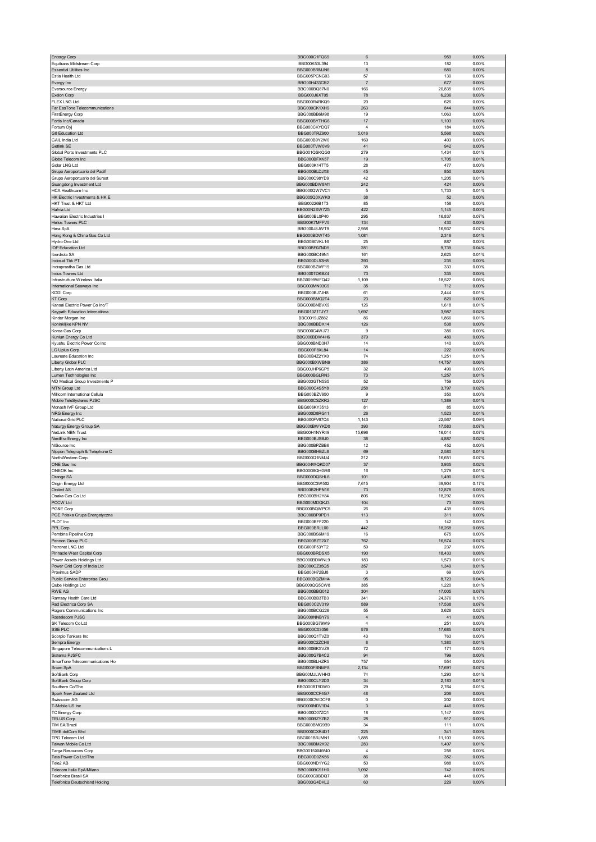| <b>Entergy Corp</b>                                     | BBG000C1FQS9                 | 6                            | 959             | 0.00%             |
|---------------------------------------------------------|------------------------------|------------------------------|-----------------|-------------------|
| Equitrans Midstream Corp                                | BBG00K53L394                 | 13                           | 182             | 0.00%             |
| <b>Essential Utilities Inc.</b>                         | BBG000BRMJN6                 | 8                            | 580             | 0.00%             |
| Estia Health Ltd                                        | BBG005PCNG03                 | 57                           | 130             | 0.00%             |
| Evergy Inc                                              | BBG00H433CR2                 | $\overline{7}$               | 677             | 0.00%             |
| <b>Eversource Energy</b>                                | BBG000BQ87N0                 | 166                          | 20,835          | 0.09%             |
| Exelon Corp                                             | BBG000J6XT05                 | 78                           | 6,236           | 0.03%             |
| <b>FLEX LNG Ltd</b><br>Far EasTone Telecommunications   | BBG000R4RKQ9<br>BBG000CK1XH9 | 20<br>263                    | 626<br>844      | 0.00%<br>0.00%    |
| <b>FirstEnergy Corp</b>                                 | BBG000BB6M98                 | 19                           | 1,063           | 0.00%             |
| Fortis Inc/Canada                                       | BBG000BYTHG6                 | 17                           | 1,103           | 0.00%             |
| Fortum Oyj                                              | BBG000CKYDQ7                 | $\overline{4}$               | 184             | 0.00%             |
| G8 Education Ltd                                        | BBG000TRZ900                 | 5,016                        | 5,568           | 0.02%             |
| GAIL India Ltd                                          | BBG000B9Y2W0                 | 169                          | 403             | 0.00%             |
| Getlink SE                                              | BBG000TVW0V9                 | 41                           | 942             | 0.00%             |
| Global Ports Investments PLC                            | BBG001QSKQG0                 | 279                          | 1,434           | 0.01%             |
| Globe Telecom Inc                                       | BBG000BFXK57                 | 19                           | 1,705           | 0.01%             |
| Golar LNG Ltd                                           | BBG000K14TT5                 | 28                           | 477             | 0.00%             |
| Grupo Aeroportuario del Pacifi                          | BBG000BLDJX8                 | 45                           | 850             | 0.00%             |
| Grupo Aeroportuario del Surest                          | BBG000C98YD9                 | 42                           | 1,205           | 0.01%             |
| Guangdong Investment Ltd                                | BBG000BDW8M1                 | 242                          | 424             | 0.00%             |
| HCA Healthcare Inc                                      | BBG000QW7VC1                 | 5                            | 1,733           | 0.01%             |
| HK Electric Investments & HK E                          | BBG005Q0XWK0                 | 38                           | 52              | 0.00%             |
| HKT Trust & HKT Ltd<br>Hafnia Ltd                       | BBG00226B1T3                 | 85                           | 158             | 0.00%             |
| Hawaiian Electric Industries I                          | BBG00N2XW7Z5<br>BBG000BL0P40 | 422<br>295                   | 1,145<br>16,837 | $0.00\%$<br>0.07% |
| Helios Towers PLC                                       | BBG00K7MFFV5                 | 134                          | 430             | 0.00%             |
| Hera SpA                                                | BBG000J8JWT9                 | 2,958                        | 16,937          | 0.07%             |
| Hong Kong & China Gas Co Ltd                            | BBG000BDWT45                 | 1,081                        | 2,316           | 0.01%             |
| Hydro One Ltd                                           | BBG00B0VKL16                 | 25                           | 887             | 0.00%             |
| <b>IDP Education Ltd</b>                                | BBG00BF0ZND5                 | 281                          | 9,739           | 0.04%             |
| Iberdrola SA                                            | BBG000BC49N1                 | 161                          | 2,625           | 0.01%             |
| Indosat Tbk PT                                          | BBG000DL53H8                 | 393                          | 235             | 0.00%             |
| Indraprastha Gas Ltd                                    | BBG000BZWF19                 | 38                           | 333             | 0.00%             |
| Indus Towers Ltd                                        | BBG000TDKBZ4                 | 73                           | 335             | 0.00%             |
| Infrastrutture Wireless Italia                          | BBG0099WFQ42                 | 1,109                        | 18,527          | 0.08%             |
| International Seaways Inc                               | BBG003MN93C9                 | 35                           | 712             | 0.00%             |
| <b>KDDI Corp</b>                                        | BBG000BJ7JH8                 | 61                           | 2,444           | 0.01%             |
| <b>KT Corp</b>                                          | BBG000BMQ2T4                 | 23                           | 820             | 0.00%             |
| Kansai Electric Power Co Inc/T                          | BBG000BNBVX9                 | 126                          | 1,618           | 0.01%             |
| Keypath Education Internationa                          | BBG010Z1TJY7                 | 1,697                        | 3,987           | 0.02%             |
| Kinder Morgan Inc                                       | BBG0019JZ882                 | 86                           | 1,866           | 0.01%             |
| Koninklijke KPN NV                                      | BBG000BBDX14<br>BBG000C4WJ73 | 126<br>9                     | 538<br>386      | 0.00%<br>0.00%    |
| Korea Gas Corp<br>Kunlun Energy Co Ltd                  | BBG000BDW4H6                 | 379                          | 489             | 0.00%             |
| Kyushu Electric Power Co Inc                            | BBG000BND3H7                 | 14                           | 140             | 0.00%             |
| LG Uplus Corp                                           | BBG000F8XL84                 | 14                           | 222             | 0.00%             |
| Laureate Education Inc                                  | BBG00B4Z2YX0                 | 74                           | 1,251           | 0.01%             |
| Liberty Global PLC                                      | BBG000BXWBN9                 | 386                          | 14,757          | 0.06%             |
| Liberty Latin America Ltd                               | BBG00JHP6GP5                 | 32                           | 499             | 0.00%             |
| Lumen Technologies Inc                                  | BBG000BGLRN3                 | 73                           | 1,257           | 0.01%             |
| MD Medical Group Investments P                          | BBG003GTN5S5                 | 52                           | 759             | 0.00%             |
| MTN Group Ltd                                           | BBG000C4S5Y8                 | 258                          | 3,797           | 0.02%             |
| Millicom International Cellula                          | BBG000BZV950                 | 9                            | 350             | 0.00%             |
| Mobile TeleSystems PJSC                                 | BBG000CSZKR2                 | 127                          | 1,389           | 0.01%             |
| Monash IVF Group Ltd                                    | BBG006KY3513                 | 81                           | 85              | 0.00%             |
| NRG Energy Inc                                          | BBG000D8RG11                 | 26                           | 1,523           | 0.01%             |
|                                                         |                              |                              |                 |                   |
| National Grid PLC                                       | BBG000FV67Q4                 | 1,143                        | 22,567          | 0.09%             |
| Naturgy Energy Group SA                                 | BBG000BWYKD0                 | 393                          | 17,583          | 0.07%             |
| NetLink NBN Trust                                       | BBG00H1NYR49                 | 15,696                       | 16,014          | 0.07%             |
| NextEra Energy Inc                                      | BBG000BJSBJ0                 | 38                           | 4,887           | 0.02%             |
| NiSource Inc                                            | BBG000BPZBB6                 | 12                           | 452             | 0.00%             |
| Nippon Telegraph & Telephone C                          | BBG000BHBZL6                 | 69                           | 2,580           | 0.01%             |
| NorthWestern Corp                                       | BBG000Q1NMJ4                 | 212                          | 16,651          | 0.07%             |
| ONE Gas Inc<br>ONEOK Inc                                | BBG004WQKD07<br>BBG000BQHGR6 | 37<br>16                     | 3,935<br>1,279  | 0.02%<br>0.01%    |
| Orange SA                                               | BBG000DOSHL6                 | 101                          | 1,490           | 0.01%             |
| Origin Energy Ltd                                       | BBG000C3W502                 | 7,615                        | 39,904          | 0.17%             |
| Orsted AS                                               | BBG00B2HPN16                 | 73                           | 12,878          | 0.05%             |
| Osaka Gas Co Ltd                                        | BBG000BH2Y84                 | 806                          | 18,292          | 0.08%             |
| PCCW Ltd                                                | BBG000MDOK.I3                | 104                          | 73              | 0.00%             |
| PG&E Corp                                               | BBG000BQWPC5                 | ${\bf 26}$                   | 439             | 0.00%             |
| PGE Polska Grupa Energetyczna                           | BBG000BP0PD1                 | 113                          | 311             | 0.00%             |
| PLDT Inc                                                | BBG000BFF220                 | 3                            | 142             | 0.00%             |
| PPL Corp                                                | BBG000BRJL00                 | 442                          | 18,268          | 0.08%             |
| Pembina Pipeline Corp                                   | BBG000BS6M19                 | 16                           | 675             | 0.00%             |
| Pennon Group PLC                                        | BBG000BZT2X7                 | 762                          | 16,574          | 0.07%             |
| Petronet LNG Ltd                                        | BBG000F53YT2<br>BBG000BRDSX5 | 59<br>190                    | 237<br>18,433   | 0.00%<br>0.08%    |
| Pinnacle West Capital Corp<br>Power Assets Holdings Ltd | BBG000BDWNL9                 | 183                          | 1,573           | 0.01%             |
| Power Grid Corp of India Ltd                            | BBG000CZ35Q5                 | 357                          | 1,349           | 0.01%             |
| Proximus SADP                                           | BBG000H72BJ8                 | 3                            | 69              | 0.00%             |
| Public Service Enterprise Grou                          | BBG000BQZMH4                 | 95                           | 8,723           | 0.04%             |
| Qube Holdings Ltd                                       | BBG000QG5CW8                 | 385                          | 1,220           | 0.01%             |
| <b>RWE AG</b>                                           | BBG000BBQ012                 | 304                          | 17,005          | 0.07%             |
| Ramsay Health Care Ltd                                  | BBG000BB3TB3                 | 341                          | 24,376          | 0.10%             |
| Red Electrica Corp SA                                   | BBG000C2V319                 | 589                          | 17,538          | 0.07%             |
| Rogers Communications Inc                               | BBG000BCG226                 | 55                           | 3,626           | 0.02%             |
| Rostelecom PJSC                                         | BBG000NNBY79                 | $\sqrt{4}$<br>$\overline{4}$ | 41              | $0.00\%$          |
| SK Telecom Co Ltd<br>SSE PLC                            | BBG000BG79W9<br>BBG000C03056 | 576                          | 251<br>17,685   | 0.00%<br>0.07%    |
| Scorpio Tankers Inc                                     | BBG000Q1TVZ0                 | 43                           | 763             | 0.00%             |
| Sempra Energy                                           | BBG000C2ZCH8                 | 8                            | 1,380           | 0.01%             |
| Singapore Telecommunications L                          | BBG000BKXVZ9                 | 72                           | 171             | 0.00%             |
| Sistema PJSFC                                           | BBG000G7B4C2                 | 94                           | 799             | 0.00%             |
| SmarTone Telecommunications Ho                          | BBG000BLHZR5                 | 757                          | 554             | 0.00%             |
| Snam SpA                                                | BBG000FBNMF8                 | 2,134                        | 17,691          | 0.07%             |
| SoftBank Corp                                           | BBG00MJLWHH3                 | 74                           | 1,293           | 0.01%             |
| SoftBank Group Corp                                     | BBG000CLY2D3                 | 34                           | 2,183           | 0.01%             |
| Southern Co/The                                         | BBG000BT9DW0                 | 29                           | 2,764           | 0.01%             |
| Spark New Zealand Ltd                                   | BBG000CCF4G7                 | 48                           | 206             | 0.00%             |
| Swisscom AG                                             | BBG000CWDCF8                 | 0                            | 202             | 0.00%             |
| T-Mobile US Inc                                         | BBG000NDV1D4                 | $\mathbf{3}$                 | 446             | $0.00\%$          |
| TC Energy Corp                                          | BBG000D07ZQ1                 | 18                           | 1,147           | 0.00%             |
| <b>TELUS Corp</b>                                       | BBG000BZYZB2                 | 28                           | 917             | 0.00%             |
| <b>TIM SA/Brazil</b><br>TIME dotCom Bhd                 | BBG000BMG9B9<br>BBG000CXR4D1 | 34<br>225                    | 111<br>341      | 0.00%<br>$0.00\%$ |
| TPG Telecom Ltd                                         | BBG001BRJMN1                 | 1,885                        | 11,103          | 0.05%             |
| Taiwan Mobile Co Ltd                                    | BBG000BM2K92                 | 283                          | 1,407           | 0.01%             |
| Targa Resources Corp                                    | BBG0015XMW40                 | 4                            | 258             | 0.00%             |
| Tata Power Co Ltd/The                                   | BBG000D0ZK56                 | 86                           | 352             | 0.00%             |
| Tele2 AB                                                | BBG000ND1YG2                 | 50                           | 988             | 0.00%             |
| Telecom Italia SpA/Milano                               | BBG000BC91H0                 | 1,092                        | 742             | 0.00%             |
| Telefonica Brasil SA<br>Telefonica Deutschland Holding  | BBG000C9BDQ7<br>BBG003G4DHL2 | 38<br>60                     | 448<br>229      | 0.00%<br>0.00%    |